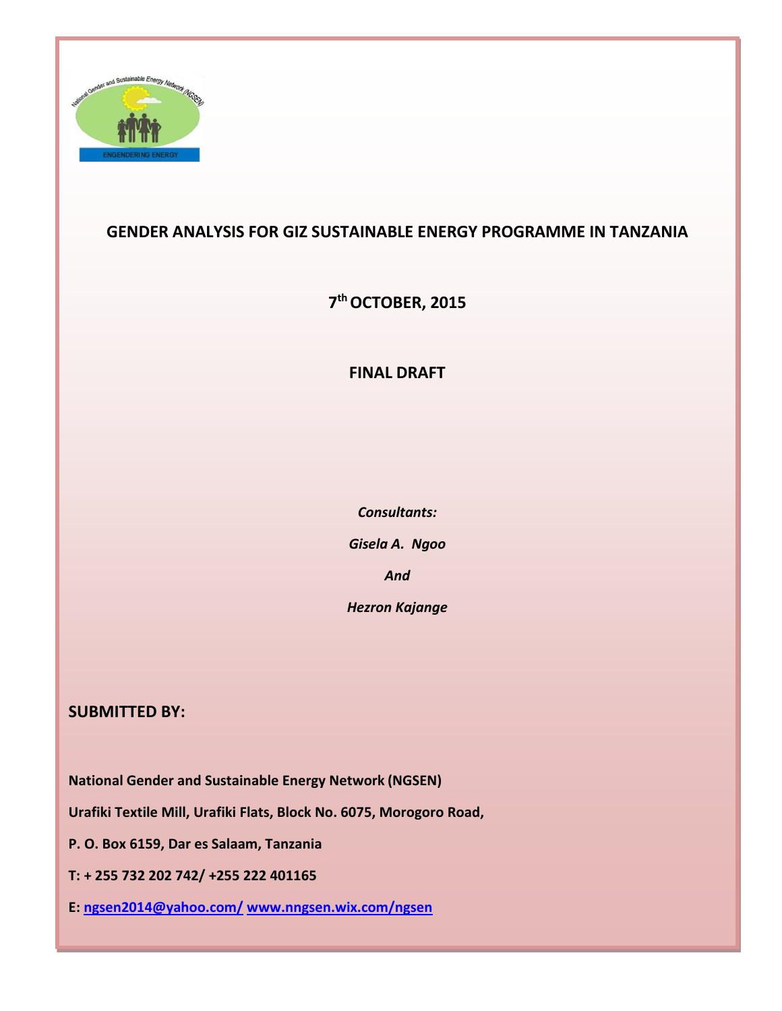

### **GENDER ANALYSIS FOR GIZ SUSTAINABLE ENERGY PROGRAMME IN TANZANIA**

**7 th OCTOBER, 2015**

### **FINAL DRAFT**

*Consultants: Gisela A. Ngoo And Hezron Kajange*

### **SUBMITTED BY:**

**National Gender and Sustainable Energy Network (NGSEN)**

**Urafiki Textile Mill, Urafiki Flats, Block No. 6075, Morogoro Road,**

**P. O. Box 6159, Dar es Salaam, Tanzania**

**T: + 255 732 202 742/ +255 222 401165**

**E: [ngsen2014@yahoo.com/](mailto:ngsen2014@yahoo.com/) [www.nngsen.wix.com/ngsen](http://www.nngsen.wix.com/ngsen)**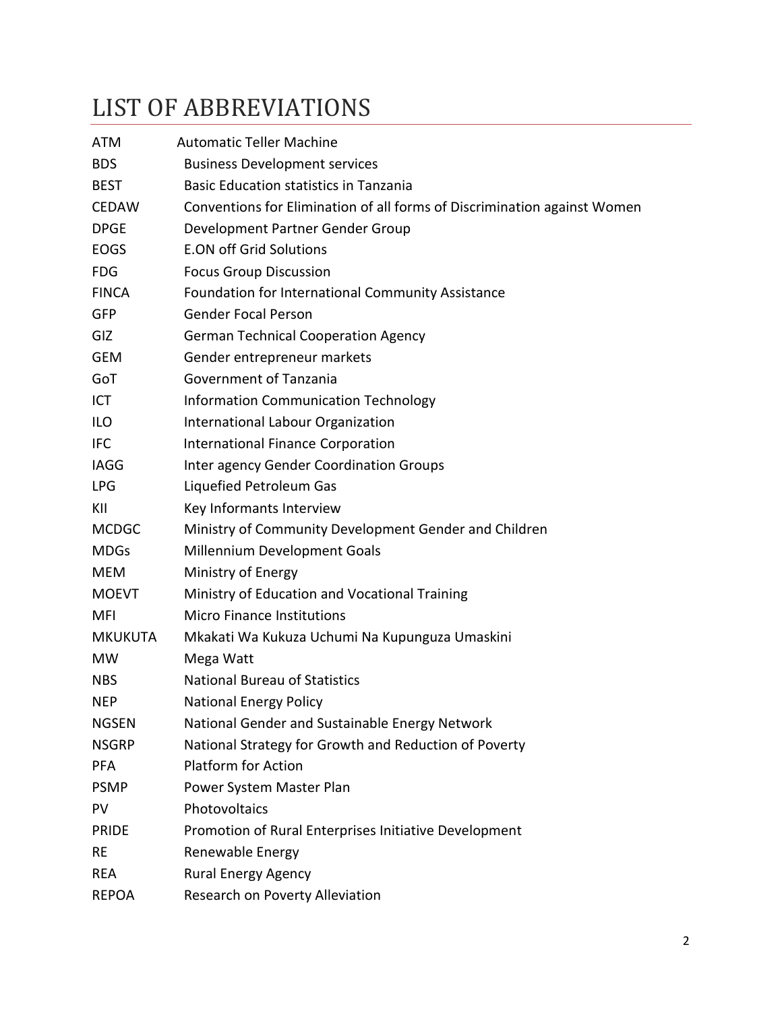# <span id="page-1-0"></span>LIST OF ABBREVIATIONS

| <b>ATM</b>     | <b>Automatic Teller Machine</b>                                          |
|----------------|--------------------------------------------------------------------------|
| <b>BDS</b>     | <b>Business Development services</b>                                     |
| <b>BEST</b>    | <b>Basic Education statistics in Tanzania</b>                            |
| <b>CEDAW</b>   | Conventions for Elimination of all forms of Discrimination against Women |
| <b>DPGE</b>    | Development Partner Gender Group                                         |
| <b>EOGS</b>    | <b>E.ON off Grid Solutions</b>                                           |
| <b>FDG</b>     | <b>Focus Group Discussion</b>                                            |
| <b>FINCA</b>   | Foundation for International Community Assistance                        |
| <b>GFP</b>     | <b>Gender Focal Person</b>                                               |
| <b>GIZ</b>     | <b>German Technical Cooperation Agency</b>                               |
| <b>GEM</b>     | Gender entrepreneur markets                                              |
| GoT            | Government of Tanzania                                                   |
| ICT            | <b>Information Communication Technology</b>                              |
| <b>ILO</b>     | International Labour Organization                                        |
| <b>IFC</b>     | <b>International Finance Corporation</b>                                 |
| <b>IAGG</b>    | Inter agency Gender Coordination Groups                                  |
| <b>LPG</b>     | Liquefied Petroleum Gas                                                  |
| KII            | Key Informants Interview                                                 |
| <b>MCDGC</b>   | Ministry of Community Development Gender and Children                    |
| <b>MDGs</b>    | Millennium Development Goals                                             |
| <b>MEM</b>     | Ministry of Energy                                                       |
| <b>MOEVT</b>   | Ministry of Education and Vocational Training                            |
| MFI            | <b>Micro Finance Institutions</b>                                        |
| <b>MKUKUTA</b> | Mkakati Wa Kukuza Uchumi Na Kupunguza Umaskini                           |
| MW.            | Mega Watt                                                                |
| <b>NBS</b>     | <b>National Bureau of Statistics</b>                                     |
| <b>NEP</b>     | <b>National Energy Policy</b>                                            |
| <b>NGSEN</b>   | National Gender and Sustainable Energy Network                           |
| <b>NSGRP</b>   | National Strategy for Growth and Reduction of Poverty                    |
| <b>PFA</b>     | <b>Platform for Action</b>                                               |
| <b>PSMP</b>    | Power System Master Plan                                                 |
| <b>PV</b>      | Photovoltaics                                                            |
| <b>PRIDE</b>   | Promotion of Rural Enterprises Initiative Development                    |
| <b>RE</b>      | Renewable Energy                                                         |
| <b>REA</b>     | <b>Rural Energy Agency</b>                                               |
| <b>REPOA</b>   | Research on Poverty Alleviation                                          |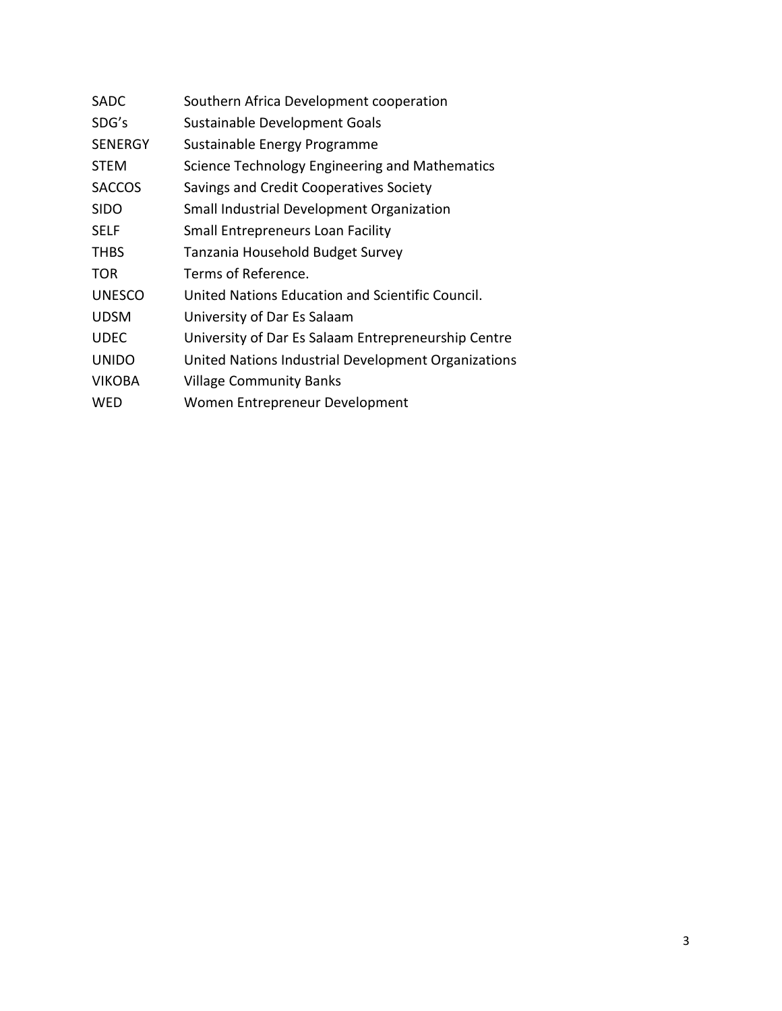| <b>SADC</b>    | Southern Africa Development cooperation             |
|----------------|-----------------------------------------------------|
| SDG's          | Sustainable Development Goals                       |
| <b>SENERGY</b> | Sustainable Energy Programme                        |
| <b>STEM</b>    | Science Technology Engineering and Mathematics      |
| <b>SACCOS</b>  | Savings and Credit Cooperatives Society             |
| <b>SIDO</b>    | Small Industrial Development Organization           |
| <b>SELF</b>    | <b>Small Entrepreneurs Loan Facility</b>            |
| <b>THBS</b>    | Tanzania Household Budget Survey                    |
| <b>TOR</b>     | Terms of Reference.                                 |
| <b>UNESCO</b>  | United Nations Education and Scientific Council.    |
| <b>UDSM</b>    | University of Dar Es Salaam                         |
| <b>UDEC</b>    | University of Dar Es Salaam Entrepreneurship Centre |
| <b>UNIDO</b>   | United Nations Industrial Development Organizations |
| <b>VIKOBA</b>  | <b>Village Community Banks</b>                      |
| WED            | Women Entrepreneur Development                      |
|                |                                                     |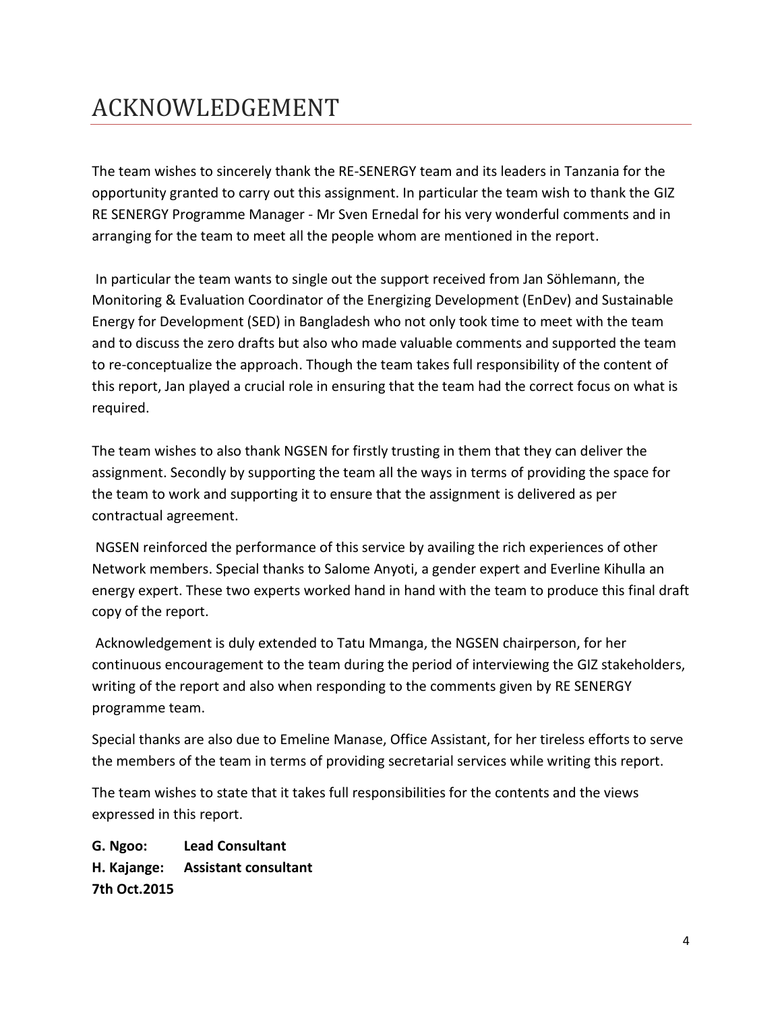# <span id="page-3-0"></span>ACKNOWLEDGEMENT

The team wishes to sincerely thank the RE-SENERGY team and its leaders in Tanzania for the opportunity granted to carry out this assignment. In particular the team wish to thank the GIZ RE SENERGY Programme Manager - Mr Sven Ernedal for his very wonderful comments and in arranging for the team to meet all the people whom are mentioned in the report.

In particular the team wants to single out the support received from Jan Söhlemann, the Monitoring & Evaluation Coordinator of the Energizing Development (EnDev) and Sustainable Energy for Development (SED) in Bangladesh who not only took time to meet with the team and to discuss the zero drafts but also who made valuable comments and supported the team to re-conceptualize the approach. Though the team takes full responsibility of the content of this report, Jan played a crucial role in ensuring that the team had the correct focus on what is required.

The team wishes to also thank NGSEN for firstly trusting in them that they can deliver the assignment. Secondly by supporting the team all the ways in terms of providing the space for the team to work and supporting it to ensure that the assignment is delivered as per contractual agreement.

NGSEN reinforced the performance of this service by availing the rich experiences of other Network members. Special thanks to Salome Anyoti, a gender expert and Everline Kihulla an energy expert. These two experts worked hand in hand with the team to produce this final draft copy of the report.

Acknowledgement is duly extended to Tatu Mmanga, the NGSEN chairperson, for her continuous encouragement to the team during the period of interviewing the GIZ stakeholders, writing of the report and also when responding to the comments given by RE SENERGY programme team.

Special thanks are also due to Emeline Manase, Office Assistant, for her tireless efforts to serve the members of the team in terms of providing secretarial services while writing this report.

The team wishes to state that it takes full responsibilities for the contents and the views expressed in this report.

**G. Ngoo: Lead Consultant H. Kajange: Assistant consultant 7th Oct.2015**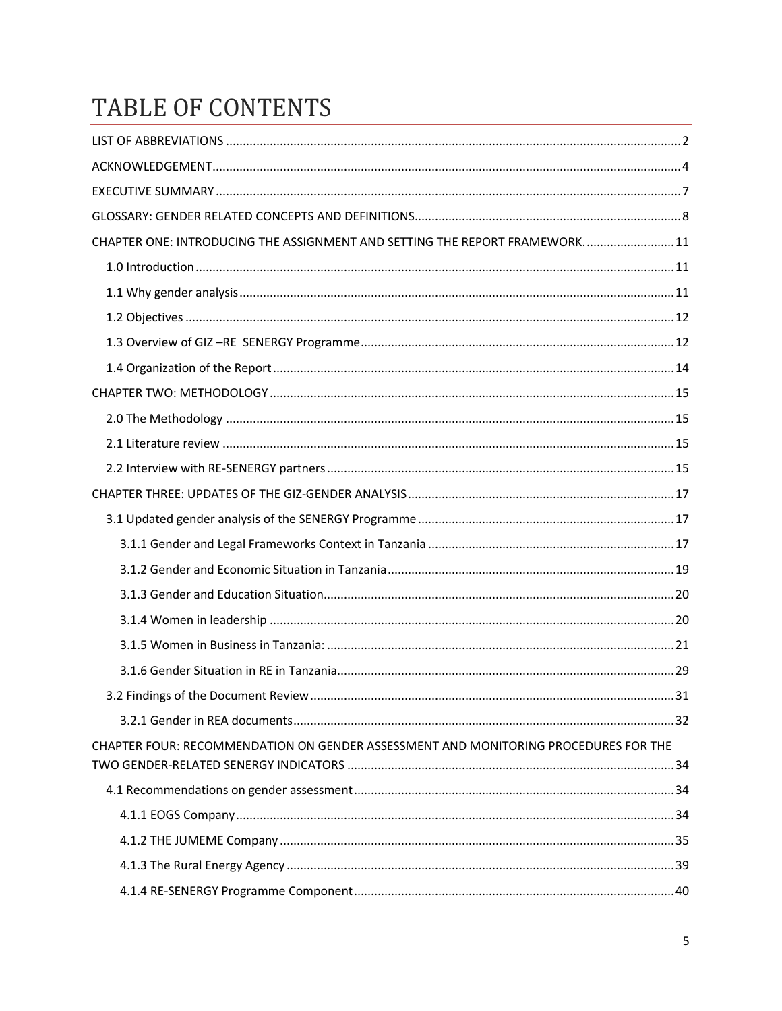# TABLE OF CONTENTS

| CHAPTER ONE: INTRODUCING THE ASSIGNMENT AND SETTING THE REPORT FRAMEWORK 11         |  |
|-------------------------------------------------------------------------------------|--|
|                                                                                     |  |
|                                                                                     |  |
|                                                                                     |  |
|                                                                                     |  |
|                                                                                     |  |
|                                                                                     |  |
|                                                                                     |  |
|                                                                                     |  |
|                                                                                     |  |
|                                                                                     |  |
|                                                                                     |  |
|                                                                                     |  |
|                                                                                     |  |
|                                                                                     |  |
|                                                                                     |  |
|                                                                                     |  |
|                                                                                     |  |
|                                                                                     |  |
|                                                                                     |  |
| CHAPTER FOUR: RECOMMENDATION ON GENDER ASSESSMENT AND MONITORING PROCEDURES FOR THE |  |
|                                                                                     |  |
|                                                                                     |  |
|                                                                                     |  |
|                                                                                     |  |
|                                                                                     |  |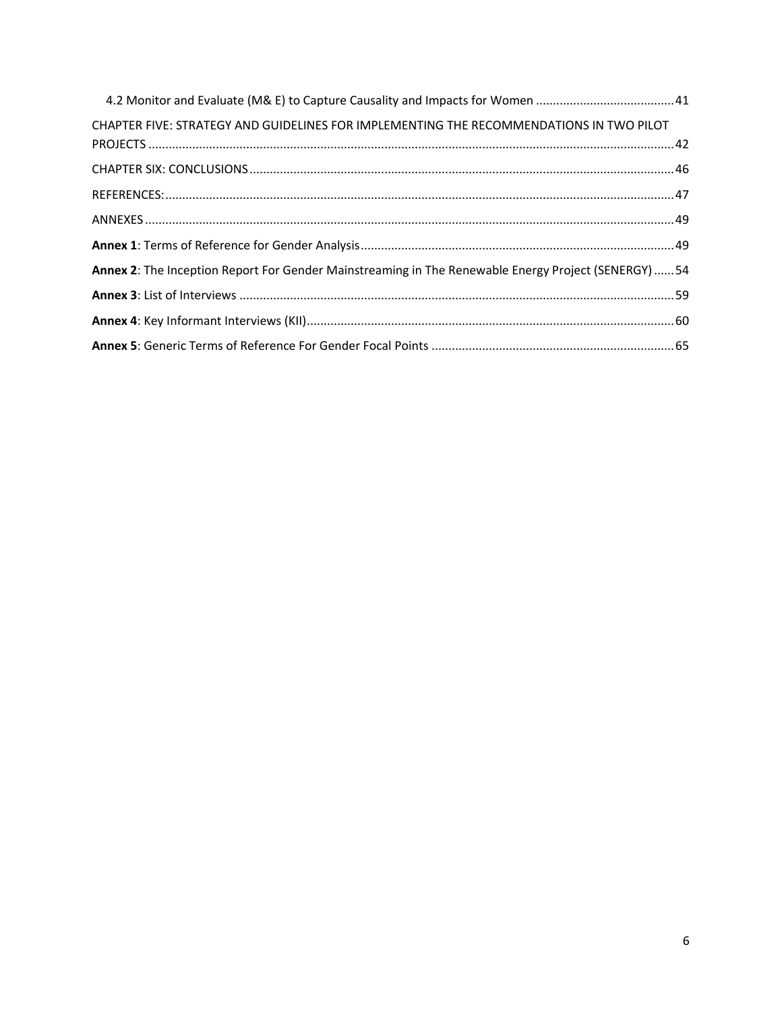| 4.2 Monitor and Evaluate (M& E) to Capture Causality and Impacts for Women 41                        |  |
|------------------------------------------------------------------------------------------------------|--|
| CHAPTER FIVE: STRATEGY AND GUIDELINES FOR IMPLEMENTING THE RECOMMENDATIONS IN TWO PILOT              |  |
|                                                                                                      |  |
|                                                                                                      |  |
|                                                                                                      |  |
|                                                                                                      |  |
|                                                                                                      |  |
| Annex 2: The Inception Report For Gender Mainstreaming in The Renewable Energy Project (SENERGY)  54 |  |
|                                                                                                      |  |
|                                                                                                      |  |
|                                                                                                      |  |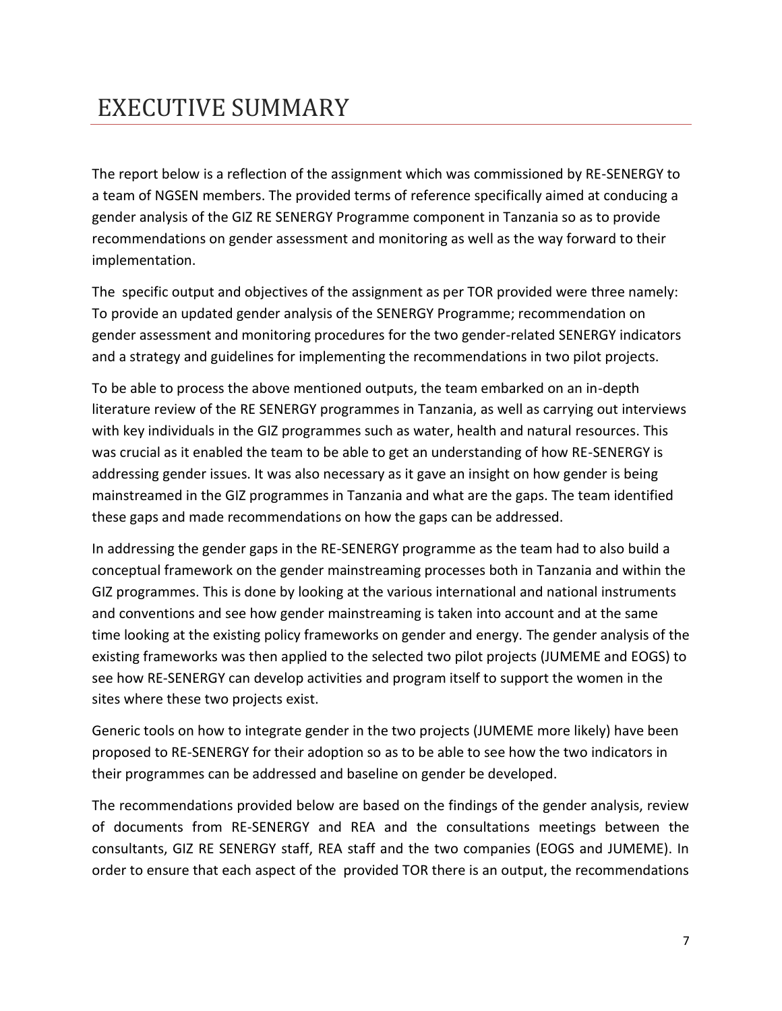# <span id="page-6-0"></span>EXECUTIVE SUMMARY

The report below is a reflection of the assignment which was commissioned by RE-SENERGY to a team of NGSEN members. The provided terms of reference specifically aimed at conducing a gender analysis of the GIZ RE SENERGY Programme component in Tanzania so as to provide recommendations on gender assessment and monitoring as well as the way forward to their implementation.

The specific output and objectives of the assignment as per TOR provided were three namely: To provide an updated gender analysis of the SENERGY Programme; recommendation on gender assessment and monitoring procedures for the two gender-related SENERGY indicators and a strategy and guidelines for implementing the recommendations in two pilot projects.

To be able to process the above mentioned outputs, the team embarked on an in-depth literature review of the RE SENERGY programmes in Tanzania, as well as carrying out interviews with key individuals in the GIZ programmes such as water, health and natural resources. This was crucial as it enabled the team to be able to get an understanding of how RE-SENERGY is addressing gender issues. It was also necessary as it gave an insight on how gender is being mainstreamed in the GIZ programmes in Tanzania and what are the gaps. The team identified these gaps and made recommendations on how the gaps can be addressed.

In addressing the gender gaps in the RE-SENERGY programme as the team had to also build a conceptual framework on the gender mainstreaming processes both in Tanzania and within the GIZ programmes. This is done by looking at the various international and national instruments and conventions and see how gender mainstreaming is taken into account and at the same time looking at the existing policy frameworks on gender and energy. The gender analysis of the existing frameworks was then applied to the selected two pilot projects (JUMEME and EOGS) to see how RE-SENERGY can develop activities and program itself to support the women in the sites where these two projects exist.

Generic tools on how to integrate gender in the two projects (JUMEME more likely) have been proposed to RE-SENERGY for their adoption so as to be able to see how the two indicators in their programmes can be addressed and baseline on gender be developed.

The recommendations provided below are based on the findings of the gender analysis, review of documents from RE-SENERGY and REA and the consultations meetings between the consultants, GIZ RE SENERGY staff, REA staff and the two companies (EOGS and JUMEME). In order to ensure that each aspect of the provided TOR there is an output, the recommendations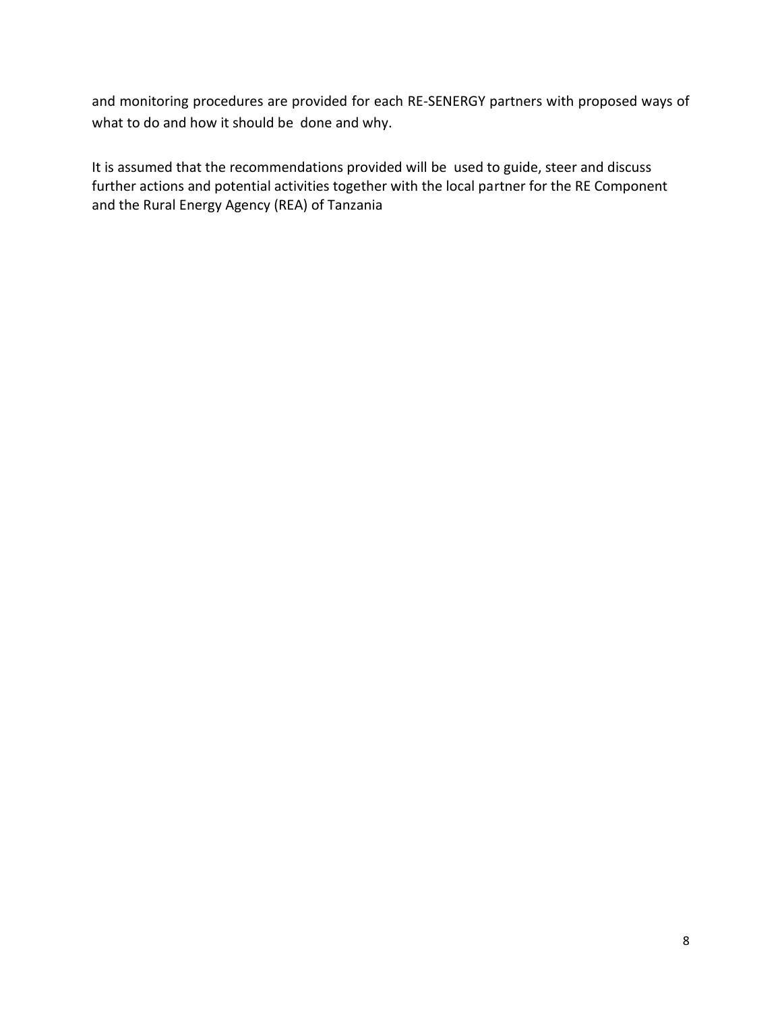and monitoring procedures are provided for each RE-SENERGY partners with proposed ways of what to do and how it should be done and why.

<span id="page-7-0"></span>It is assumed that the recommendations provided will be used to guide, steer and discuss further actions and potential activities together with the local partner for the RE Component and the Rural Energy Agency (REA) of Tanzania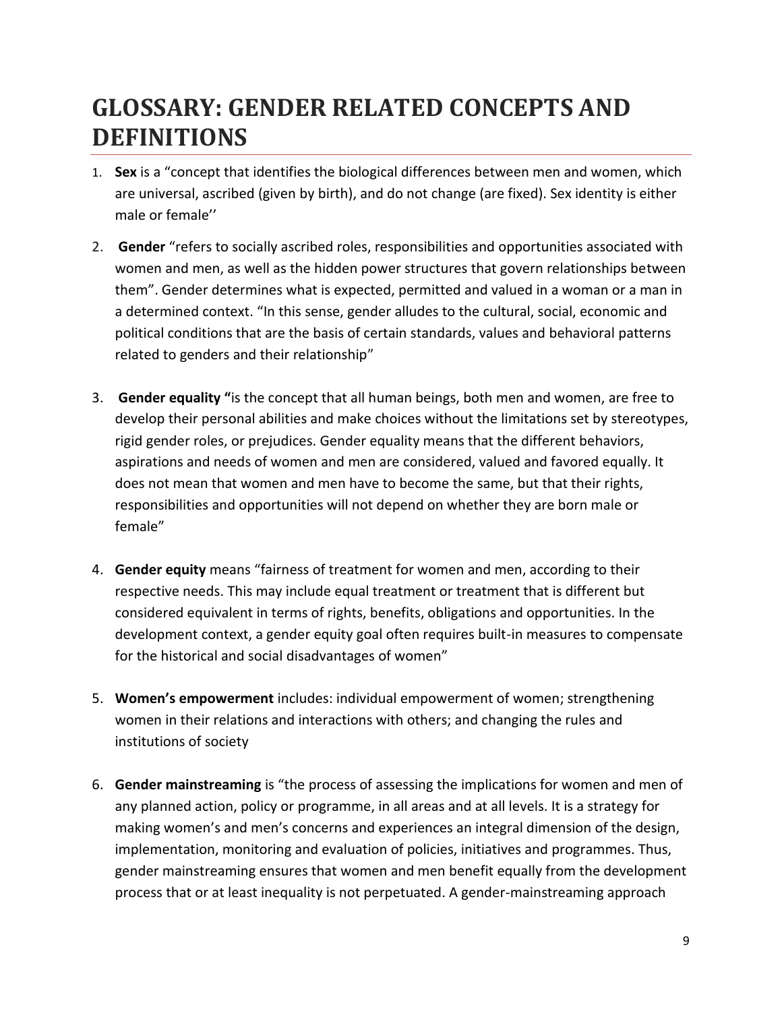# **GLOSSARY: GENDER RELATED CONCEPTS AND DEFINITIONS**

- 1. **Sex** is a "concept that identifies the biological differences between men and women, which are universal, ascribed (given by birth), and do not change (are fixed). Sex identity is either male or female''
- 2. **Gender** "refers to socially ascribed roles, responsibilities and opportunities associated with women and men, as well as the hidden power structures that govern relationships between them". Gender determines what is expected, permitted and valued in a woman or a man in a determined context. "In this sense, gender alludes to the cultural, social, economic and political conditions that are the basis of certain standards, values and behavioral patterns related to genders and their relationship"
- 3. **Gender equality "**is the concept that all human beings, both men and women, are free to develop their personal abilities and make choices without the limitations set by stereotypes, rigid gender roles, or prejudices. Gender equality means that the different behaviors, aspirations and needs of women and men are considered, valued and favored equally. It does not mean that women and men have to become the same, but that their rights, responsibilities and opportunities will not depend on whether they are born male or female"
- 4. **Gender equity** means "fairness of treatment for women and men, according to their respective needs. This may include equal treatment or treatment that is different but considered equivalent in terms of rights, benefits, obligations and opportunities. In the development context, a gender equity goal often requires built-in measures to compensate for the historical and social disadvantages of women"
- 5. **Women's empowerment** includes: individual empowerment of women; strengthening women in their relations and interactions with others; and changing the rules and institutions of society
- 6. **Gender mainstreaming** is "the process of assessing the implications for women and men of any planned action, policy or programme, in all areas and at all levels. It is a strategy for making women's and men's concerns and experiences an integral dimension of the design, implementation, monitoring and evaluation of policies, initiatives and programmes. Thus, gender mainstreaming ensures that women and men benefit equally from the development process that or at least inequality is not perpetuated. A gender-mainstreaming approach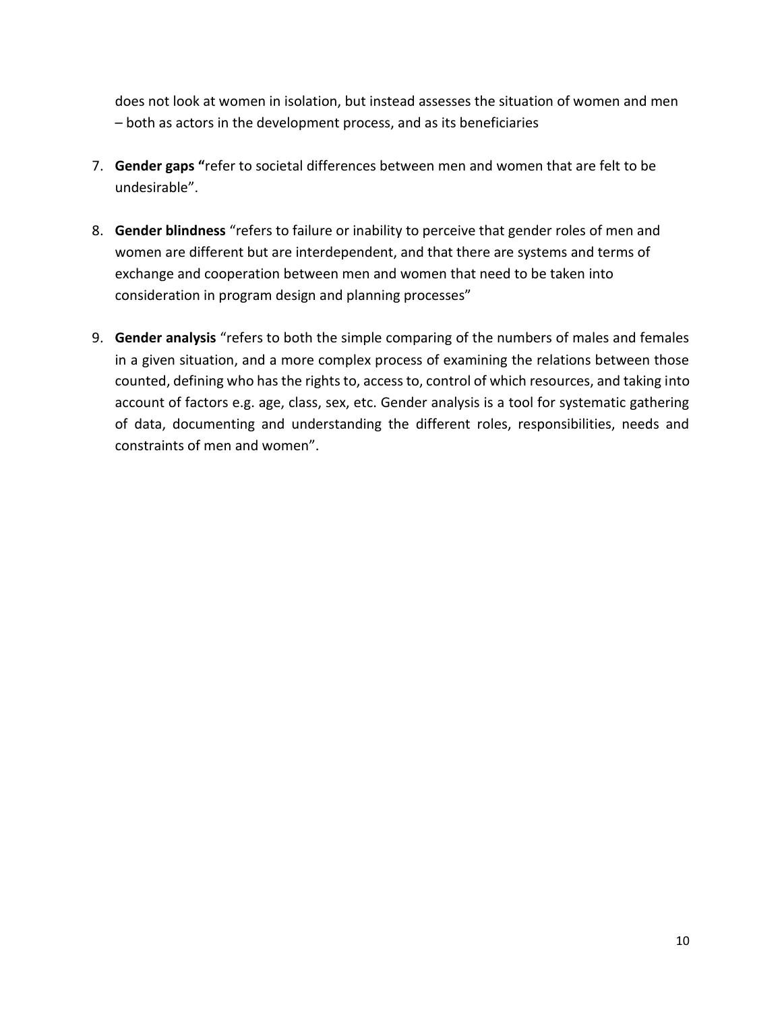does not look at women in isolation, but instead assesses the situation of women and men – both as actors in the development process, and as its beneficiaries

- 7. **Gender gaps "**refer to societal differences between men and women that are felt to be undesirable".
- 8. **Gender blindness** "refers to failure or inability to perceive that gender roles of men and women are different but are interdependent, and that there are systems and terms of exchange and cooperation between men and women that need to be taken into consideration in program design and planning processes"
- 9. **Gender analysis** "refers to both the simple comparing of the numbers of males and females in a given situation, and a more complex process of examining the relations between those counted, defining who has the rights to, access to, control of which resources, and taking into account of factors e.g. age, class, sex, etc. Gender analysis is a tool for systematic gathering of data, documenting and understanding the different roles, responsibilities, needs and constraints of men and women".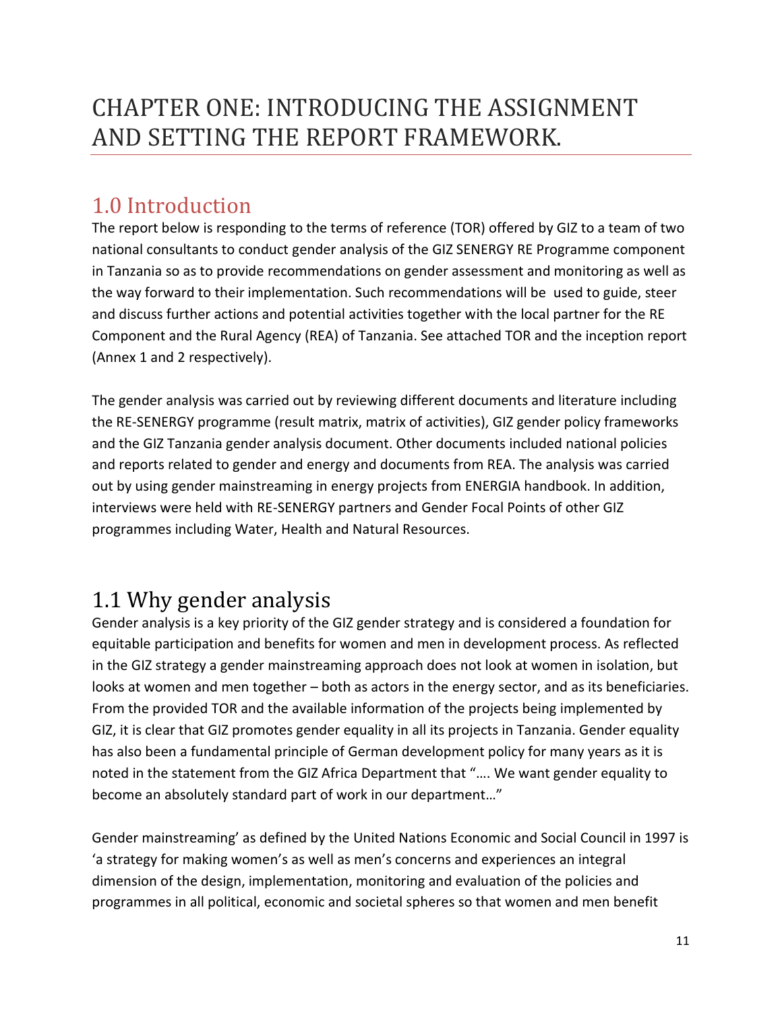# <span id="page-10-0"></span>CHAPTER ONE: INTRODUCING THE ASSIGNMENT AND SETTING THE REPORT FRAMEWORK.

## <span id="page-10-1"></span>1.0 Introduction

The report below is responding to the terms of reference (TOR) offered by GIZ to a team of two national consultants to conduct gender analysis of the GIZ SENERGY RE Programme component in Tanzania so as to provide recommendations on gender assessment and monitoring as well as the way forward to their implementation. Such recommendations will be used to guide, steer and discuss further actions and potential activities together with the local partner for the RE Component and the Rural Agency (REA) of Tanzania. See attached TOR and the inception report (Annex 1 and 2 respectively).

The gender analysis was carried out by reviewing different documents and literature including the RE-SENERGY programme (result matrix, matrix of activities), GIZ gender policy frameworks and the GIZ Tanzania gender analysis document. Other documents included national policies and reports related to gender and energy and documents from REA. The analysis was carried out by using gender mainstreaming in energy projects from ENERGIA handbook. In addition, interviews were held with RE-SENERGY partners and Gender Focal Points of other GIZ programmes including Water, Health and Natural Resources.

## <span id="page-10-2"></span>1.1 Why gender analysis

Gender analysis is a key priority of the GIZ gender strategy and is considered a foundation for equitable participation and benefits for women and men in development process. As reflected in the GIZ strategy a gender mainstreaming approach does not look at women in isolation, but looks at women and men together – both as actors in the energy sector, and as its beneficiaries. From the provided TOR and the available information of the projects being implemented by GIZ, it is clear that GIZ promotes gender equality in all its projects in Tanzania. Gender equality has also been a fundamental principle of German development policy for many years as it is noted in the statement from the GIZ Africa Department that "…. We want gender equality to become an absolutely standard part of work in our department…"

Gender mainstreaming' as defined by the United Nations Economic and Social Council in 1997 is 'a strategy for making women's as well as men's concerns and experiences an integral dimension of the design, implementation, monitoring and evaluation of the policies and programmes in all political, economic and societal spheres so that women and men benefit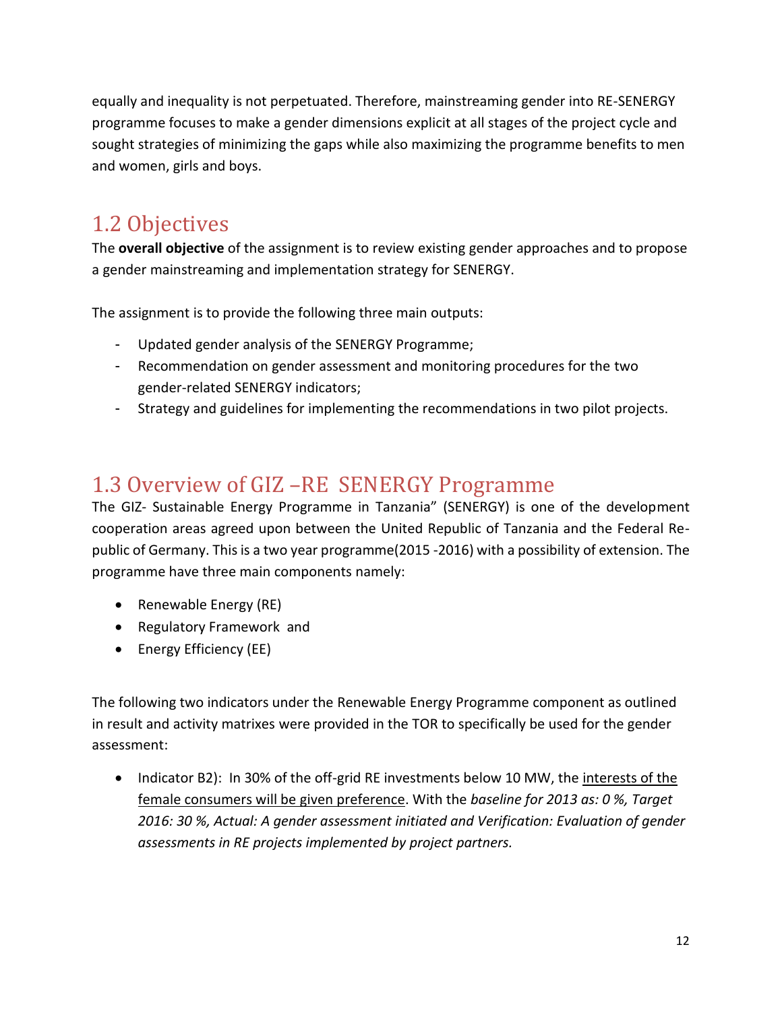equally and inequality is not perpetuated. Therefore, mainstreaming gender into RE-SENERGY programme focuses to make a gender dimensions explicit at all stages of the project cycle and sought strategies of minimizing the gaps while also maximizing the programme benefits to men and women, girls and boys.

## <span id="page-11-0"></span>1.2 Objectives

The **overall objective** of the assignment is to review existing gender approaches and to propose a gender mainstreaming and implementation strategy for SENERGY.

The assignment is to provide the following three main outputs:

- Updated gender analysis of the SENERGY Programme;
- Recommendation on gender assessment and monitoring procedures for the two gender-related SENERGY indicators;
- Strategy and guidelines for implementing the recommendations in two pilot projects.

## <span id="page-11-1"></span>1.3 Overview of GIZ –RE SENERGY Programme

The GIZ- Sustainable Energy Programme in Tanzania" (SENERGY) is one of the development cooperation areas agreed upon between the United Republic of Tanzania and the Federal Republic of Germany. This is a two year programme(2015 -2016) with a possibility of extension. The programme have three main components namely:

- Renewable Energy (RE)
- Regulatory Framework and
- Energy Efficiency (EE)

The following two indicators under the Renewable Energy Programme component as outlined in result and activity matrixes were provided in the TOR to specifically be used for the gender assessment:

• Indicator B2): In 30% of the off-grid RE investments below 10 MW, the interests of the female consumers will be given preference. With the *baseline for 2013 as: 0 %, Target 2016: 30 %, Actual: A gender assessment initiated and Verification: Evaluation of gender assessments in RE projects implemented by project partners.*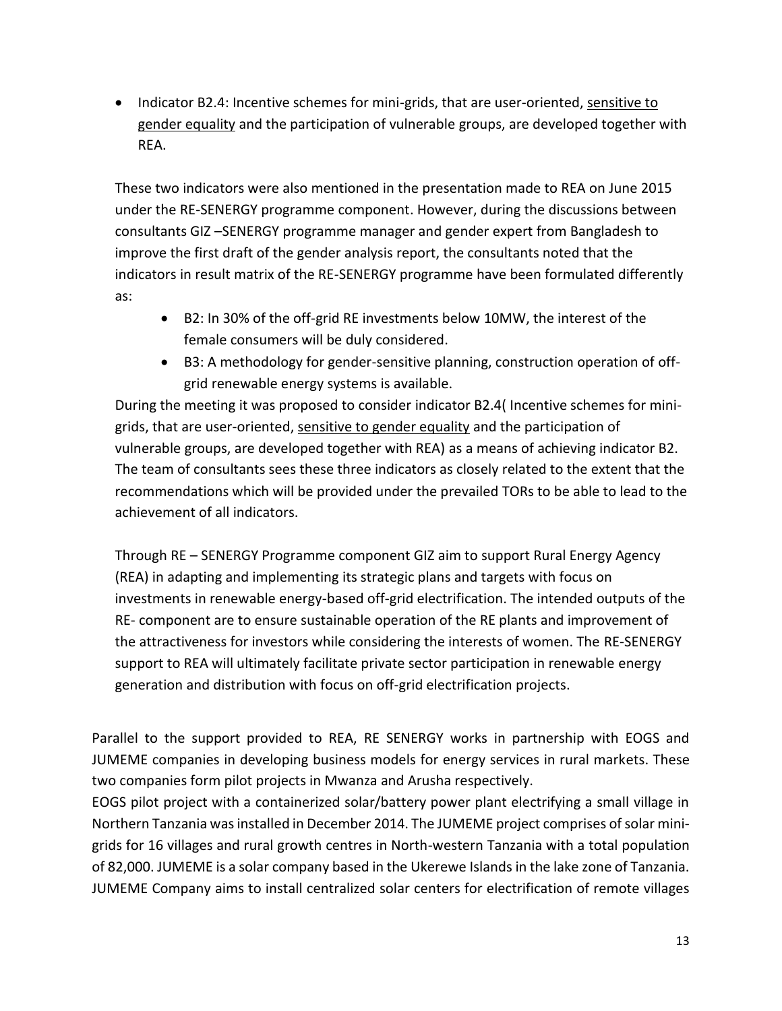• Indicator B2.4: Incentive schemes for mini-grids, that are user-oriented, sensitive to gender equality and the participation of vulnerable groups, are developed together with REA.

These two indicators were also mentioned in the presentation made to REA on June 2015 under the RE-SENERGY programme component. However, during the discussions between consultants GIZ –SENERGY programme manager and gender expert from Bangladesh to improve the first draft of the gender analysis report, the consultants noted that the indicators in result matrix of the RE-SENERGY programme have been formulated differently as:

- B2: In 30% of the off-grid RE investments below 10MW, the interest of the female consumers will be duly considered.
- B3: A methodology for gender-sensitive planning, construction operation of offgrid renewable energy systems is available.

During the meeting it was proposed to consider indicator B2.4( Incentive schemes for minigrids, that are user-oriented, sensitive to gender equality and the participation of vulnerable groups, are developed together with REA) as a means of achieving indicator B2. The team of consultants sees these three indicators as closely related to the extent that the recommendations which will be provided under the prevailed TORs to be able to lead to the achievement of all indicators.

Through RE – SENERGY Programme component GIZ aim to support Rural Energy Agency (REA) in adapting and implementing its strategic plans and targets with focus on investments in renewable energy-based off-grid electrification. The intended outputs of the RE- component are to ensure sustainable operation of the RE plants and improvement of the attractiveness for investors while considering the interests of women. The RE-SENERGY support to REA will ultimately facilitate private sector participation in renewable energy generation and distribution with focus on off-grid electrification projects.

Parallel to the support provided to REA, RE SENERGY works in partnership with EOGS and JUMEME companies in developing business models for energy services in rural markets. These two companies form pilot projects in Mwanza and Arusha respectively.

EOGS pilot project with a containerized solar/battery power plant electrifying a small village in Northern Tanzania was installed in December 2014. The JUMEME project comprises of solar minigrids for 16 villages and rural growth centres in North-western Tanzania with a total population of 82,000. JUMEME is a solar company based in the Ukerewe Islands in the lake zone of Tanzania. JUMEME Company aims to install centralized solar centers for electrification of remote villages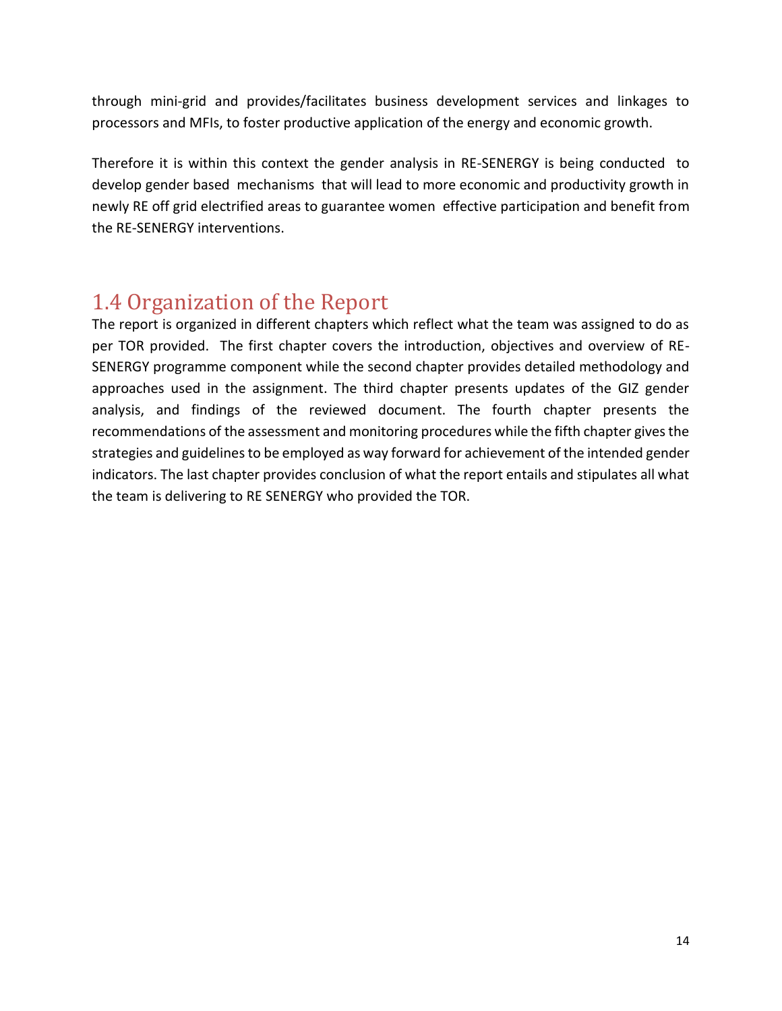through mini-grid and provides/facilitates business development services and linkages to processors and MFIs, to foster productive application of the energy and economic growth.

Therefore it is within this context the gender analysis in RE-SENERGY is being conducted to develop gender based mechanisms that will lead to more economic and productivity growth in newly RE off grid electrified areas to guarantee women effective participation and benefit from the RE-SENERGY interventions.

## <span id="page-13-0"></span>1.4 Organization of the Report

The report is organized in different chapters which reflect what the team was assigned to do as per TOR provided. The first chapter covers the introduction, objectives and overview of RE-SENERGY programme component while the second chapter provides detailed methodology and approaches used in the assignment. The third chapter presents updates of the GIZ gender analysis, and findings of the reviewed document. The fourth chapter presents the recommendations of the assessment and monitoring procedures while the fifth chapter gives the strategies and guidelines to be employed as way forward for achievement of the intended gender indicators. The last chapter provides conclusion of what the report entails and stipulates all what the team is delivering to RE SENERGY who provided the TOR.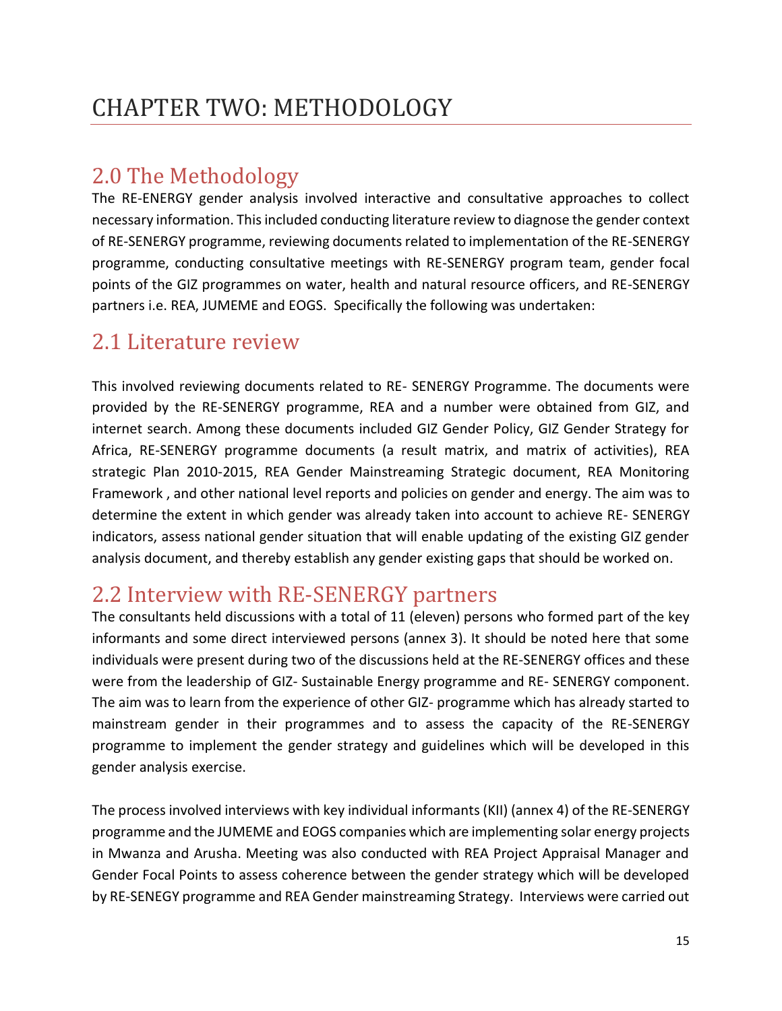## <span id="page-14-1"></span><span id="page-14-0"></span>2.0 The Methodology

The RE-ENERGY gender analysis involved interactive and consultative approaches to collect necessary information. This included conducting literature review to diagnose the gender context of RE-SENERGY programme, reviewing documents related to implementation of the RE-SENERGY programme, conducting consultative meetings with RE-SENERGY program team, gender focal points of the GIZ programmes on water, health and natural resource officers, and RE-SENERGY partners i.e. REA, JUMEME and EOGS. Specifically the following was undertaken:

## <span id="page-14-2"></span>2.1 Literature review

This involved reviewing documents related to RE- SENERGY Programme. The documents were provided by the RE-SENERGY programme, REA and a number were obtained from GIZ, and internet search. Among these documents included GIZ Gender Policy, GIZ Gender Strategy for Africa, RE-SENERGY programme documents (a result matrix, and matrix of activities), REA strategic Plan 2010-2015, REA Gender Mainstreaming Strategic document, REA Monitoring Framework , and other national level reports and policies on gender and energy. The aim was to determine the extent in which gender was already taken into account to achieve RE- SENERGY indicators, assess national gender situation that will enable updating of the existing GIZ gender analysis document, and thereby establish any gender existing gaps that should be worked on.

## <span id="page-14-3"></span>2.2 Interview with RE-SENERGY partners

The consultants held discussions with a total of 11 (eleven) persons who formed part of the key informants and some direct interviewed persons (annex 3). It should be noted here that some individuals were present during two of the discussions held at the RE-SENERGY offices and these were from the leadership of GIZ- Sustainable Energy programme and RE- SENERGY component. The aim was to learn from the experience of other GIZ- programme which has already started to mainstream gender in their programmes and to assess the capacity of the RE-SENERGY programme to implement the gender strategy and guidelines which will be developed in this gender analysis exercise.

The process involved interviews with key individual informants (KII) (annex 4) of the RE-SENERGY programme and the JUMEME and EOGS companies which are implementing solar energy projects in Mwanza and Arusha. Meeting was also conducted with REA Project Appraisal Manager and Gender Focal Points to assess coherence between the gender strategy which will be developed by RE-SENEGY programme and REA Gender mainstreaming Strategy. Interviews were carried out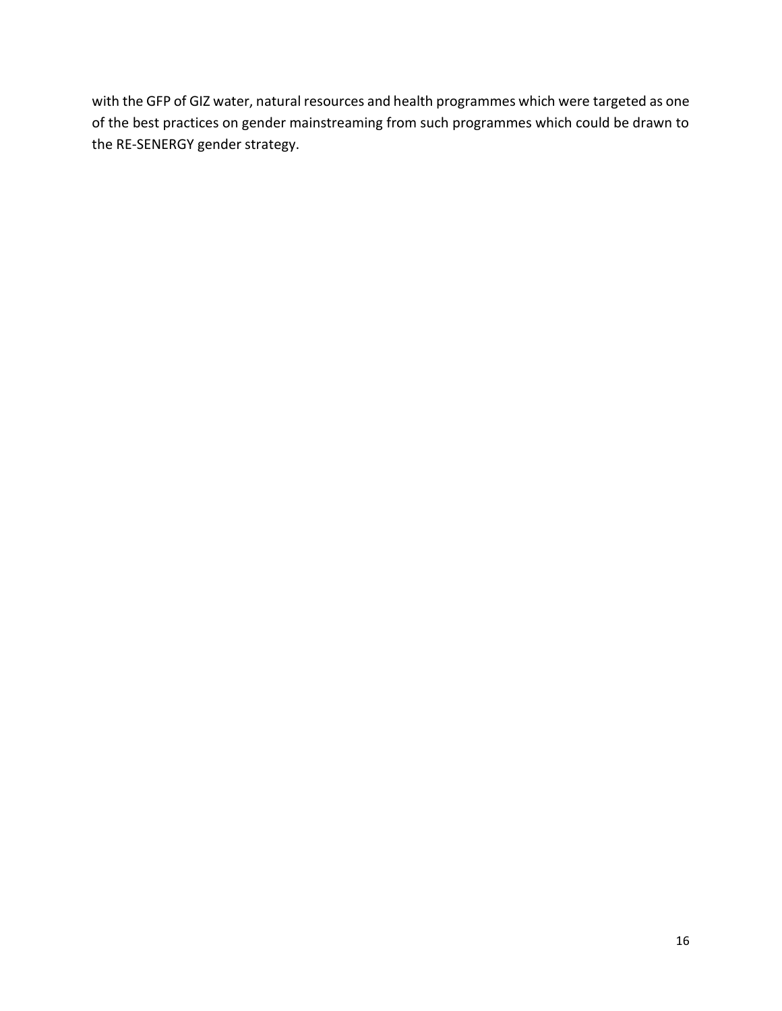with the GFP of GIZ water, natural resources and health programmes which were targeted as one of the best practices on gender mainstreaming from such programmes which could be drawn to the RE-SENERGY gender strategy.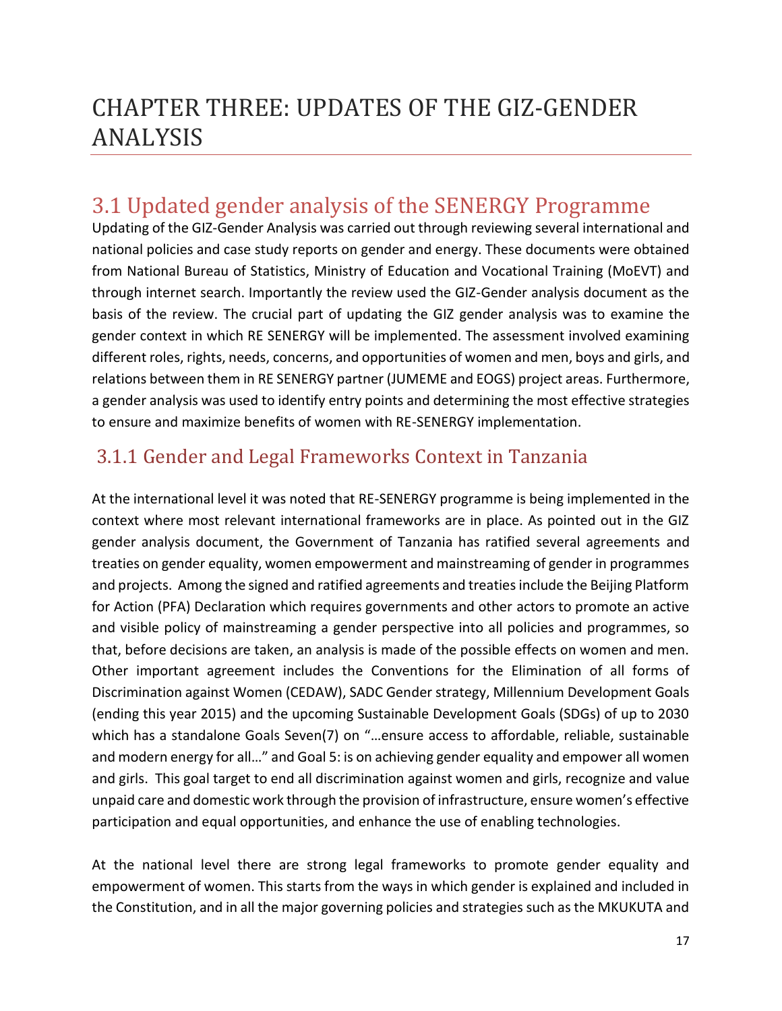# <span id="page-16-0"></span>CHAPTER THREE: UPDATES OF THE GIZ-GENDER ANALYSIS

## <span id="page-16-1"></span>3.1 Updated gender analysis of the SENERGY Programme

Updating of the GIZ-Gender Analysis was carried out through reviewing several international and national policies and case study reports on gender and energy. These documents were obtained from National Bureau of Statistics, Ministry of Education and Vocational Training (MoEVT) and through internet search. Importantly the review used the GIZ-Gender analysis document as the basis of the review. The crucial part of updating the GIZ gender analysis was to examine the gender context in which RE SENERGY will be implemented. The assessment involved examining different roles, rights, needs, concerns, and opportunities of women and men, boys and girls, and relations between them in RE SENERGY partner (JUMEME and EOGS) project areas. Furthermore, a gender analysis was used to identify entry points and determining the most effective strategies to ensure and maximize benefits of women with RE-SENERGY implementation.

### <span id="page-16-2"></span>3.1.1 Gender and Legal Frameworks Context in Tanzania

At the international level it was noted that RE-SENERGY programme is being implemented in the context where most relevant international frameworks are in place. As pointed out in the GIZ gender analysis document, the Government of Tanzania has ratified several agreements and treaties on gender equality, women empowerment and mainstreaming of gender in programmes and projects. Among the signed and ratified agreements and treaties include the Beijing Platform for Action (PFA) Declaration which requires governments and other actors to promote an active and visible policy of mainstreaming a gender perspective into all policies and programmes, so that, before decisions are taken, an analysis is made of the possible effects on women and men. Other important agreement includes the Conventions for the Elimination of all forms of Discrimination against Women (CEDAW), SADC Gender strategy, Millennium Development Goals (ending this year 2015) and the upcoming Sustainable Development Goals (SDGs) of up to 2030 which has a standalone Goals Seven(7) on "…ensure access to affordable, reliable, sustainable and modern energy for all…" and Goal 5: is on achieving gender equality and empower all women and girls. This goal target to end all discrimination against women and girls, recognize and value unpaid care and domestic work through the provision of infrastructure, ensure women's effective participation and equal opportunities, and enhance the use of enabling technologies.

At the national level there are strong legal frameworks to promote gender equality and empowerment of women. This starts from the ways in which gender is explained and included in the Constitution, and in all the major governing policies and strategies such as the MKUKUTA and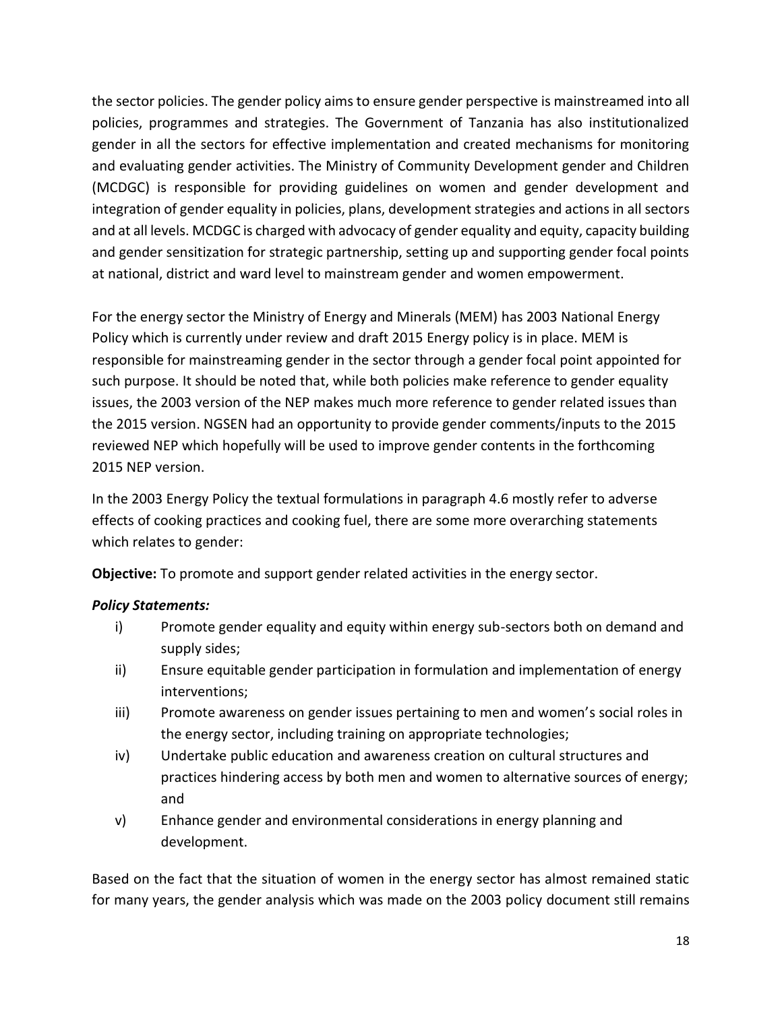the sector policies. The gender policy aims to ensure gender perspective is mainstreamed into all policies, programmes and strategies. The Government of Tanzania has also institutionalized gender in all the sectors for effective implementation and created mechanisms for monitoring and evaluating gender activities. The Ministry of Community Development gender and Children (MCDGC) is responsible for providing guidelines on women and gender development and integration of gender equality in policies, plans, development strategies and actions in all sectors and at all levels. MCDGC is charged with advocacy of gender equality and equity, capacity building and gender sensitization for strategic partnership, setting up and supporting gender focal points at national, district and ward level to mainstream gender and women empowerment.

For the energy sector the Ministry of Energy and Minerals (MEM) has 2003 National Energy Policy which is currently under review and draft 2015 Energy policy is in place. MEM is responsible for mainstreaming gender in the sector through a gender focal point appointed for such purpose. It should be noted that, while both policies make reference to gender equality issues, the 2003 version of the NEP makes much more reference to gender related issues than the 2015 version. NGSEN had an opportunity to provide gender comments/inputs to the 2015 reviewed NEP which hopefully will be used to improve gender contents in the forthcoming 2015 NEP version.

In the 2003 Energy Policy the textual formulations in paragraph 4.6 mostly refer to adverse effects of cooking practices and cooking fuel, there are some more overarching statements which relates to gender:

**Objective:** To promote and support gender related activities in the energy sector.

### *Policy Statements:*

- i) Promote gender equality and equity within energy sub-sectors both on demand and supply sides;
- ii) Ensure equitable gender participation in formulation and implementation of energy interventions;
- iii) Promote awareness on gender issues pertaining to men and women's social roles in the energy sector, including training on appropriate technologies;
- iv) Undertake public education and awareness creation on cultural structures and practices hindering access by both men and women to alternative sources of energy; and
- v) Enhance gender and environmental considerations in energy planning and development.

Based on the fact that the situation of women in the energy sector has almost remained static for many years, the gender analysis which was made on the 2003 policy document still remains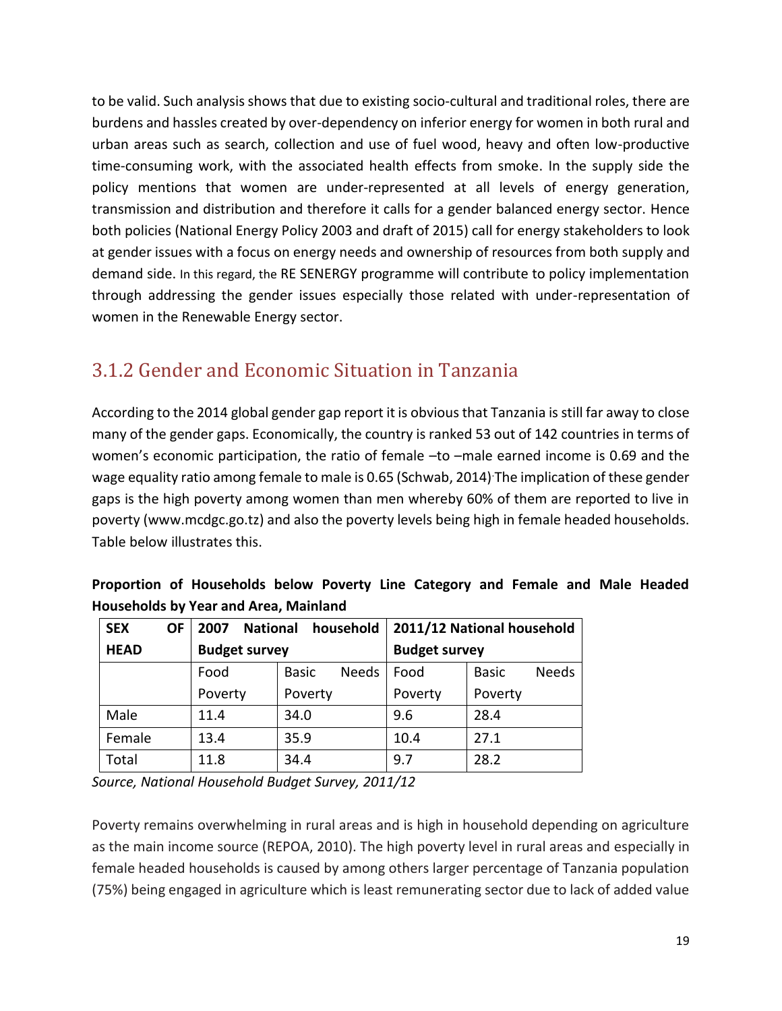to be valid. Such analysis shows that due to existing socio-cultural and traditional roles, there are burdens and hassles created by over-dependency on inferior energy for women in both rural and urban areas such as search, collection and use of fuel wood, heavy and often low-productive time-consuming work, with the associated health effects from smoke. In the supply side the policy mentions that women are under-represented at all levels of energy generation, transmission and distribution and therefore it calls for a gender balanced energy sector. Hence both policies (National Energy Policy 2003 and draft of 2015) call for energy stakeholders to look at gender issues with a focus on energy needs and ownership of resources from both supply and demand side. In this regard, the RE SENERGY programme will contribute to policy implementation through addressing the gender issues especially those related with under-representation of women in the Renewable Energy sector.

## <span id="page-18-0"></span>3.1.2 Gender and Economic Situation in Tanzania

According to the 2014 global gender gap report it is obvious that Tanzania is still far away to close many of the gender gaps. Economically, the country is ranked 53 out of 142 countries in terms of women's economic participation, the ratio of female –to –male earned income is 0.69 and the wage equality ratio among female to male is 0.65 (Schwab, 2014).The implication of these gender gaps is the high poverty among women than men whereby 60% of them are reported to live in poverty [\(www.mcdgc.go.tz\)](http://www.mcdgc.go.tz/) and also the poverty levels being high in female headed households. Table below illustrates this.

| <u>HOUSEHOIUS DY TEAL AND ATEA, IVIAIHIAHU</u> |           |                                              |                                                            |         |                              |  |  |  |  |  |
|------------------------------------------------|-----------|----------------------------------------------|------------------------------------------------------------|---------|------------------------------|--|--|--|--|--|
| <b>SEX</b>                                     | <b>OF</b> | 2007                                         | 2011/12 National household<br>household<br><b>National</b> |         |                              |  |  |  |  |  |
| <b>HEAD</b>                                    |           | <b>Budget survey</b><br><b>Budget survey</b> |                                                            |         |                              |  |  |  |  |  |
|                                                |           | Food                                         | <b>Needs</b><br><b>Basic</b>                               | Food    | <b>Needs</b><br><b>Basic</b> |  |  |  |  |  |
|                                                |           | Poverty                                      | Poverty                                                    | Poverty | Poverty                      |  |  |  |  |  |
| Male                                           |           | 11.4                                         | 34.0                                                       | 9.6     | 28.4                         |  |  |  |  |  |
| Female                                         |           | 13.4                                         | 35.9                                                       | 10.4    | 27.1                         |  |  |  |  |  |
| Total                                          |           | 11.8                                         | 34.4                                                       | 9.7     | 28.2                         |  |  |  |  |  |

|  | Proportion of Households below Poverty Line Category and Female and Male Headed |  |  |  |  |  |
|--|---------------------------------------------------------------------------------|--|--|--|--|--|
|  | <b>Households by Year and Area, Mainland</b>                                    |  |  |  |  |  |

*Source, National Household Budget Survey, 2011/12*

Poverty remains overwhelming in rural areas and is high in household depending on agriculture as the main income source (REPOA, 2010). The high poverty level in rural areas and especially in female headed households is caused by among others larger percentage of Tanzania population (75%) being engaged in agriculture which is least remunerating sector due to lack of added value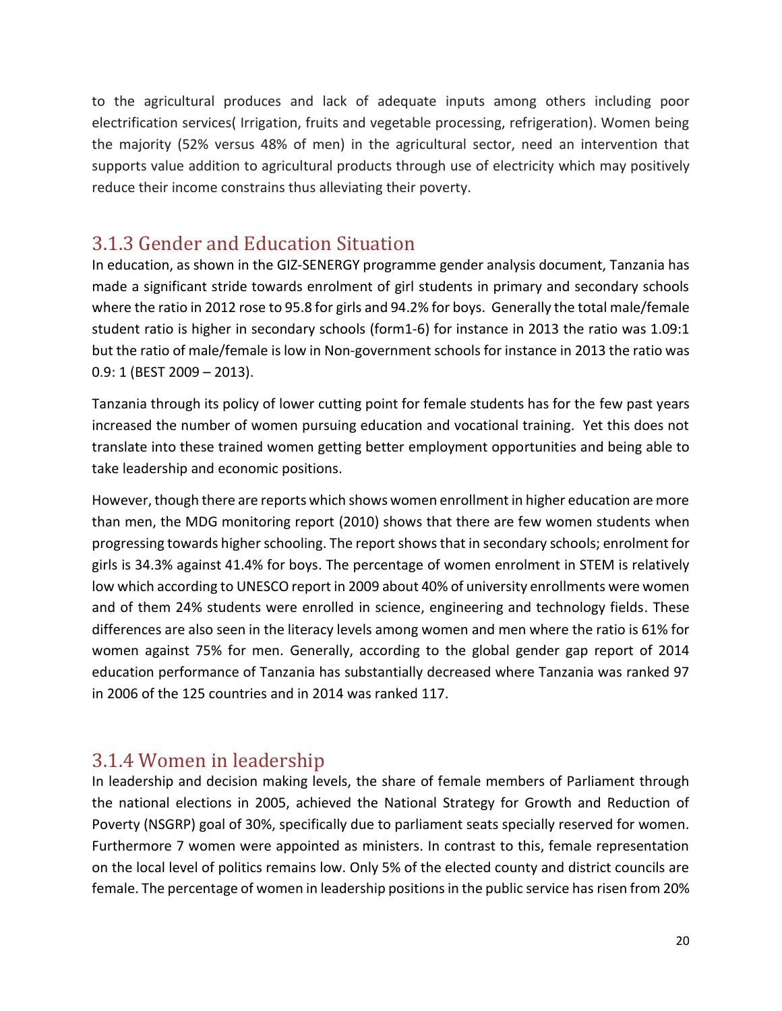to the agricultural produces and lack of adequate inputs among others including poor electrification services( Irrigation, fruits and vegetable processing, refrigeration). Women being the majority (52% versus 48% of men) in the agricultural sector, need an intervention that supports value addition to agricultural products through use of electricity which may positively reduce their income constrains thus alleviating their poverty.

### <span id="page-19-0"></span>3.1.3 Gender and Education Situation

In education, as shown in the GIZ-SENERGY programme gender analysis document, Tanzania has made a significant stride towards enrolment of girl students in primary and secondary schools where the ratio in 2012 rose to 95.8 for girls and 94.2% for boys. Generally the total male/female student ratio is higher in secondary schools (form1-6) for instance in 2013 the ratio was 1.09:1 but the ratio of male/female is low in Non-government schools for instance in 2013 the ratio was 0.9: 1 (BEST 2009 – 2013).

Tanzania through its policy of lower cutting point for female students has for the few past years increased the number of women pursuing education and vocational training. Yet this does not translate into these trained women getting better employment opportunities and being able to take leadership and economic positions.

However, though there are reports which shows women enrollment in higher education are more than men, the MDG monitoring report (2010) shows that there are few women students when progressing towards higher schooling. The report shows that in secondary schools; enrolment for girls is 34.3% against 41.4% for boys. The percentage of women enrolment in STEM is relatively low which according to UNESCO report in 2009 about 40% of university enrollments were women and of them 24% students were enrolled in science, engineering and technology fields. These differences are also seen in the literacy levels among women and men where the ratio is 61% for women against 75% for men. Generally, according to the global gender gap report of 2014 education performance of Tanzania has substantially decreased where Tanzania was ranked 97 in 2006 of the 125 countries and in 2014 was ranked 117.

### <span id="page-19-1"></span>3.1.4 Women in leadership

In leadership and decision making levels, the share of female members of Parliament through the national elections in 2005, achieved the National Strategy for Growth and Reduction of Poverty (NSGRP) goal of 30%, specifically due to parliament seats specially reserved for women. Furthermore 7 women were appointed as ministers. In contrast to this, female representation on the local level of politics remains low. Only 5% of the elected county and district councils are female. The percentage of women in leadership positions in the public service has risen from 20%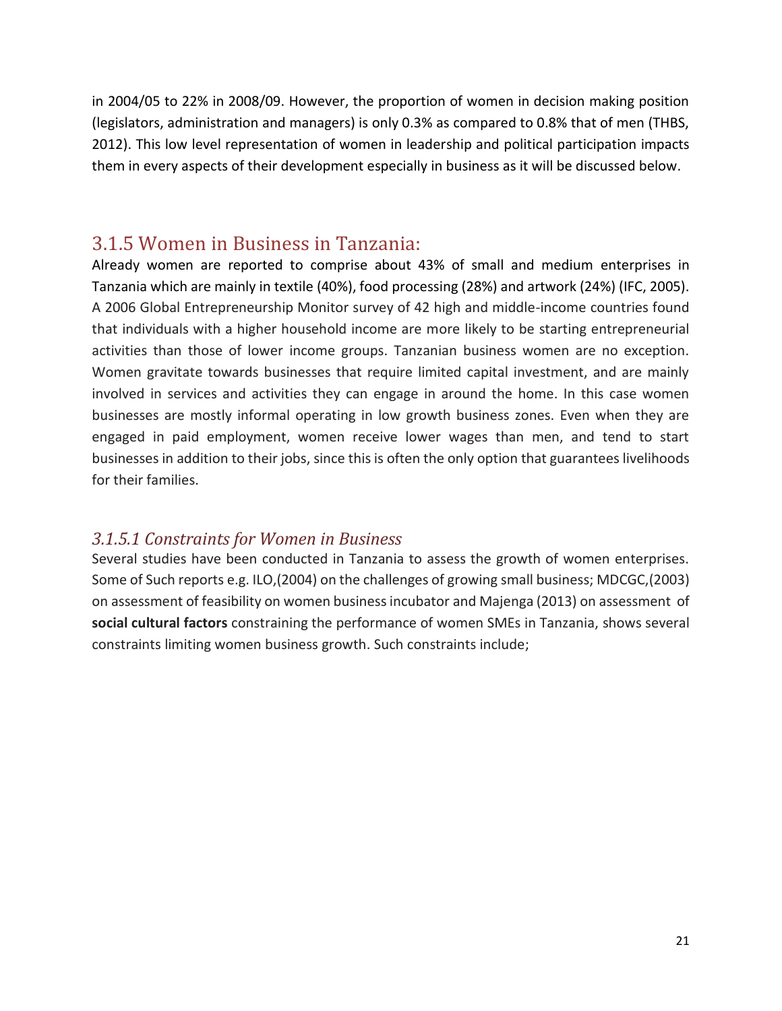in 2004/05 to 22% in 2008/09. However, the proportion of women in decision making position (legislators, administration and managers) is only 0.3% as compared to 0.8% that of men (THBS, 2012). This low level representation of women in leadership and political participation impacts them in every aspects of their development especially in business as it will be discussed below.

### <span id="page-20-0"></span>3.1.5 Women in Business in Tanzania:

Already women are reported to comprise about 43% of small and medium enterprises in Tanzania which are mainly in textile (40%), food processing (28%) and artwork (24%) (IFC, 2005). A 2006 Global Entrepreneurship Monitor survey of 42 high and middle-income countries found that individuals with a higher household income are more likely to be starting entrepreneurial activities than those of lower income groups. Tanzanian business women are no exception. Women gravitate towards businesses that require limited capital investment, and are mainly involved in services and activities they can engage in around the home. In this case women businesses are mostly informal operating in low growth business zones. Even when they are engaged in paid employment, women receive lower wages than men, and tend to start businesses in addition to their jobs, since this is often the only option that guarantees livelihoods for their families.

### *3.1.5.1 Constraints for Women in Business*

Several studies have been conducted in Tanzania to assess the growth of women enterprises. Some of Such reports e.g. ILO,(2004) on the challenges of growing small business; MDCGC,(2003) on assessment of feasibility on women business incubator and Majenga (2013) on assessment of **social cultural factors** constraining the performance of women SMEs in Tanzania, shows several constraints limiting women business growth. Such constraints include;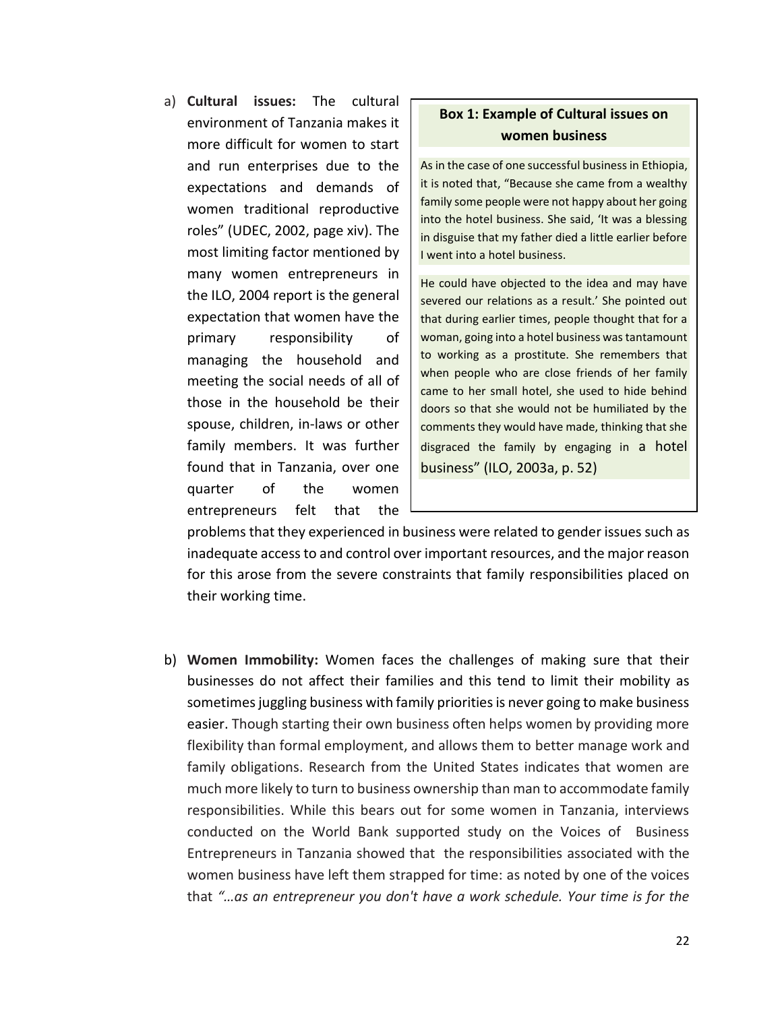a) **Cultural issues:** The cultural environment of Tanzania makes it more difficult for women to start and run enterprises due to the expectations and demands of women traditional reproductive roles" (UDEC, 2002, page xiv). The most limiting factor mentioned by many women entrepreneurs in the ILO, 2004 report is the general expectation that women have the primary responsibility of managing the household and meeting the social needs of all of those in the household be their spouse, children, in-laws or other family members. It was further found that in Tanzania, over one quarter of the women entrepreneurs felt that the

### **Box 1: Example of Cultural issues on women business**

As in the case of one successful business in Ethiopia, it is noted that, "Because she came from a wealthy family some people were not happy about her going into the hotel business. She said, 'It was a blessing in disguise that my father died a little earlier before I went into a hotel business.

He could have objected to the idea and may have severed our relations as a result.' She pointed out that during earlier times, people thought that for a woman, going into a hotel business was tantamount to working as a prostitute. She remembers that when people who are close friends of her family came to her small hotel, she used to hide behind doors so that she would not be humiliated by the comments they would have made, thinking that she disgraced the family by engaging in a hotel business" (ILO, 2003a, p. 52)

problems that they experienced in business were related to gender issues such as inadequate access to and control over important resources, and the major reason for this arose from the severe constraints that family responsibilities placed on their working time.

b) **Women Immobility:** Women faces the challenges of making sure that their businesses do not affect their families and this tend to limit their mobility as sometimes juggling business with family priorities is never going to make business easier. Though starting their own business often helps women by providing more flexibility than formal employment, and allows them to better manage work and family obligations. Research from the United States indicates that women are much more likely to turn to business ownership than man to accommodate family responsibilities. While this bears out for some women in Tanzania, interviews conducted on the World Bank supported study on the Voices of Business Entrepreneurs in Tanzania showed that the responsibilities associated with the women business have left them strapped for time: as noted by one of the voices that *"…as an entrepreneur you don't have a work schedule. Your time is for the*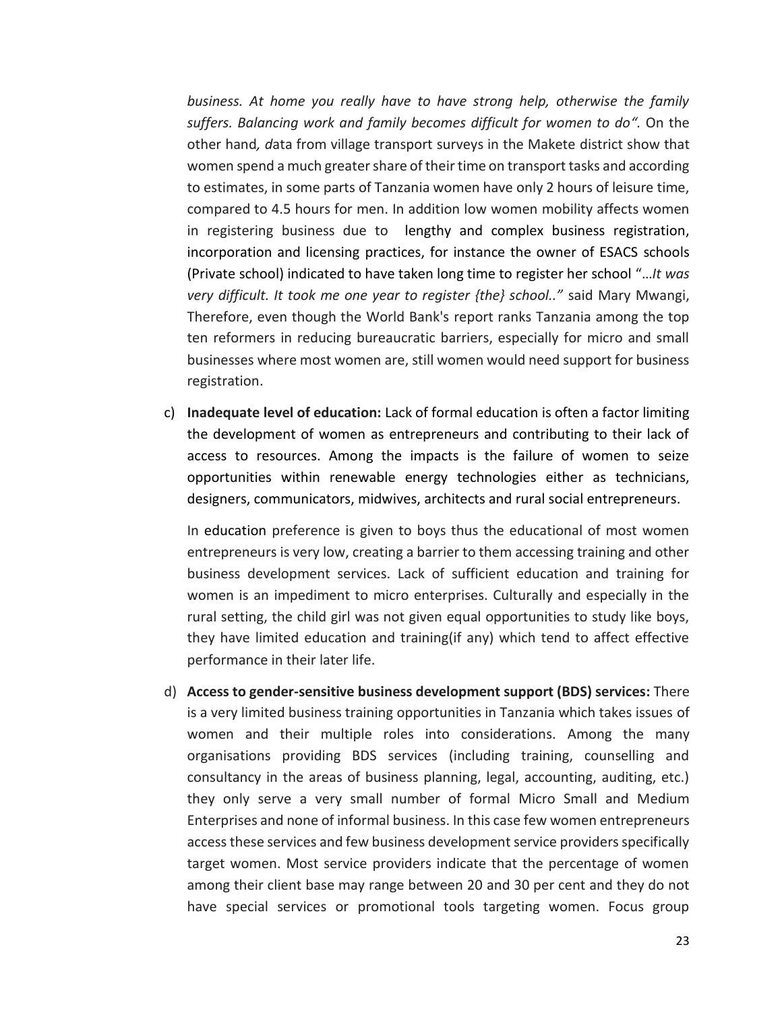*business. At home you really have to have strong help, otherwise the family suffers. Balancing work and family becomes difficult for women to do".* On the other hand*, d*ata from village transport surveys in the Makete district show that women spend a much greater share of their time on transport tasks and according to estimates, in some parts of Tanzania women have only 2 hours of leisure time, compared to 4.5 hours for men. In addition low women mobility affects women in registering business due to lengthy and complex business registration, incorporation and licensing practices, for instance the owner of ESACS schools (Private school) indicated to have taken long time to register her school "…*It was very difficult. It took me one year to register {the} school.."* said Mary Mwangi, Therefore, even though the World Bank's report ranks Tanzania among the top ten reformers in reducing bureaucratic barriers, especially for micro and small businesses where most women are, still women would need support for business registration.

c) **Inadequate level of education:** Lack of formal education is often a factor limiting the development of women as entrepreneurs and contributing to their lack of access to resources. Among the impacts is the failure of women to seize opportunities within renewable energy technologies either as technicians, designers, communicators, midwives, architects and rural social entrepreneurs.

In education preference is given to boys thus the educational of most women entrepreneurs is very low, creating a barrier to them accessing training and other business development services. Lack of sufficient education and training for women is an impediment to micro enterprises. Culturally and especially in the rural setting, the child girl was not given equal opportunities to study like boys, they have limited education and training(if any) which tend to affect effective performance in their later life.

d) **Access to gender-sensitive business development support (BDS) services:** There is a very limited business training opportunities in Tanzania which takes issues of women and their multiple roles into considerations. Among the many organisations providing BDS services (including training, counselling and consultancy in the areas of business planning, legal, accounting, auditing, etc.) they only serve a very small number of formal Micro Small and Medium Enterprises and none of informal business. In this case few women entrepreneurs access these services and few business development service providers specifically target women. Most service providers indicate that the percentage of women among their client base may range between 20 and 30 per cent and they do not have special services or promotional tools targeting women. Focus group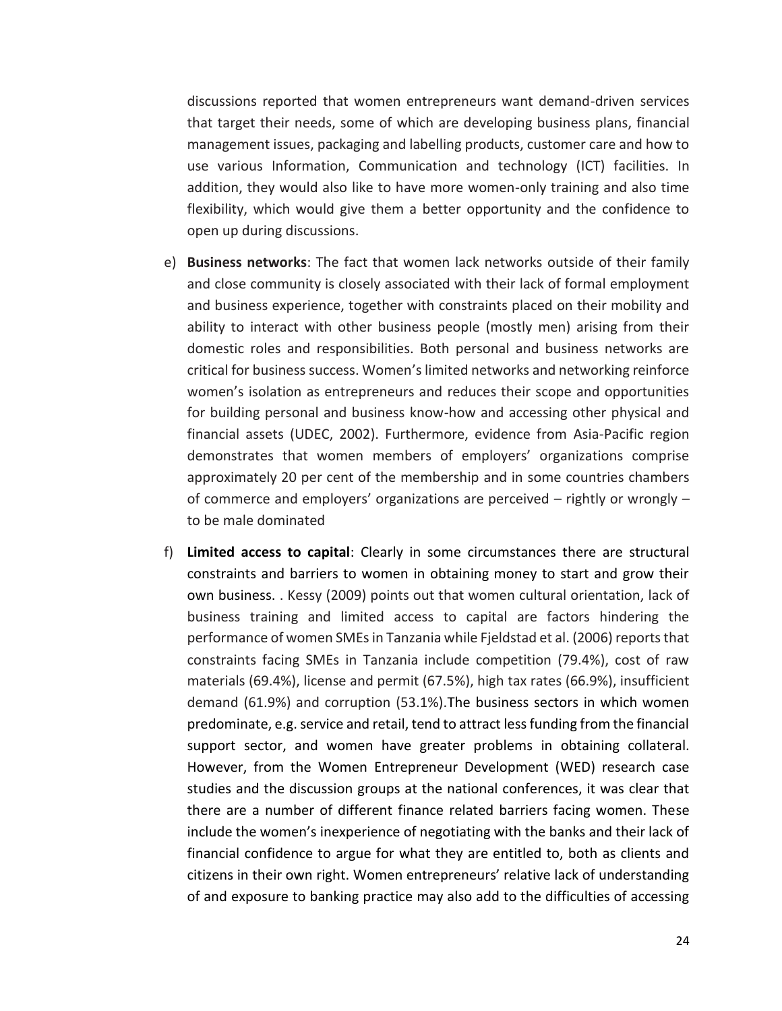discussions reported that women entrepreneurs want demand-driven services that target their needs, some of which are developing business plans, financial management issues, packaging and labelling products, customer care and how to use various Information, Communication and technology (ICT) facilities. In addition, they would also like to have more women-only training and also time flexibility, which would give them a better opportunity and the confidence to open up during discussions.

- e) **Business networks**: The fact that women lack networks outside of their family and close community is closely associated with their lack of formal employment and business experience, together with constraints placed on their mobility and ability to interact with other business people (mostly men) arising from their domestic roles and responsibilities. Both personal and business networks are critical for business success. Women's limited networks and networking reinforce women's isolation as entrepreneurs and reduces their scope and opportunities for building personal and business know-how and accessing other physical and financial assets (UDEC, 2002). Furthermore, evidence from Asia-Pacific region demonstrates that women members of employers' organizations comprise approximately 20 per cent of the membership and in some countries chambers of commerce and employers' organizations are perceived – rightly or wrongly – to be male dominated
- f) **Limited access to capital**: Clearly in some circumstances there are structural constraints and barriers to women in obtaining money to start and grow their own business. . Kessy (2009) points out that women cultural orientation, lack of business training and limited access to capital are factors hindering the performance of women SMEs in Tanzania while Fjeldstad et al. (2006) reports that constraints facing SMEs in Tanzania include competition (79.4%), cost of raw materials (69.4%), license and permit (67.5%), high tax rates (66.9%), insufficient demand (61.9%) and corruption (53.1%).The business sectors in which women predominate, e.g. service and retail, tend to attract less funding from the financial support sector, and women have greater problems in obtaining collateral. However, from the Women Entrepreneur Development (WED) research case studies and the discussion groups at the national conferences, it was clear that there are a number of different finance related barriers facing women. These include the women's inexperience of negotiating with the banks and their lack of financial confidence to argue for what they are entitled to, both as clients and citizens in their own right. Women entrepreneurs' relative lack of understanding of and exposure to banking practice may also add to the difficulties of accessing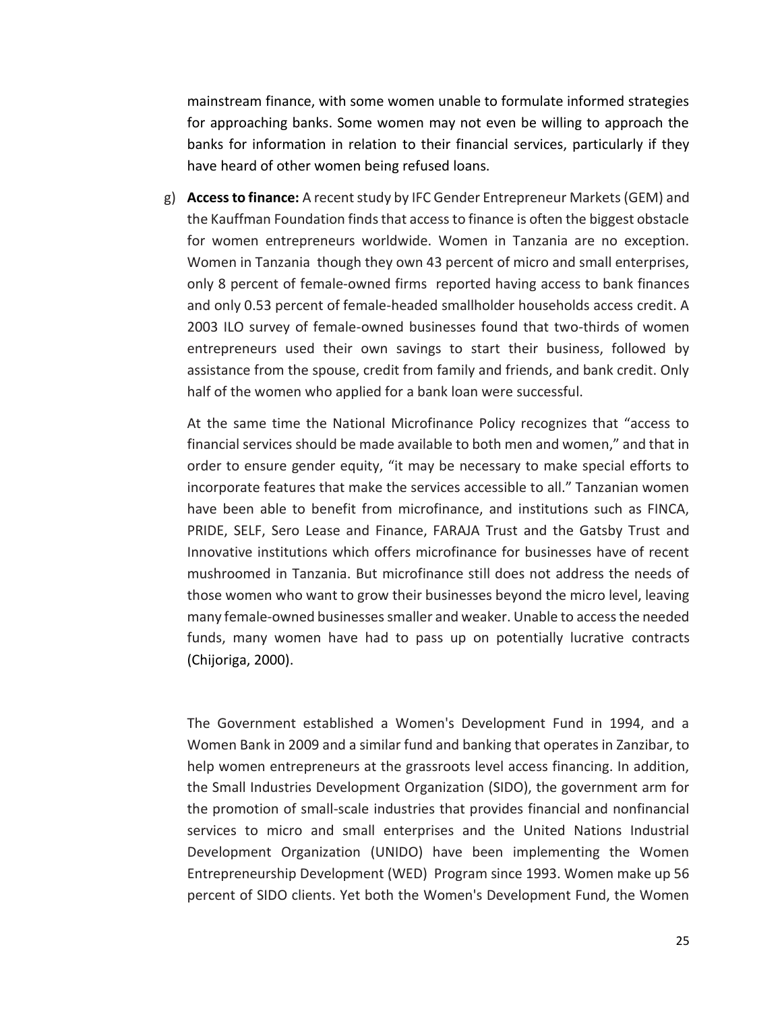mainstream finance, with some women unable to formulate informed strategies for approaching banks. Some women may not even be willing to approach the banks for information in relation to their financial services, particularly if they have heard of other women being refused loans.

g) **Access to finance:** A recent study by IFC Gender Entrepreneur Markets (GEM) and the Kauffman Foundation finds that access to finance is often the biggest obstacle for women entrepreneurs worldwide. Women in Tanzania are no exception. Women in Tanzania though they own 43 percent of micro and small enterprises, only 8 percent of female-owned firms reported having access to bank finances and only 0.53 percent of female-headed smallholder households access credit. A 2003 ILO survey of female-owned businesses found that two-thirds of women entrepreneurs used their own savings to start their business, followed by assistance from the spouse, credit from family and friends, and bank credit. Only half of the women who applied for a bank loan were successful.

At the same time the National Microfinance Policy recognizes that "access to financial services should be made available to both men and women," and that in order to ensure gender equity, "it may be necessary to make special efforts to incorporate features that make the services accessible to all." Tanzanian women have been able to benefit from microfinance, and institutions such as FINCA, PRIDE, SELF, Sero Lease and Finance, FARAJA Trust and the Gatsby Trust and Innovative institutions which offers microfinance for businesses have of recent mushroomed in Tanzania. But microfinance still does not address the needs of those women who want to grow their businesses beyond the micro level, leaving many female-owned businesses smaller and weaker. Unable to access the needed funds, many women have had to pass up on potentially lucrative contracts (Chijoriga, 2000).

The Government established a Women's Development Fund in 1994, and a Women Bank in 2009 and a similar fund and banking that operates in Zanzibar, to help women entrepreneurs at the grassroots level access financing. In addition, the Small Industries Development Organization (SIDO), the government arm for the promotion of small-scale industries that provides financial and nonfinancial services to micro and small enterprises and the United Nations Industrial Development Organization (UNIDO) have been implementing the Women Entrepreneurship Development (WED) Program since 1993. Women make up 56 percent of SIDO clients. Yet both the Women's Development Fund, the Women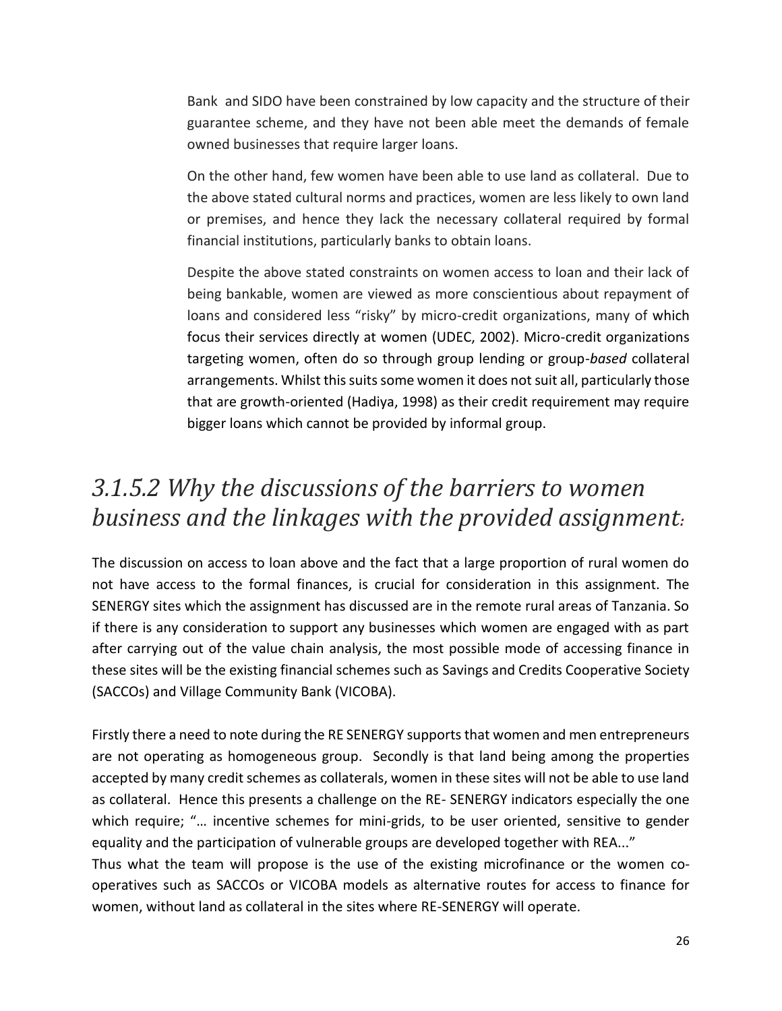Bank and SIDO have been constrained by low capacity and the structure of their guarantee scheme, and they have not been able meet the demands of female owned businesses that require larger loans.

On the other hand, few women have been able to use land as collateral. Due to the above stated cultural norms and practices, women are less likely to own land or premises, and hence they lack the necessary collateral required by formal financial institutions, particularly banks to obtain loans.

Despite the above stated constraints on women access to loan and their lack of being bankable, women are viewed as more conscientious about repayment of loans and considered less "risky" by micro-credit organizations, many of which focus their services directly at women (UDEC, 2002). Micro-credit organizations targeting women, often do so through group lending or group-*based* collateral arrangements. Whilst this suits some women it does not suit all, particularly those that are growth-oriented (Hadiya, 1998) as their credit requirement may require bigger loans which cannot be provided by informal group.

## *3.1.5.2 Why the discussions of the barriers to women business and the linkages with the provided assignment:*

The discussion on access to loan above and the fact that a large proportion of rural women do not have access to the formal finances, is crucial for consideration in this assignment. The SENERGY sites which the assignment has discussed are in the remote rural areas of Tanzania. So if there is any consideration to support any businesses which women are engaged with as part after carrying out of the value chain analysis, the most possible mode of accessing finance in these sites will be the existing financial schemes such as Savings and Credits Cooperative Society (SACCOs) and Village Community Bank (VICOBA).

Firstly there a need to note during the RE SENERGY supports that women and men entrepreneurs are not operating as homogeneous group. Secondly is that land being among the properties accepted by many credit schemes as collaterals, women in these sites will not be able to use land as collateral. Hence this presents a challenge on the RE- SENERGY indicators especially the one which require; "... incentive schemes for mini-grids, to be user oriented, sensitive to gender equality and the participation of vulnerable groups are developed together with REA..."

Thus what the team will propose is the use of the existing microfinance or the women cooperatives such as SACCOs or VICOBA models as alternative routes for access to finance for women, without land as collateral in the sites where RE-SENERGY will operate.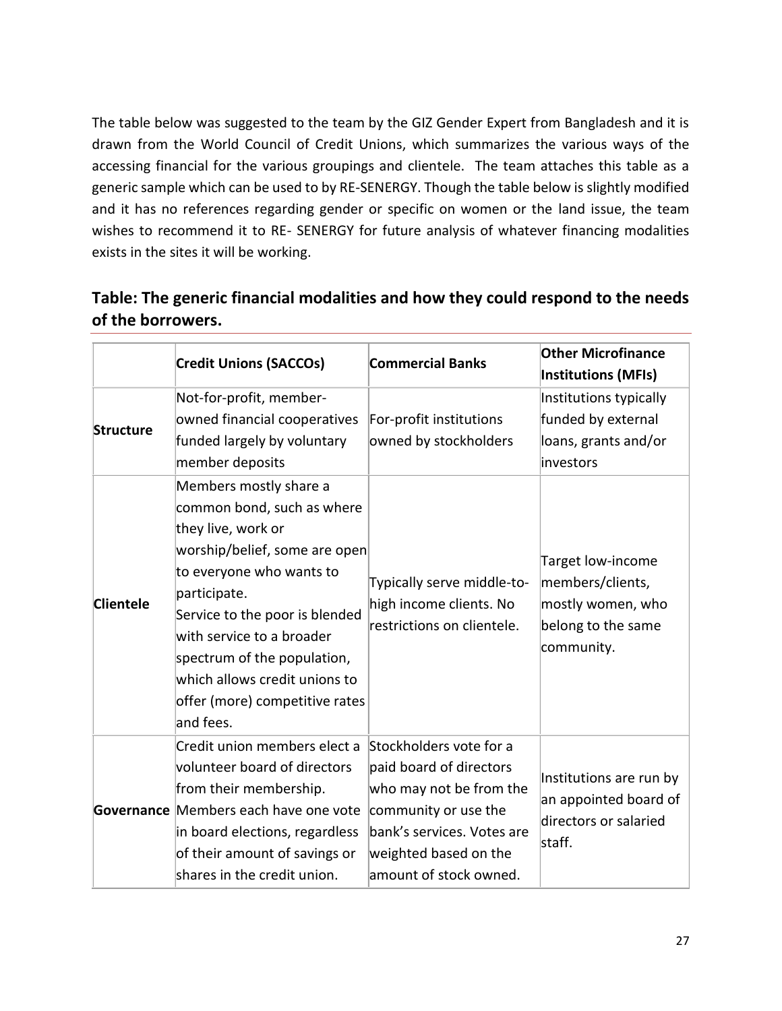The table below was suggested to the team by the GIZ Gender Expert from Bangladesh and it is drawn from the [World Council of Credit Unions,](http://www.woccu.org/about/creditunion/) which summarizes the various ways of the accessing financial for the various groupings and clientele. The team attaches this table as a generic sample which can be used to by RE-SENERGY. Though the table below is slightly modified and it has no references regarding gender or specific on women or the land issue, the team wishes to recommend it to RE- SENERGY for future analysis of whatever financing modalities exists in the sites it will be working.

### **Table: The generic financial modalities and how they could respond to the needs of the borrowers.**

|                  | <b>Credit Unions (SACCOs)</b>                                                                                                                                                                                                                                                 | <b>Commercial Banks</b>                                                                                                                                                                | <b>Other Microfinance</b><br><b>Institutions (MFIs)</b>                                        |  |
|------------------|-------------------------------------------------------------------------------------------------------------------------------------------------------------------------------------------------------------------------------------------------------------------------------|----------------------------------------------------------------------------------------------------------------------------------------------------------------------------------------|------------------------------------------------------------------------------------------------|--|
| <b>Structure</b> | Not-for-profit, member-<br>owned financial cooperatives<br>funded largely by voluntary<br>member deposits<br>Members mostly share a<br>common bond, such as where                                                                                                             | For-profit institutions<br>owned by stockholders                                                                                                                                       | Institutions typically<br>funded by external<br>loans, grants and/or<br>investors              |  |
| <b>Clientele</b> | they live, work or<br>worship/belief, some are open<br>to everyone who wants to<br>participate.<br>Service to the poor is blended<br>with service to a broader<br>spectrum of the population,<br>which allows credit unions to<br>offer (more) competitive rates<br>and fees. | Typically serve middle-to-<br>high income clients. No<br>restrictions on clientele.                                                                                                    | Target low-income<br>members/clients,<br>mostly women, who<br>belong to the same<br>community. |  |
|                  | Credit union members elect a<br>volunteer board of directors<br>from their membership.<br>Governance Members each have one vote<br>in board elections, regardless<br>of their amount of savings or<br>shares in the credit union.                                             | Stockholders vote for a<br>paid board of directors<br>who may not be from the<br>community or use the<br>bank's services. Votes are<br>weighted based on the<br>amount of stock owned. | Institutions are run by<br>an appointed board of<br>directors or salaried<br>staff.            |  |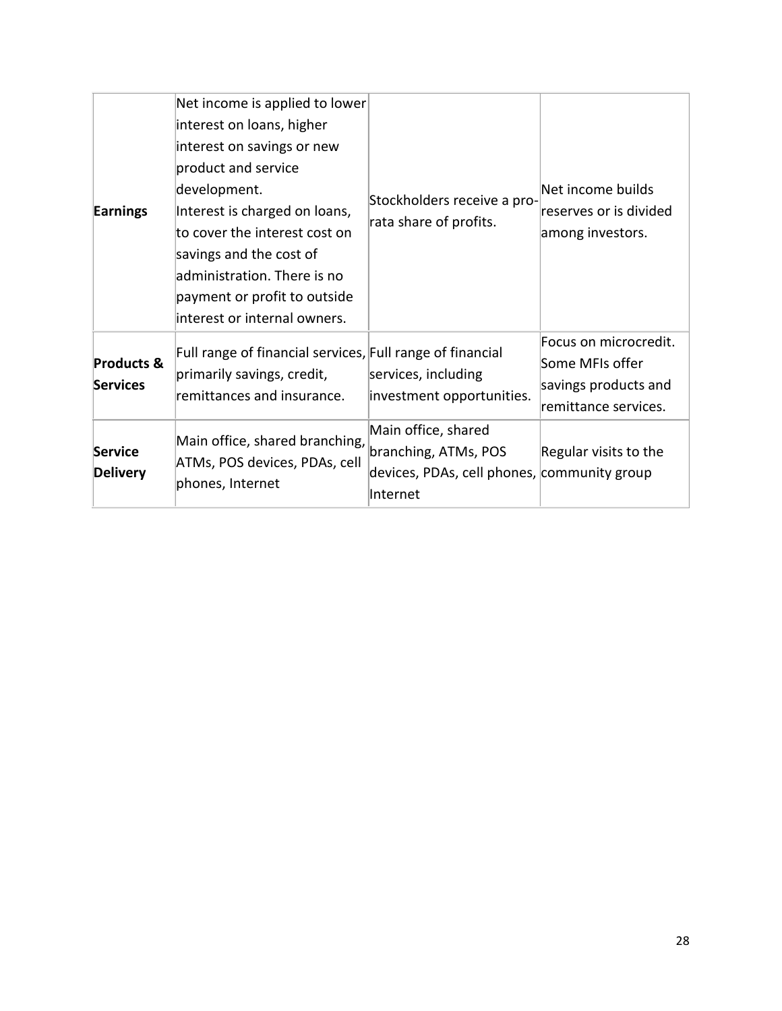| Earnings                                 | Net income is applied to lower<br>interest on loans, higher<br>interest on savings or new<br>product and service<br>development.<br>Interest is charged on loans,<br>to cover the interest cost on<br>savings and the cost of<br>administration. There is no<br>payment or profit to outside<br>interest or internal owners. | Stockholders receive a pro-<br>rata share of profits.                                                  | Net income builds<br>reserves or is divided<br>among investors.                          |
|------------------------------------------|------------------------------------------------------------------------------------------------------------------------------------------------------------------------------------------------------------------------------------------------------------------------------------------------------------------------------|--------------------------------------------------------------------------------------------------------|------------------------------------------------------------------------------------------|
| <b>Products &amp;</b><br><b>Services</b> | Full range of financial services, Full range of financial<br>primarily savings, credit,<br>remittances and insurance.                                                                                                                                                                                                        | services, including<br>investment opportunities.                                                       | Focus on microcredit.<br>Some MFIs offer<br>savings products and<br>remittance services. |
| <b>Service</b><br><b>Delivery</b>        | Main office, shared branching,<br>ATMs, POS devices, PDAs, cell<br>phones, Internet                                                                                                                                                                                                                                          | Main office, shared<br>branching, ATMs, POS<br>devices, PDAs, cell phones, community group<br>Internet | Regular visits to the                                                                    |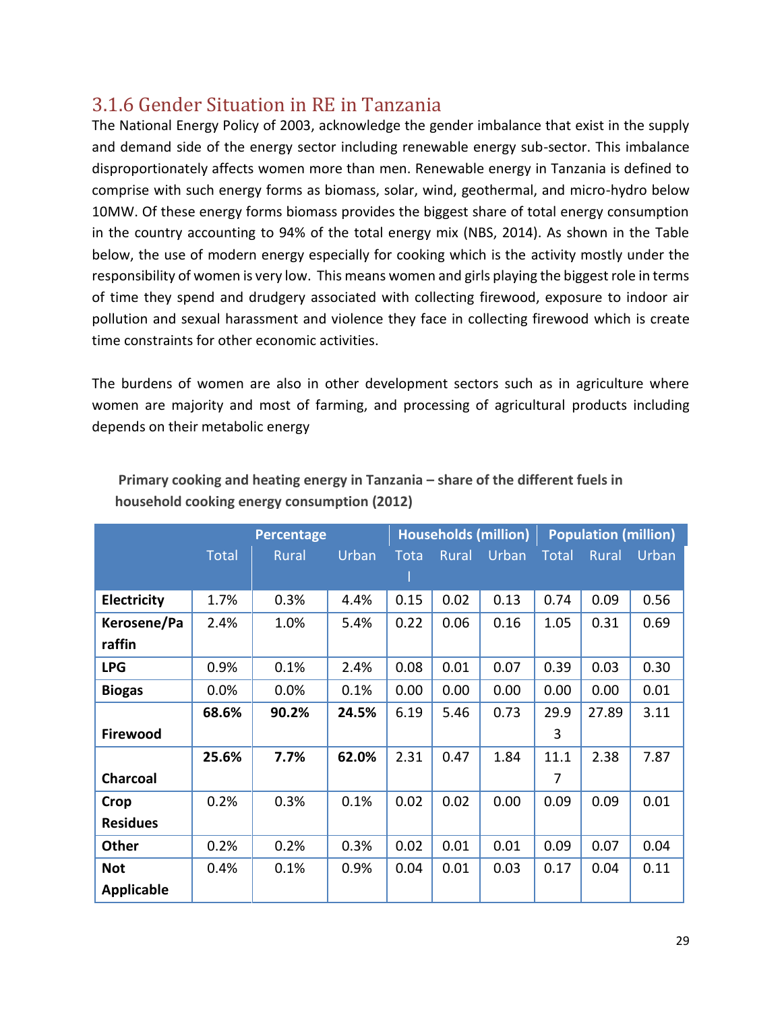### <span id="page-28-0"></span>3.1.6 Gender Situation in RE in Tanzania

The National Energy Policy of 2003, acknowledge the gender imbalance that exist in the supply and demand side of the energy sector including renewable energy sub-sector. This imbalance disproportionately affects women more than men. Renewable energy in Tanzania is defined to comprise with such energy forms as biomass, solar, wind, geothermal, and micro-hydro below 10MW. Of these energy forms biomass provides the biggest share of total energy consumption in the country accounting to 94% of the total energy mix (NBS, 2014). As shown in the Table below, the use of modern energy especially for cooking which is the activity mostly under the responsibility of women is very low. This means women and girls playing the biggest role in terms of time they spend and drudgery associated with collecting firewood, exposure to indoor air pollution and sexual harassment and violence they face in collecting firewood which is create time constraints for other economic activities.

The burdens of women are also in other development sectors such as in agriculture where women are majority and most of farming, and processing of agricultural products including depends on their metabolic energy

|                   | <b>Percentage</b> |              |       | <b>Households (million)</b> |              |       | <b>Population (million)</b> |       |              |
|-------------------|-------------------|--------------|-------|-----------------------------|--------------|-------|-----------------------------|-------|--------------|
|                   | <b>Total</b>      | <b>Rural</b> | Urban | <b>Tota</b>                 | <b>Rural</b> | Urban | <b>Total</b>                | Rural | <b>Urban</b> |
|                   |                   |              |       |                             |              |       |                             |       |              |
| Electricity       | 1.7%              | 0.3%         | 4.4%  | 0.15                        | 0.02         | 0.13  | 0.74                        | 0.09  | 0.56         |
| Kerosene/Pa       | 2.4%              | 1.0%         | 5.4%  | 0.22                        | 0.06         | 0.16  | 1.05                        | 0.31  | 0.69         |
| raffin            |                   |              |       |                             |              |       |                             |       |              |
| <b>LPG</b>        | 0.9%              | 0.1%         | 2.4%  | 0.08                        | 0.01         | 0.07  | 0.39                        | 0.03  | 0.30         |
| <b>Biogas</b>     | 0.0%              | 0.0%         | 0.1%  | 0.00                        | 0.00         | 0.00  | 0.00                        | 0.00  | 0.01         |
|                   | 68.6%             | 90.2%        | 24.5% | 6.19                        | 5.46         | 0.73  | 29.9                        | 27.89 | 3.11         |
| Firewood          |                   |              |       |                             |              |       | 3                           |       |              |
|                   | 25.6%             | 7.7%         | 62.0% | 2.31                        | 0.47         | 1.84  | 11.1                        | 2.38  | 7.87         |
| <b>Charcoal</b>   |                   |              |       |                             |              |       | 7                           |       |              |
| Crop              | 0.2%              | 0.3%         | 0.1%  | 0.02                        | 0.02         | 0.00  | 0.09                        | 0.09  | 0.01         |
| <b>Residues</b>   |                   |              |       |                             |              |       |                             |       |              |
| <b>Other</b>      | 0.2%              | 0.2%         | 0.3%  | 0.02                        | 0.01         | 0.01  | 0.09                        | 0.07  | 0.04         |
| <b>Not</b>        | 0.4%              | 0.1%         | 0.9%  | 0.04                        | 0.01         | 0.03  | 0.17                        | 0.04  | 0.11         |
| <b>Applicable</b> |                   |              |       |                             |              |       |                             |       |              |

### **Primary cooking and heating energy in Tanzania – share of the different fuels in household cooking energy consumption (2012)**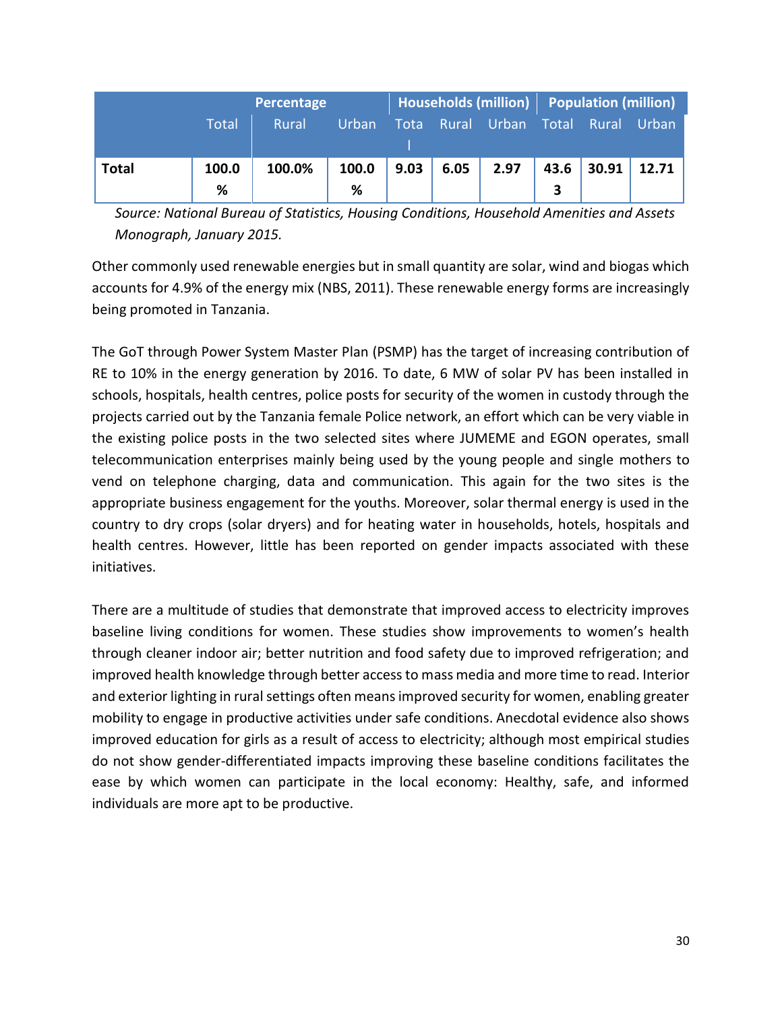|              | Percentage |        |            |      |       |              | Households (million) Population (million) |                    |       |
|--------------|------------|--------|------------|------|-------|--------------|-------------------------------------------|--------------------|-------|
|              | Total      | Rural  | Urban      | Tota | Rural | <b>Urban</b> | Total                                     | Rural <sup> </sup> | Urban |
| <b>Total</b> | 100.0<br>% | 100.0% | 100.0<br>% | 9.03 | 6.05  | 2.97         | 43.6                                      | 30.91              | 12.71 |

*Source: National Bureau of Statistics, Housing Conditions, Household Amenities and Assets Monograph, January 2015.*

Other commonly used renewable energies but in small quantity are solar, wind and biogas which accounts for 4.9% of the energy mix (NBS, 2011). These renewable energy forms are increasingly being promoted in Tanzania.

The GoT through Power System Master Plan (PSMP) has the target of increasing contribution of RE to 10% in the energy generation by 2016. To date, 6 MW of solar PV has been installed in schools, hospitals, health centres, police posts for security of the women in custody through the projects carried out by the Tanzania female Police network, an effort which can be very viable in the existing police posts in the two selected sites where JUMEME and EGON operates, small telecommunication enterprises mainly being used by the young people and single mothers to vend on telephone charging, data and communication. This again for the two sites is the appropriate business engagement for the youths. Moreover, solar thermal energy is used in the country to dry crops (solar dryers) and for heating water in households, hotels, hospitals and health centres. However, little has been reported on gender impacts associated with these initiatives.

There are a multitude of studies that demonstrate that improved access to electricity improves baseline living conditions for women. These studies show improvements to women's health through cleaner indoor air; better nutrition and food safety due to improved refrigeration; and improved health knowledge through better access to mass media and more time to read. Interior and exterior lighting in rural settings often means improved security for women, enabling greater mobility to engage in productive activities under safe conditions. Anecdotal evidence also shows improved education for girls as a result of access to electricity; although most empirical studies do not show gender-differentiated impacts improving these baseline conditions facilitates the ease by which women can participate in the local economy: Healthy, safe, and informed individuals are more apt to be productive.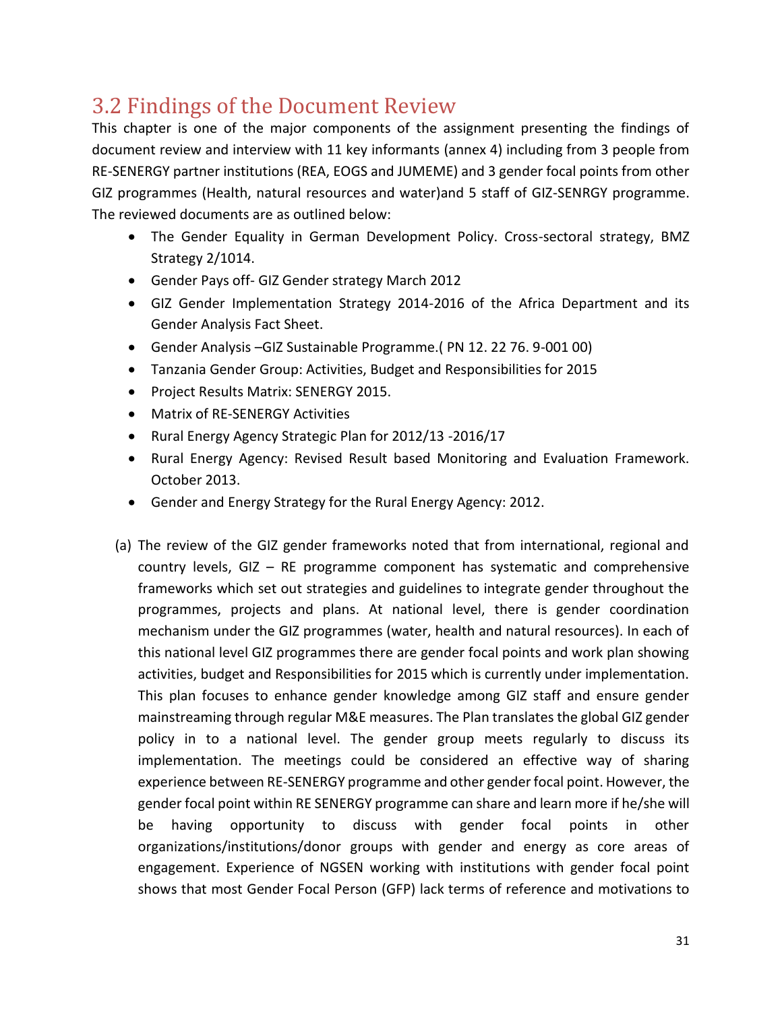## <span id="page-30-0"></span>3.2 Findings of the Document Review

This chapter is one of the major components of the assignment presenting the findings of document review and interview with 11 key informants (annex 4) including from 3 people from RE-SENERGY partner institutions (REA, EOGS and JUMEME) and 3 gender focal points from other GIZ programmes (Health, natural resources and water)and 5 staff of GIZ-SENRGY programme. The reviewed documents are as outlined below:

- The Gender Equality in German Development Policy. Cross-sectoral strategy, BMZ Strategy 2/1014.
- Gender Pays off- GIZ Gender strategy March 2012
- GIZ Gender Implementation Strategy 2014-2016 of the Africa Department and its Gender Analysis Fact Sheet.
- Gender Analysis –GIZ Sustainable Programme.( PN 12. 22 76. 9-001 00)
- Tanzania Gender Group: Activities, Budget and Responsibilities for 2015
- Project Results Matrix: SENERGY 2015.
- Matrix of RE-SENERGY Activities
- Rural Energy Agency Strategic Plan for 2012/13 -2016/17
- Rural Energy Agency: Revised Result based Monitoring and Evaluation Framework. October 2013.
- Gender and Energy Strategy for the Rural Energy Agency: 2012.
- (a) The review of the GIZ gender frameworks noted that from international, regional and country levels, GIZ – RE programme component has systematic and comprehensive frameworks which set out strategies and guidelines to integrate gender throughout the programmes, projects and plans. At national level, there is gender coordination mechanism under the GIZ programmes (water, health and natural resources). In each of this national level GIZ programmes there are gender focal points and work plan showing activities, budget and Responsibilities for 2015 which is currently under implementation. This plan focuses to enhance gender knowledge among GIZ staff and ensure gender mainstreaming through regular M&E measures. The Plan translates the global GIZ gender policy in to a national level. The gender group meets regularly to discuss its implementation. The meetings could be considered an effective way of sharing experience between RE-SENERGY programme and other gender focal point. However, the gender focal point within RE SENERGY programme can share and learn more if he/she will be having opportunity to discuss with gender focal points in other organizations/institutions/donor groups with gender and energy as core areas of engagement. Experience of NGSEN working with institutions with gender focal point shows that most Gender Focal Person (GFP) lack terms of reference and motivations to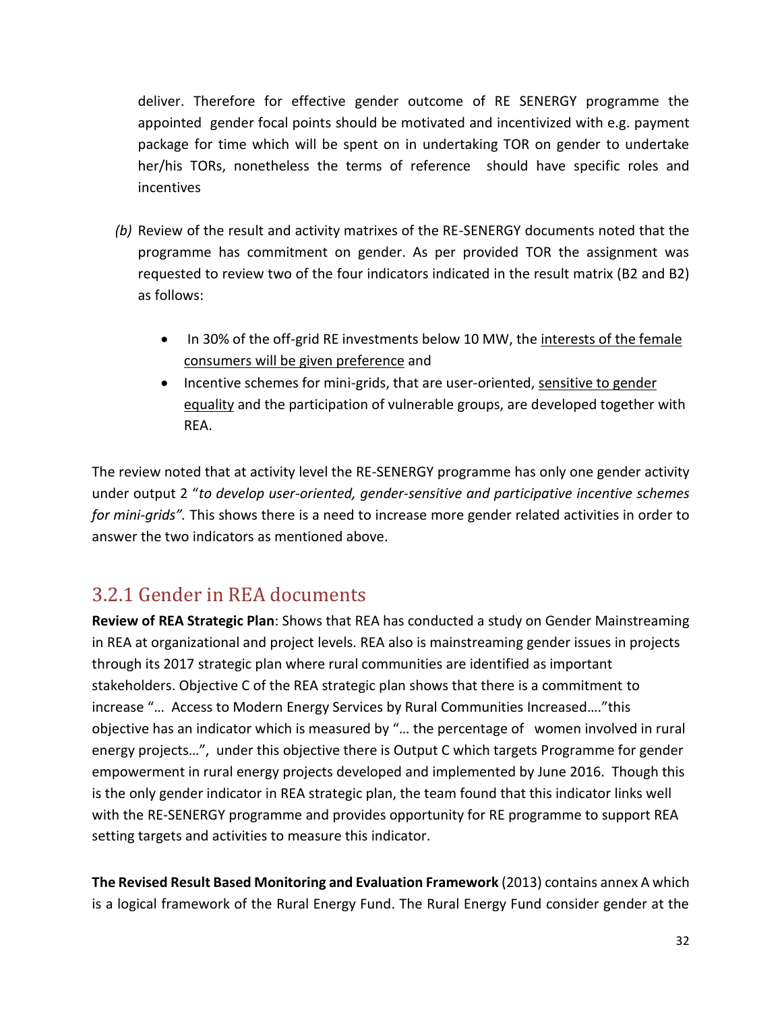deliver. Therefore for effective gender outcome of RE SENERGY programme the appointed gender focal points should be motivated and incentivized with e.g. payment package for time which will be spent on in undertaking TOR on gender to undertake her/his TORs, nonetheless the terms of reference should have specific roles and incentives

- *(b)* Review of the result and activity matrixes of the RE-SENERGY documents noted that the programme has commitment on gender. As per provided TOR the assignment was requested to review two of the four indicators indicated in the result matrix (B2 and B2) as follows:
	- In 30% of the off-grid RE investments below 10 MW, the interests of the female consumers will be given preference and
	- Incentive schemes for mini-grids, that are user-oriented, sensitive to gender equality and the participation of vulnerable groups, are developed together with REA.

The review noted that at activity level the RE-SENERGY programme has only one gender activity under output 2 "*to develop user-oriented, gender-sensitive and participative incentive schemes for mini-grids".* This shows there is a need to increase more gender related activities in order to answer the two indicators as mentioned above.

### <span id="page-31-0"></span>3.2.1 Gender in REA documents

**Review of REA Strategic Plan**: Shows that REA has conducted a study on Gender Mainstreaming in REA at organizational and project levels. REA also is mainstreaming gender issues in projects through its 2017 strategic plan where rural communities are identified as important stakeholders. Objective C of the REA strategic plan shows that there is a commitment to increase "… Access to Modern Energy Services by Rural Communities Increased…."this objective has an indicator which is measured by "… the percentage of women involved in rural energy projects…", under this objective there is Output C which targets Programme for gender empowerment in rural energy projects developed and implemented by June 2016. Though this is the only gender indicator in REA strategic plan, the team found that this indicator links well with the RE-SENERGY programme and provides opportunity for RE programme to support REA setting targets and activities to measure this indicator.

**The Revised Result Based Monitoring and Evaluation Framework** (2013) contains annex A which is a logical framework of the Rural Energy Fund. The Rural Energy Fund consider gender at the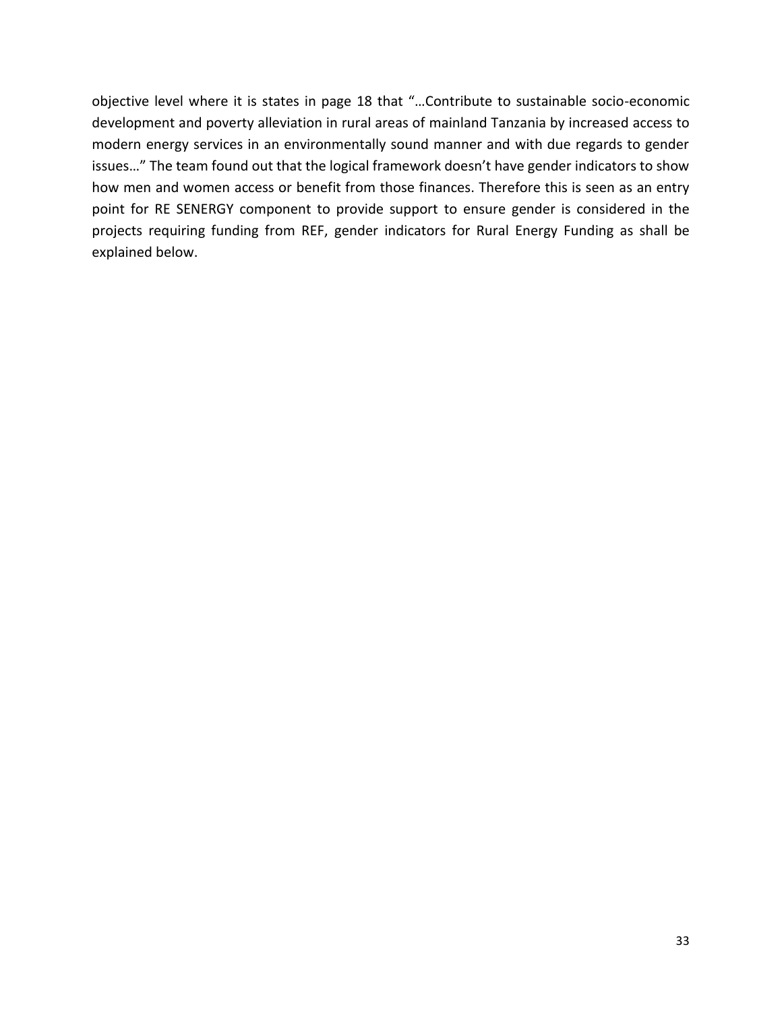objective level where it is states in page 18 that "…Contribute to sustainable socio-economic development and poverty alleviation in rural areas of mainland Tanzania by increased access to modern energy services in an environmentally sound manner and with due regards to gender issues…" The team found out that the logical framework doesn't have gender indicators to show how men and women access or benefit from those finances. Therefore this is seen as an entry point for RE SENERGY component to provide support to ensure gender is considered in the projects requiring funding from REF, gender indicators for Rural Energy Funding as shall be explained below.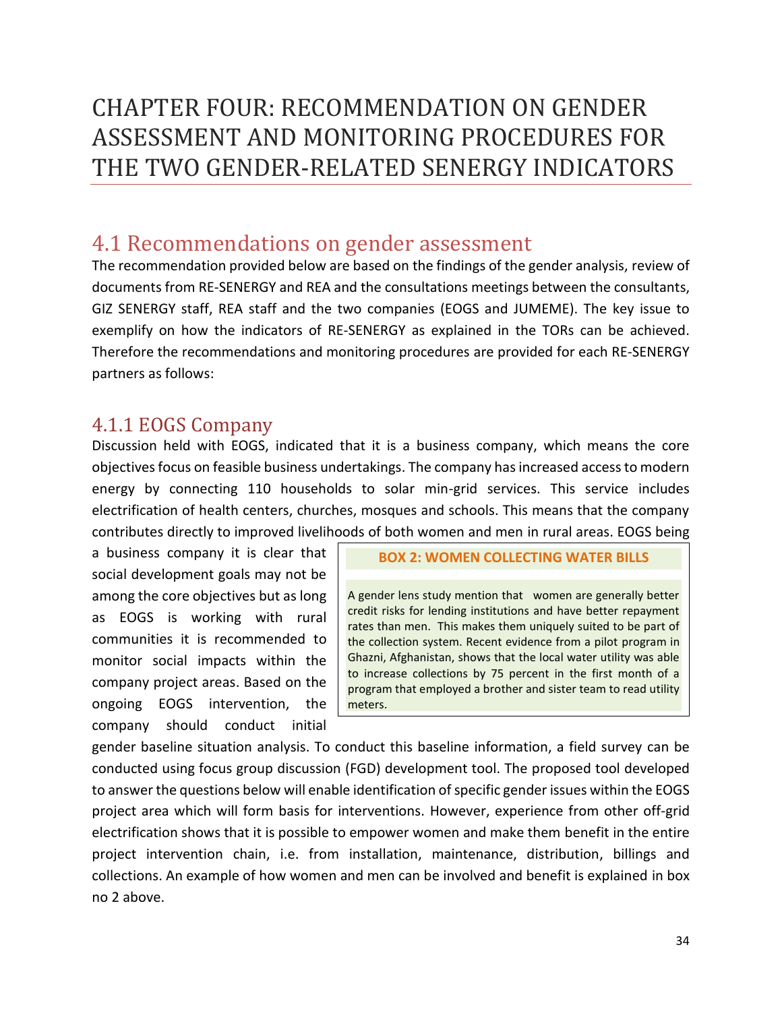## <span id="page-33-0"></span>CHAPTER FOUR: RECOMMENDATION ON GENDER ASSESSMENT AND MONITORING PROCEDURES FOR THE TWO GENDER-RELATED SENERGY INDICATORS

## <span id="page-33-1"></span>4.1 Recommendations on gender assessment

The recommendation provided below are based on the findings of the gender analysis, review of documents from RE-SENERGY and REA and the consultations meetings between the consultants, GIZ SENERGY staff, REA staff and the two companies (EOGS and JUMEME). The key issue to exemplify on how the indicators of RE-SENERGY as explained in the TORs can be achieved. Therefore the recommendations and monitoring procedures are provided for each RE-SENERGY partners as follows:

### <span id="page-33-2"></span>4.1.1 EOGS Company

Discussion held with EOGS, indicated that it is a business company, which means the core objectives focus on feasible business undertakings. The company has increased access to modern energy by connecting 110 households to solar min-grid services. This service includes electrification of health centers, churches, mosques and schools. This means that the company contributes directly to improved livelihoods of both women and men in rural areas. EOGS being

a business company it is clear that social development goals may not be among the core objectives but as long as EOGS is working with rural communities it is recommended to monitor social impacts within the company project areas. Based on the ongoing EOGS intervention, the company should conduct initial

#### **BOX 2: WOMEN COLLECTING WATER BILLS**

A gender lens study mention that women are generally better credit risks for lending institutions and have better repayment rates than men. This makes them uniquely suited to be part of the collection system. Recent evidence from a pilot program in Ghazni, Afghanistan, shows that the local water utility was able to increase collections by 75 percent in the first month of a program that employed a brother and sister team to read utility meters.

gender baseline situation analysis. To conduct this baseline information, a field survey can be conducted using focus group discussion (FGD) development tool. The proposed tool developed to answer the questions below will enable identification of specific gender issues within the EOGS project area which will form basis for interventions. However, experience from other off-grid electrification shows that it is possible to empower women and make them benefit in the entire project intervention chain, i.e. from installation, maintenance, distribution, billings and collections. An example of how women and men can be involved and benefit is explained in box no 2 above.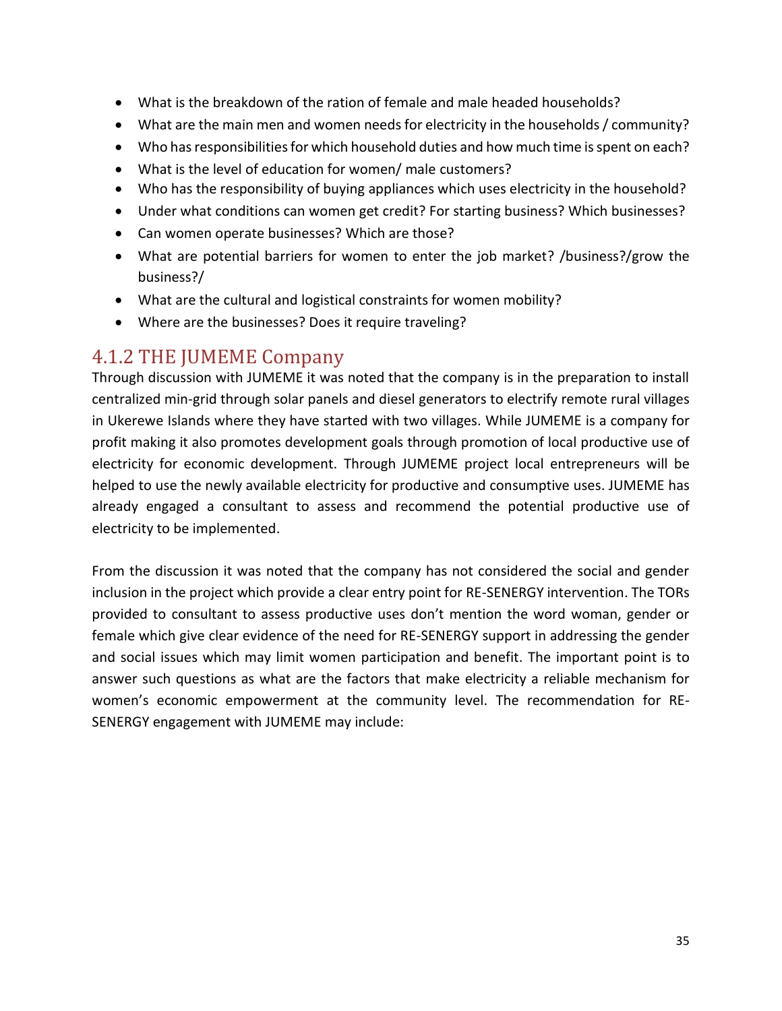- What is the breakdown of the ration of female and male headed households?
- What are the main men and women needs for electricity in the households / community?
- Who has responsibilities for which household duties and how much time is spent on each?
- What is the level of education for women/ male customers?
- Who has the responsibility of buying appliances which uses electricity in the household?
- Under what conditions can women get credit? For starting business? Which businesses?
- Can women operate businesses? Which are those?
- What are potential barriers for women to enter the job market? /business?/grow the business?/
- What are the cultural and logistical constraints for women mobility?
- Where are the businesses? Does it require traveling?

### <span id="page-34-0"></span>4.1.2 THE JUMEME Company

Through discussion with JUMEME it was noted that the company is in the preparation to install centralized min-grid through solar panels and diesel generators to electrify remote rural villages in Ukerewe Islands where they have started with two villages. While JUMEME is a company for profit making it also promotes development goals through promotion of local productive use of electricity for economic development. Through JUMEME project local entrepreneurs will be helped to use the newly available electricity for productive and consumptive uses. JUMEME has already engaged a consultant to assess and recommend the potential productive use of electricity to be implemented.

From the discussion it was noted that the company has not considered the social and gender inclusion in the project which provide a clear entry point for RE-SENERGY intervention. The TORs provided to consultant to assess productive uses don't mention the word woman, gender or female which give clear evidence of the need for RE-SENERGY support in addressing the gender and social issues which may limit women participation and benefit. The important point is to answer such questions as what are the factors that make electricity a reliable mechanism for women's economic empowerment at the community level. The recommendation for RE-SENERGY engagement with JUMEME may include: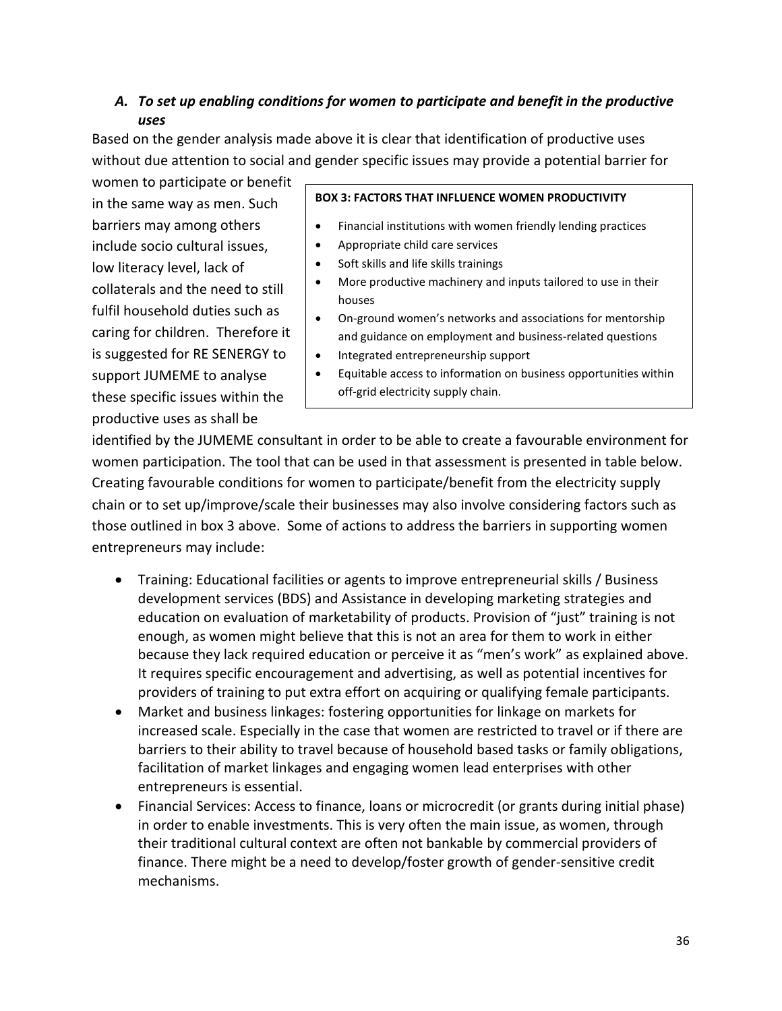### *A. To set up enabling conditions for women to participate and benefit in the productive uses*

Based on the gender analysis made above it is clear that identification of productive uses without due attention to social and gender specific issues may provide a potential barrier for

women to participate or benefit in the same way as men. Such barriers may among others include socio cultural issues, low literacy level, lack of collaterals and the need to still fulfil household duties such as caring for children. Therefore it is suggested for RE SENERGY to support JUMEME to analyse these specific issues within the productive uses as shall be

#### **BOX 3: FACTORS THAT INFLUENCE WOMEN PRODUCTIVITY**

- Financial institutions with women friendly lending practices
- Appropriate child care services
- Soft skills and life skills trainings
- More productive machinery and inputs tailored to use in their houses
- On-ground women's networks and associations for mentorship and guidance on employment and business-related questions
- Integrated entrepreneurship support
- Equitable access to information on business opportunities within off-grid electricity supply chain.

identified by the JUMEME consultant in order to be able to create a favourable environment for women participation. The tool that can be used in that assessment is presented in table below. Creating favourable conditions for women to participate/benefit from the electricity supply chain or to set up/improve/scale their businesses may also involve considering factors such as those outlined in box 3 above. Some of actions to address the barriers in supporting women entrepreneurs may include:

- Training: Educational facilities or agents to improve entrepreneurial skills / Business development services (BDS) and Assistance in developing marketing strategies and education on evaluation of marketability of products. Provision of "just" training is not enough, as women might believe that this is not an area for them to work in either because they lack required education or perceive it as "men's work" as explained above. It requires specific encouragement and advertising, as well as potential incentives for providers of training to put extra effort on acquiring or qualifying female participants.
- Market and business linkages: fostering opportunities for linkage on markets for increased scale. Especially in the case that women are restricted to travel or if there are barriers to their ability to travel because of household based tasks or family obligations, facilitation of market linkages and engaging women lead enterprises with other entrepreneurs is essential.
- Financial Services: Access to finance, loans or microcredit (or grants during initial phase) in order to enable investments. This is very often the main issue, as women, through their traditional cultural context are often not bankable by commercial providers of finance. There might be a need to develop/foster growth of gender-sensitive credit mechanisms.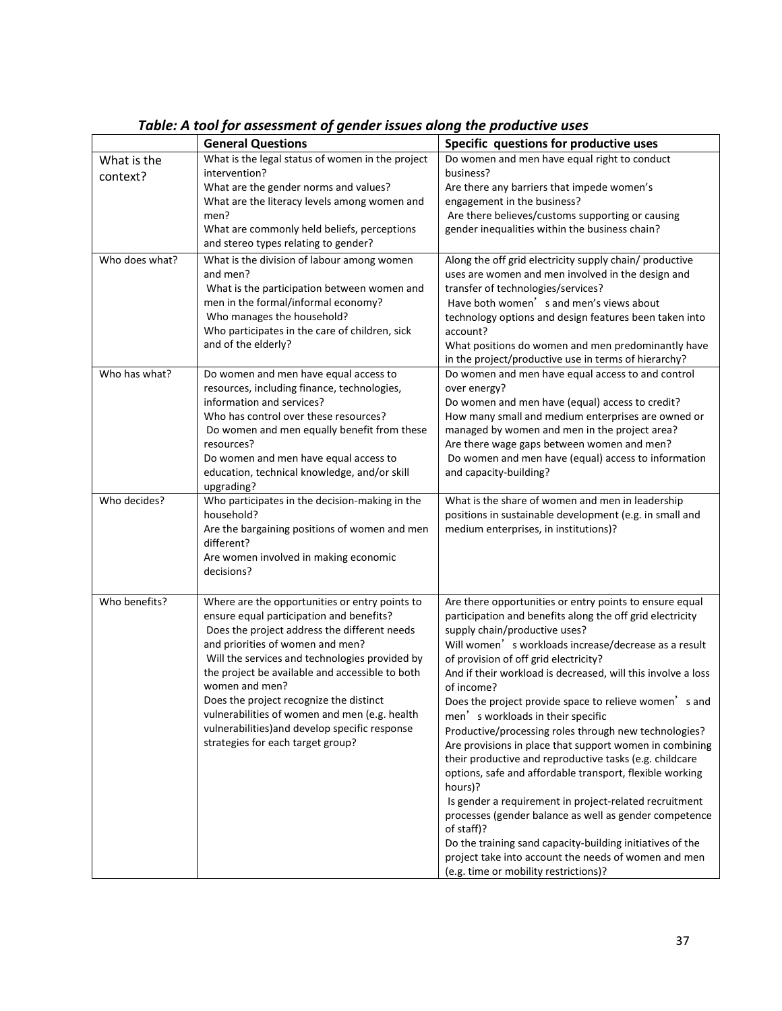|                         | <b>General Questions</b>                                                                                                                                                                                                                                                                                                                                                                                                                                                                 | Specific questions for productive uses                                                                                                                                                                                                                                                                                                                                                                                                                                                                                                                                                                                                                                                                                                                                                                                                                                                                                                                                                    |
|-------------------------|------------------------------------------------------------------------------------------------------------------------------------------------------------------------------------------------------------------------------------------------------------------------------------------------------------------------------------------------------------------------------------------------------------------------------------------------------------------------------------------|-------------------------------------------------------------------------------------------------------------------------------------------------------------------------------------------------------------------------------------------------------------------------------------------------------------------------------------------------------------------------------------------------------------------------------------------------------------------------------------------------------------------------------------------------------------------------------------------------------------------------------------------------------------------------------------------------------------------------------------------------------------------------------------------------------------------------------------------------------------------------------------------------------------------------------------------------------------------------------------------|
| What is the<br>context? | What is the legal status of women in the project<br>intervention?                                                                                                                                                                                                                                                                                                                                                                                                                        | Do women and men have equal right to conduct<br>business?                                                                                                                                                                                                                                                                                                                                                                                                                                                                                                                                                                                                                                                                                                                                                                                                                                                                                                                                 |
|                         | What are the gender norms and values?<br>What are the literacy levels among women and<br>men?<br>What are commonly held beliefs, perceptions<br>and stereo types relating to gender?                                                                                                                                                                                                                                                                                                     | Are there any barriers that impede women's<br>engagement in the business?<br>Are there believes/customs supporting or causing<br>gender inequalities within the business chain?                                                                                                                                                                                                                                                                                                                                                                                                                                                                                                                                                                                                                                                                                                                                                                                                           |
| Who does what?          | What is the division of labour among women<br>and men?<br>What is the participation between women and<br>men in the formal/informal economy?<br>Who manages the household?<br>Who participates in the care of children, sick<br>and of the elderly?                                                                                                                                                                                                                                      | Along the off grid electricity supply chain/ productive<br>uses are women and men involved in the design and<br>transfer of technologies/services?<br>Have both women's and men's views about<br>technology options and design features been taken into<br>account?<br>What positions do women and men predominantly have<br>in the project/productive use in terms of hierarchy?                                                                                                                                                                                                                                                                                                                                                                                                                                                                                                                                                                                                         |
| Who has what?           | Do women and men have equal access to<br>resources, including finance, technologies,<br>information and services?<br>Who has control over these resources?<br>Do women and men equally benefit from these<br>resources?<br>Do women and men have equal access to<br>education, technical knowledge, and/or skill<br>upgrading?                                                                                                                                                           | Do women and men have equal access to and control<br>over energy?<br>Do women and men have (equal) access to credit?<br>How many small and medium enterprises are owned or<br>managed by women and men in the project area?<br>Are there wage gaps between women and men?<br>Do women and men have (equal) access to information<br>and capacity-building?                                                                                                                                                                                                                                                                                                                                                                                                                                                                                                                                                                                                                                |
| Who decides?            | Who participates in the decision-making in the<br>household?<br>Are the bargaining positions of women and men<br>different?<br>Are women involved in making economic<br>decisions?                                                                                                                                                                                                                                                                                                       | What is the share of women and men in leadership<br>positions in sustainable development (e.g. in small and<br>medium enterprises, in institutions)?                                                                                                                                                                                                                                                                                                                                                                                                                                                                                                                                                                                                                                                                                                                                                                                                                                      |
| Who benefits?           | Where are the opportunities or entry points to<br>ensure equal participation and benefits?<br>Does the project address the different needs<br>and priorities of women and men?<br>Will the services and technologies provided by<br>the project be available and accessible to both<br>women and men?<br>Does the project recognize the distinct<br>vulnerabilities of women and men (e.g. health<br>vulnerabilities) and develop specific response<br>strategies for each target group? | Are there opportunities or entry points to ensure equal<br>participation and benefits along the off grid electricity<br>supply chain/productive uses?<br>Will women' s workloads increase/decrease as a result<br>of provision of off grid electricity?<br>And if their workload is decreased, will this involve a loss<br>of income?<br>Does the project provide space to relieve women's and<br>men's workloads in their specific<br>Productive/processing roles through new technologies?<br>Are provisions in place that support women in combining<br>their productive and reproductive tasks (e.g. childcare<br>options, safe and affordable transport, flexible working<br>hours)?<br>Is gender a requirement in project-related recruitment<br>processes (gender balance as well as gender competence<br>of staff)?<br>Do the training sand capacity-building initiatives of the<br>project take into account the needs of women and men<br>(e.g. time or mobility restrictions)? |

*Table: A tool for assessment of gender issues along the productive uses*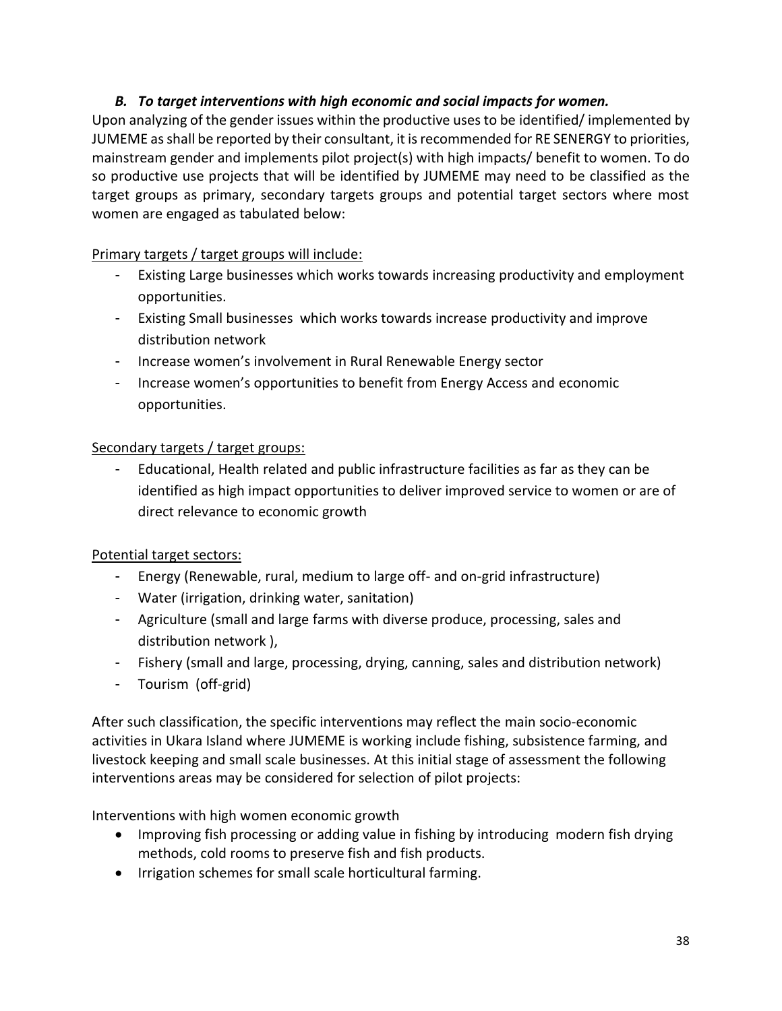### *B. To target interventions with high economic and social impacts for women.*

Upon analyzing of the gender issues within the productive uses to be identified/ implemented by JUMEME as shall be reported by their consultant, it is recommended for RE SENERGY to priorities, mainstream gender and implements pilot project(s) with high impacts/ benefit to women. To do so productive use projects that will be identified by JUMEME may need to be classified as the target groups as primary, secondary targets groups and potential target sectors where most women are engaged as tabulated below:

### Primary targets / target groups will include:

- Existing Large businesses which works towards increasing productivity and employment opportunities.
- Existing Small businesses which works towards increase productivity and improve distribution network
- Increase women's involvement in Rural Renewable Energy sector
- Increase women's opportunities to benefit from Energy Access and economic opportunities.

### Secondary targets / target groups:

Educational, Health related and public infrastructure facilities as far as they can be identified as high impact opportunities to deliver improved service to women or are of direct relevance to economic growth

### Potential target sectors:

- Energy (Renewable, rural, medium to large off- and on-grid infrastructure)
- Water (irrigation, drinking water, sanitation)
- Agriculture (small and large farms with diverse produce, processing, sales and distribution network ),
- Fishery (small and large, processing, drying, canning, sales and distribution network)
- Tourism (off-grid)

After such classification, the specific interventions may reflect the main socio-economic activities in Ukara Island where JUMEME is working include fishing, subsistence farming, and livestock keeping and small scale businesses. At this initial stage of assessment the following interventions areas may be considered for selection of pilot projects:

Interventions with high women economic growth

- Improving fish processing or adding value in fishing by introducing modern fish drying methods, cold rooms to preserve fish and fish products.
- Irrigation schemes for small scale horticultural farming.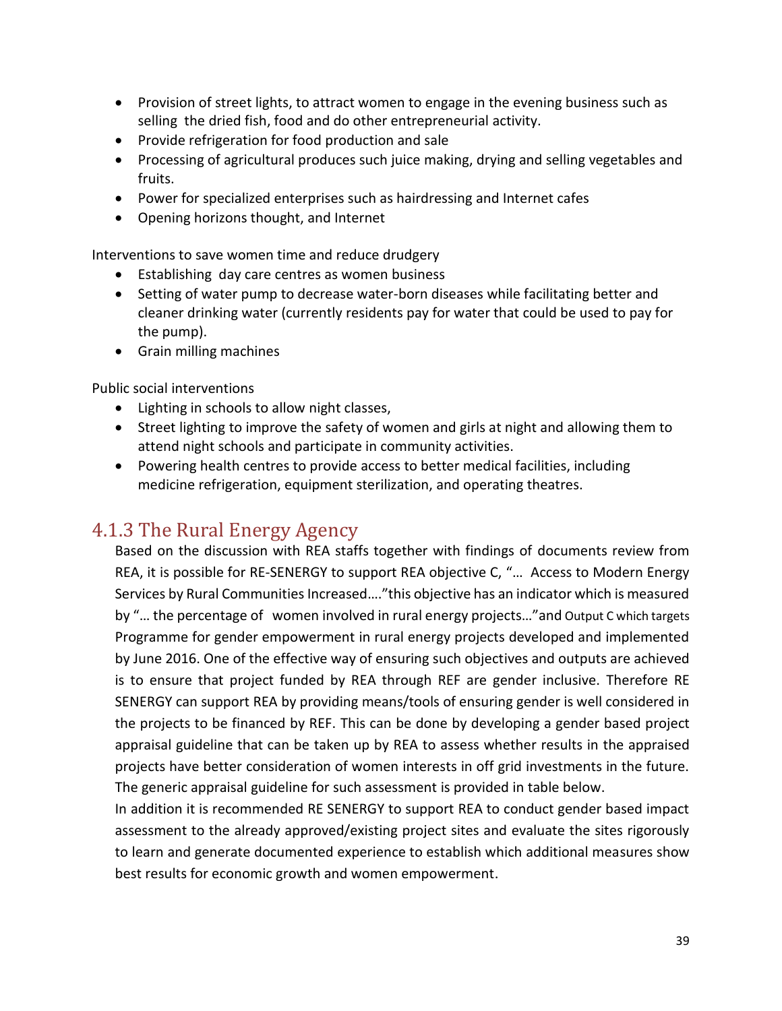- Provision of street lights, to attract women to engage in the evening business such as selling the dried fish, food and do other entrepreneurial activity.
- Provide refrigeration for food production and sale
- Processing of agricultural produces such juice making, drying and selling vegetables and fruits.
- Power for specialized enterprises such as hairdressing and Internet cafes
- Opening horizons thought, and Internet

Interventions to save women time and reduce drudgery

- Establishing day care centres as women business
- Setting of water pump to decrease water-born diseases while facilitating better and cleaner drinking water (currently residents pay for water that could be used to pay for the pump).
- Grain milling machines

Public social interventions

- Lighting in schools to allow night classes,
- Street lighting to improve the safety of women and girls at night and allowing them to attend night schools and participate in community activities.
- Powering health centres to provide access to better medical facilities, including medicine refrigeration, equipment sterilization, and operating theatres.

### <span id="page-38-0"></span>4.1.3 The Rural Energy Agency

Based on the discussion with REA staffs together with findings of documents review from REA, it is possible for RE-SENERGY to support REA objective C, "… Access to Modern Energy Services by Rural Communities Increased…."this objective has an indicator which is measured by "… the percentage of women involved in rural energy projects…"and Output C which targets Programme for gender empowerment in rural energy projects developed and implemented by June 2016. One of the effective way of ensuring such objectives and outputs are achieved is to ensure that project funded by REA through REF are gender inclusive. Therefore RE SENERGY can support REA by providing means/tools of ensuring gender is well considered in the projects to be financed by REF. This can be done by developing a gender based project appraisal guideline that can be taken up by REA to assess whether results in the appraised projects have better consideration of women interests in off grid investments in the future. The generic appraisal guideline for such assessment is provided in table below.

In addition it is recommended RE SENERGY to support REA to conduct gender based impact assessment to the already approved/existing project sites and evaluate the sites rigorously to learn and generate documented experience to establish which additional measures show best results for economic growth and women empowerment.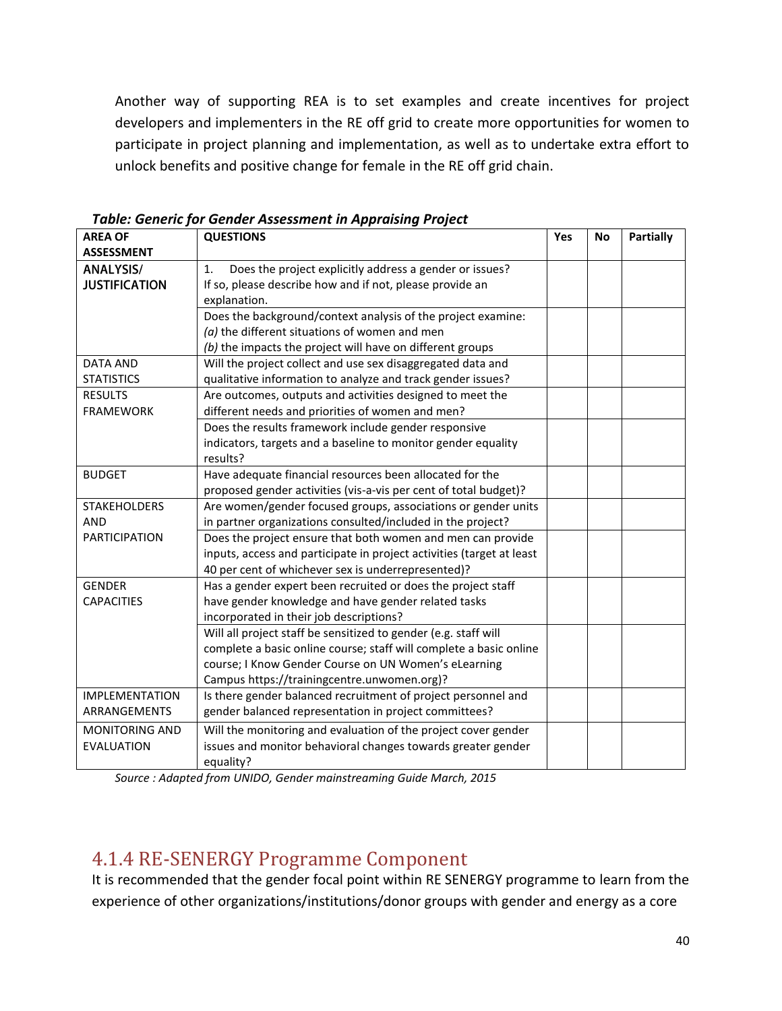Another way of supporting REA is to set examples and create incentives for project developers and implementers in the RE off grid to create more opportunities for women to participate in project planning and implementation, as well as to undertake extra effort to unlock benefits and positive change for female in the RE off grid chain.

| <b>AREA OF</b>        | <b>QUESTIONS</b>                                                      | Yes | <b>No</b> | <b>Partially</b> |
|-----------------------|-----------------------------------------------------------------------|-----|-----------|------------------|
| <b>ASSESSMENT</b>     |                                                                       |     |           |                  |
| <b>ANALYSIS/</b>      | Does the project explicitly address a gender or issues?<br>1.         |     |           |                  |
| <b>JUSTIFICATION</b>  | If so, please describe how and if not, please provide an              |     |           |                  |
|                       | explanation.                                                          |     |           |                  |
|                       | Does the background/context analysis of the project examine:          |     |           |                  |
|                       | $(a)$ the different situations of women and men                       |     |           |                  |
|                       | (b) the impacts the project will have on different groups             |     |           |                  |
| <b>DATA AND</b>       | Will the project collect and use sex disaggregated data and           |     |           |                  |
| <b>STATISTICS</b>     | qualitative information to analyze and track gender issues?           |     |           |                  |
| <b>RESULTS</b>        | Are outcomes, outputs and activities designed to meet the             |     |           |                  |
| <b>FRAMEWORK</b>      | different needs and priorities of women and men?                      |     |           |                  |
|                       | Does the results framework include gender responsive                  |     |           |                  |
|                       | indicators, targets and a baseline to monitor gender equality         |     |           |                  |
|                       | results?                                                              |     |           |                  |
| <b>BUDGET</b>         | Have adequate financial resources been allocated for the              |     |           |                  |
|                       | proposed gender activities (vis-a-vis per cent of total budget)?      |     |           |                  |
| <b>STAKEHOLDERS</b>   | Are women/gender focused groups, associations or gender units         |     |           |                  |
| <b>AND</b>            | in partner organizations consulted/included in the project?           |     |           |                  |
| <b>PARTICIPATION</b>  | Does the project ensure that both women and men can provide           |     |           |                  |
|                       | inputs, access and participate in project activities (target at least |     |           |                  |
|                       | 40 per cent of whichever sex is underrepresented)?                    |     |           |                  |
| <b>GENDER</b>         | Has a gender expert been recruited or does the project staff          |     |           |                  |
| <b>CAPACITIES</b>     | have gender knowledge and have gender related tasks                   |     |           |                  |
|                       | incorporated in their job descriptions?                               |     |           |                  |
|                       | Will all project staff be sensitized to gender (e.g. staff will       |     |           |                  |
|                       | complete a basic online course; staff will complete a basic online    |     |           |                  |
|                       | course; I Know Gender Course on UN Women's eLearning                  |     |           |                  |
|                       | Campus https://trainingcentre.unwomen.org)?                           |     |           |                  |
| <b>IMPLEMENTATION</b> | Is there gender balanced recruitment of project personnel and         |     |           |                  |
| ARRANGEMENTS          | gender balanced representation in project committees?                 |     |           |                  |
| <b>MONITORING AND</b> | Will the monitoring and evaluation of the project cover gender        |     |           |                  |
| <b>EVALUATION</b>     | issues and monitor behavioral changes towards greater gender          |     |           |                  |
|                       | equality?                                                             |     |           |                  |

*Table: Generic for Gender Assessment in Appraising Project* 

*Source : Adapted from UNIDO, Gender mainstreaming Guide March, 2015*

### <span id="page-39-0"></span>4.1.4 RE-SENERGY Programme Component

It is recommended that the gender focal point within RE SENERGY programme to learn from the experience of other organizations/institutions/donor groups with gender and energy as a core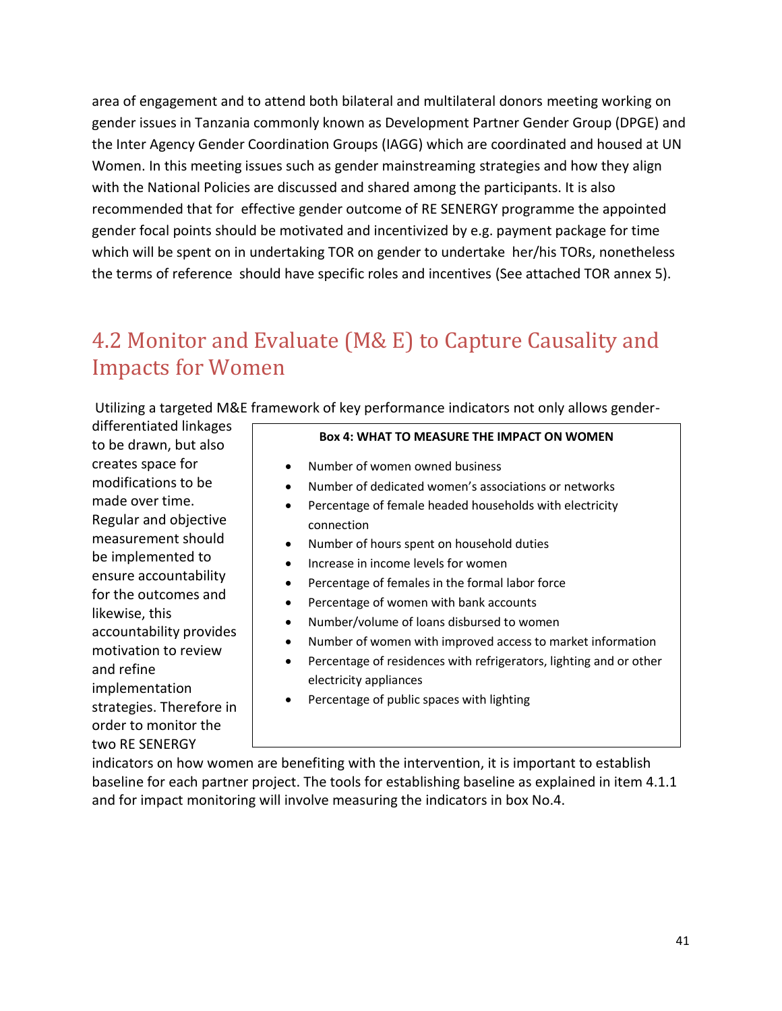area of engagement and to attend both bilateral and multilateral donors meeting working on gender issues in Tanzania commonly known as Development Partner Gender Group (DPGE) and the Inter Agency Gender Coordination Groups (IAGG) which are coordinated and housed at UN Women. In this meeting issues such as gender mainstreaming strategies and how they align with the National Policies are discussed and shared among the participants. It is also recommended that for effective gender outcome of RE SENERGY programme the appointed gender focal points should be motivated and incentivized by e.g. payment package for time which will be spent on in undertaking TOR on gender to undertake her/his TORs, nonetheless the terms of reference should have specific roles and incentives (See attached TOR annex 5).

## <span id="page-40-0"></span>4.2 Monitor and Evaluate (M& E) to Capture Causality and Impacts for Women

Utilizing a targeted M&E framework of key performance indicators not only allows gender-

differentiated linkages to be drawn, but also creates space for modifications to be made over time. Regular and objective measurement should be implemented to ensure accountability for the outcomes and likewise, this accountability provides motivation to review and refine implementation strategies. Therefore in order to monitor the two RE SENERGY

#### **Box 4: WHAT TO MEASURE THE IMPACT ON WOMEN**

- Number of women owned business
- Number of dedicated women's associations or networks
- Percentage of female headed households with electricity connection
- Number of hours spent on household duties
- Increase in income levels for women
- Percentage of females in the formal labor force
- Percentage of women with bank accounts
- Number/volume of loans disbursed to women
- Number of women with improved access to market information
- Percentage of residences with refrigerators, lighting and or other electricity appliances
- Percentage of public spaces with lighting

indicators on how women are benefiting with the intervention, it is important to establish baseline for each partner project. The tools for establishing baseline as explained in item 4.1.1 and for impact monitoring will involve measuring the indicators in box No.4.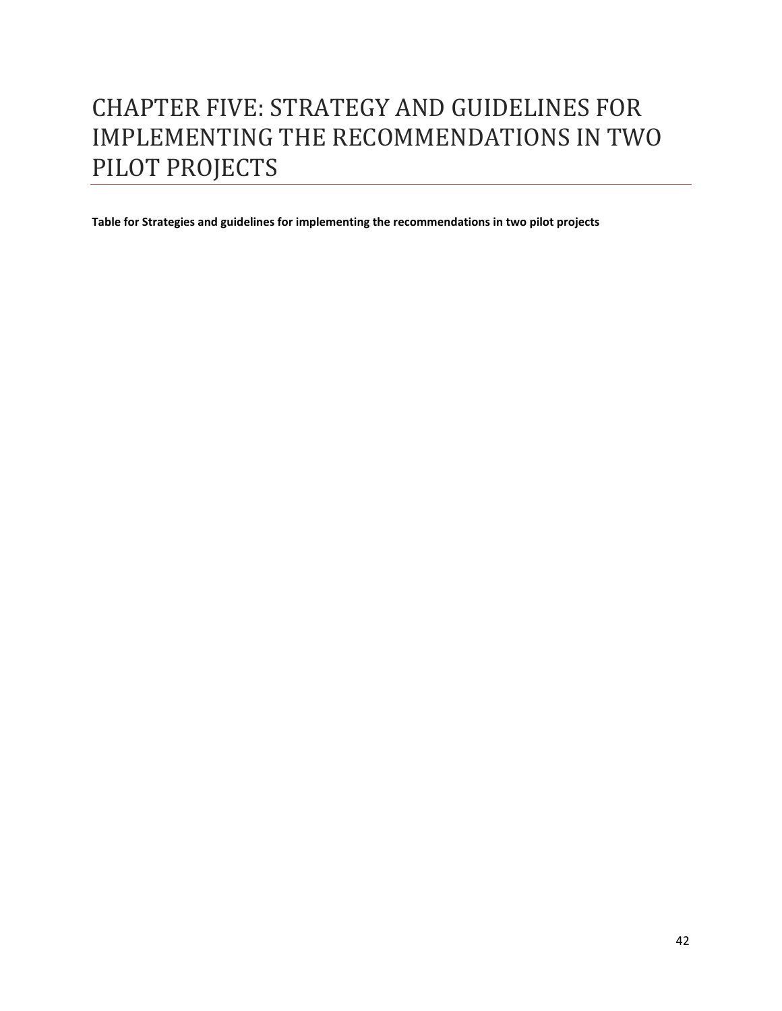# <span id="page-41-0"></span>CHAPTER FIVE: STRATEGY AND GUIDELINES FOR IMPLEMENTING THE RECOMMENDATIONS IN TWO PILOT PROJECTS

**Table for Strategies and guidelines for implementing the recommendations in two pilot projects**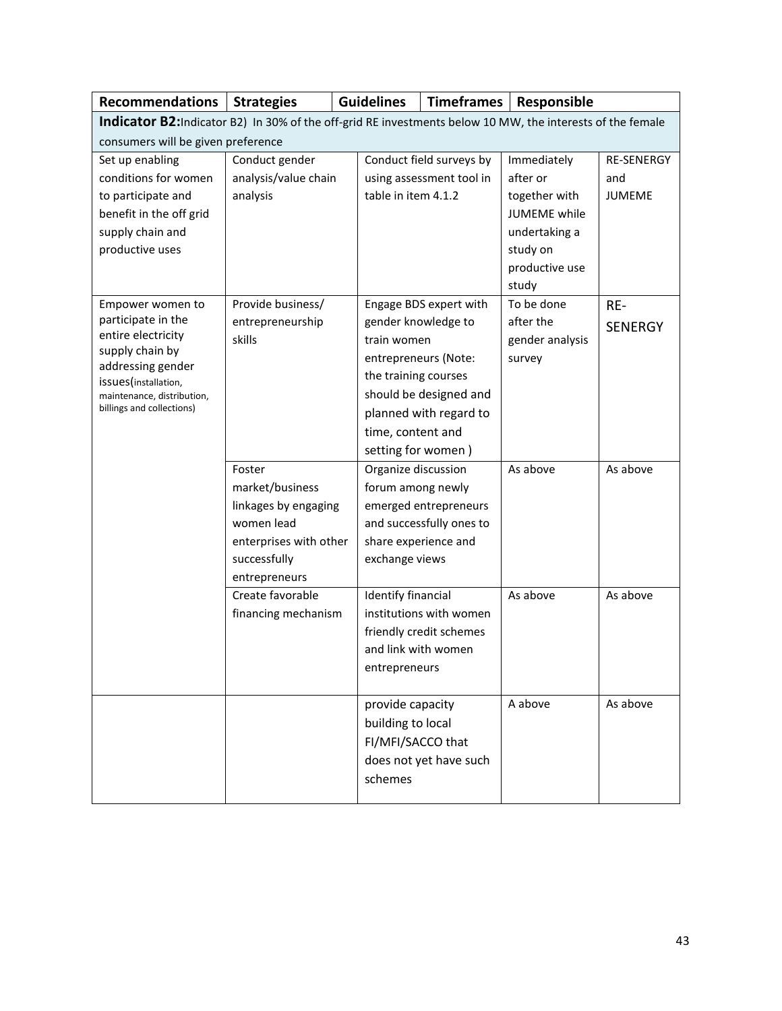| <b>Recommendations</b>                                                                                     | <b>Strategies</b>          | <b>Guidelines</b>        |                                    | <b>Timeframes</b>        | Responsible             |                   |
|------------------------------------------------------------------------------------------------------------|----------------------------|--------------------------|------------------------------------|--------------------------|-------------------------|-------------------|
| Indicator B2: Indicator B2) In 30% of the off-grid RE investments below 10 MW, the interests of the female |                            |                          |                                    |                          |                         |                   |
| consumers will be given preference                                                                         |                            |                          |                                    |                          |                         |                   |
| Set up enabling                                                                                            | Conduct gender             | Conduct field surveys by |                                    |                          | Immediately             | <b>RE-SENERGY</b> |
| conditions for women                                                                                       | analysis/value chain       |                          | using assessment tool in           |                          | after or                | and               |
| to participate and                                                                                         | analysis                   |                          | table in item 4.1.2                |                          | together with           | JUMEME            |
| benefit in the off grid                                                                                    |                            |                          |                                    |                          | <b>JUMEME</b> while     |                   |
| supply chain and                                                                                           |                            |                          |                                    |                          | undertaking a           |                   |
| productive uses                                                                                            |                            |                          |                                    |                          | study on                |                   |
|                                                                                                            |                            |                          |                                    |                          | productive use          |                   |
|                                                                                                            |                            |                          |                                    |                          | study                   |                   |
| Empower women to<br>participate in the                                                                     | Provide business/          |                          |                                    | Engage BDS expert with   | To be done<br>after the | RE-               |
| entire electricity                                                                                         | entrepreneurship<br>skills |                          | gender knowledge to<br>train women |                          | gender analysis         | <b>SENERGY</b>    |
| supply chain by                                                                                            |                            |                          |                                    | entrepreneurs (Note:     | survey                  |                   |
| addressing gender                                                                                          |                            |                          | the training courses               |                          |                         |                   |
| issues(installation,<br>maintenance, distribution,                                                         |                            |                          |                                    | should be designed and   |                         |                   |
| billings and collections)                                                                                  |                            |                          |                                    | planned with regard to   |                         |                   |
|                                                                                                            |                            |                          | time, content and                  |                          |                         |                   |
|                                                                                                            |                            |                          | setting for women)                 |                          |                         |                   |
|                                                                                                            | Foster                     |                          | Organize discussion                |                          | As above                | As above          |
|                                                                                                            | market/business            |                          | forum among newly                  |                          |                         |                   |
|                                                                                                            | linkages by engaging       |                          |                                    | emerged entrepreneurs    |                         |                   |
|                                                                                                            | women lead                 |                          |                                    | and successfully ones to |                         |                   |
|                                                                                                            | enterprises with other     |                          |                                    | share experience and     |                         |                   |
|                                                                                                            | successfully               |                          | exchange views                     |                          |                         |                   |
|                                                                                                            | entrepreneurs              |                          |                                    |                          |                         |                   |
|                                                                                                            | Create favorable           |                          | Identify financial                 |                          | As above                | As above          |
|                                                                                                            | financing mechanism        |                          |                                    | institutions with women  |                         |                   |
|                                                                                                            |                            |                          |                                    | friendly credit schemes  |                         |                   |
|                                                                                                            |                            |                          | and link with women                |                          |                         |                   |
|                                                                                                            |                            |                          | entrepreneurs                      |                          |                         |                   |
|                                                                                                            |                            |                          | provide capacity                   |                          | A above                 | As above          |
|                                                                                                            |                            |                          | building to local                  |                          |                         |                   |
|                                                                                                            |                            |                          | FI/MFI/SACCO that                  |                          |                         |                   |
|                                                                                                            |                            |                          |                                    | does not yet have such   |                         |                   |
|                                                                                                            |                            |                          | schemes                            |                          |                         |                   |
|                                                                                                            |                            |                          |                                    |                          |                         |                   |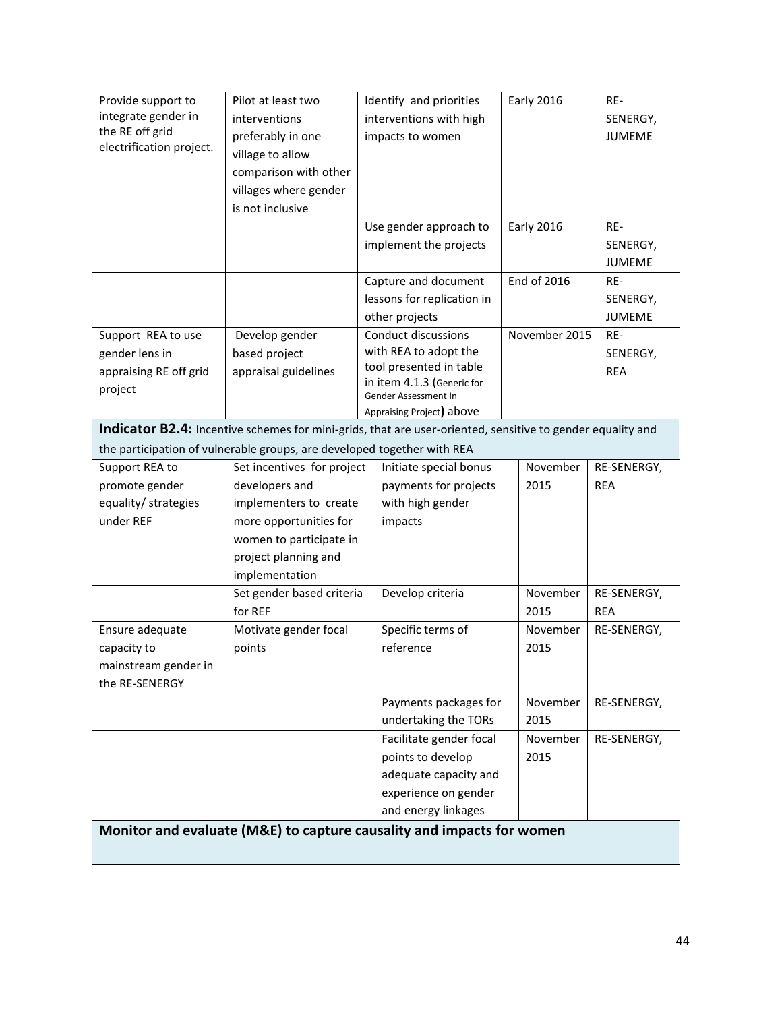| Provide support to       | Pilot at least two                                                                                         | Identify and priorities                            | <b>Early 2016</b>  | RE-           |
|--------------------------|------------------------------------------------------------------------------------------------------------|----------------------------------------------------|--------------------|---------------|
| integrate gender in      | interventions                                                                                              | interventions with high                            |                    | SENERGY,      |
| the RE off grid          | preferably in one                                                                                          | impacts to women                                   |                    | <b>JUMEME</b> |
| electrification project. | village to allow                                                                                           |                                                    |                    |               |
|                          | comparison with other                                                                                      |                                                    |                    |               |
|                          | villages where gender                                                                                      |                                                    |                    |               |
|                          | is not inclusive                                                                                           |                                                    |                    |               |
|                          |                                                                                                            | Use gender approach to                             | <b>Early 2016</b>  | RE-           |
|                          |                                                                                                            | implement the projects                             |                    | SENERGY,      |
|                          |                                                                                                            |                                                    |                    | <b>JUMEME</b> |
|                          |                                                                                                            | Capture and document                               | <b>End of 2016</b> | RE-           |
|                          |                                                                                                            | lessons for replication in                         |                    | SENERGY,      |
|                          |                                                                                                            | other projects                                     |                    | <b>JUMEME</b> |
| Support REA to use       | Develop gender                                                                                             | <b>Conduct discussions</b>                         | November 2015      | RE-           |
| gender lens in           | based project                                                                                              | with REA to adopt the                              |                    | SENERGY,      |
| appraising RE off grid   | appraisal guidelines                                                                                       | tool presented in table                            |                    | <b>REA</b>    |
| project                  |                                                                                                            | in item 4.1.3 (Generic for<br>Gender Assessment In |                    |               |
|                          |                                                                                                            | Appraising Project) above                          |                    |               |
|                          | Indicator B2.4: Incentive schemes for mini-grids, that are user-oriented, sensitive to gender equality and |                                                    |                    |               |
|                          | the participation of vulnerable groups, are developed together with REA                                    |                                                    |                    |               |
| Support REA to           | Set incentives for project                                                                                 | Initiate special bonus                             | November           | RE-SENERGY,   |
| promote gender           | developers and                                                                                             | payments for projects                              | 2015               | <b>REA</b>    |
| equality/ strategies     | implementers to create                                                                                     | with high gender                                   |                    |               |
| under REF                | more opportunities for                                                                                     | impacts                                            |                    |               |
|                          | women to participate in                                                                                    |                                                    |                    |               |
|                          | project planning and                                                                                       |                                                    |                    |               |
|                          | implementation                                                                                             |                                                    |                    |               |
|                          | Set gender based criteria                                                                                  | Develop criteria                                   | November           | RE-SENERGY,   |
|                          | for REF                                                                                                    |                                                    | 2015               | <b>REA</b>    |
| Ensure adequate          | Motivate gender focal                                                                                      | Specific terms of                                  | November           | RE-SENERGY,   |
| capacity to              | points                                                                                                     | reference                                          | 2015               |               |
| mainstream gender in     |                                                                                                            |                                                    |                    |               |
| the RE-SENERGY           |                                                                                                            |                                                    |                    |               |
|                          |                                                                                                            | Payments packages for                              | November           | RE-SENERGY,   |
|                          |                                                                                                            | undertaking the TORs                               | 2015               |               |
|                          |                                                                                                            | Facilitate gender focal                            | November           | RE-SENERGY,   |
|                          |                                                                                                            | points to develop                                  | 2015               |               |
|                          |                                                                                                            | adequate capacity and                              |                    |               |
|                          |                                                                                                            | experience on gender                               |                    |               |
|                          |                                                                                                            | and energy linkages                                |                    |               |
|                          | Monitor and evaluate (M&E) to capture causality and impacts for women                                      |                                                    |                    |               |
|                          |                                                                                                            |                                                    |                    |               |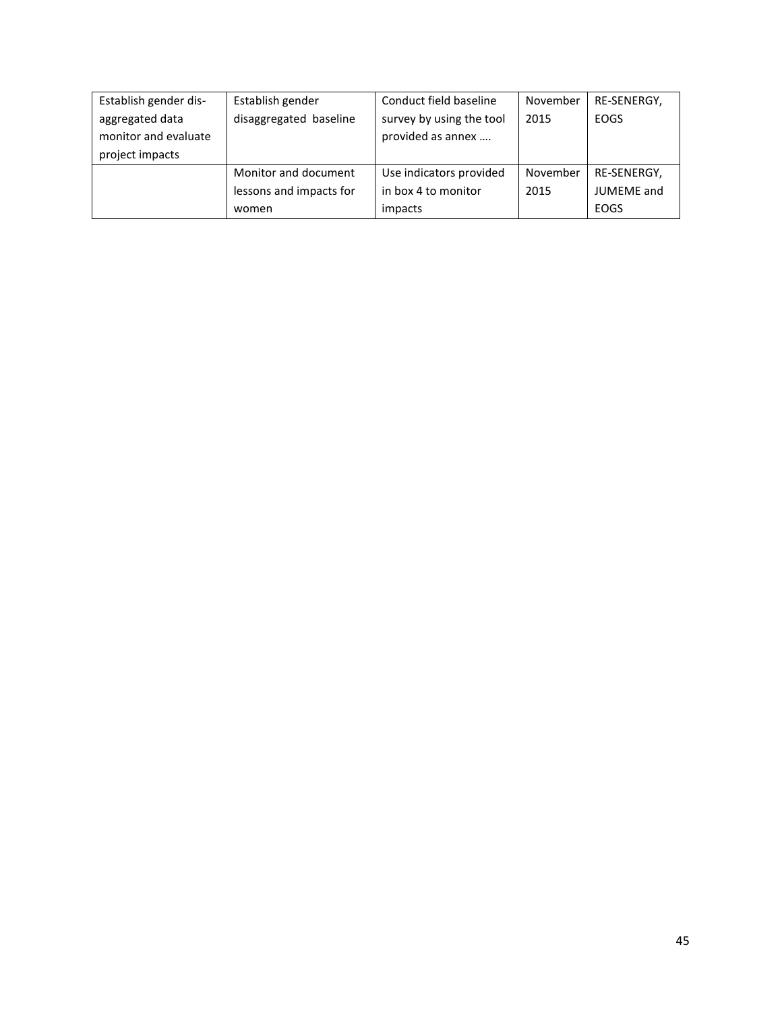| Establish gender dis- | Establish gender        | Conduct field baseline   | November | RE-SENERGY,       |
|-----------------------|-------------------------|--------------------------|----------|-------------------|
| aggregated data       | disaggregated baseline  | survey by using the tool | 2015     | <b>EOGS</b>       |
| monitor and evaluate  |                         | provided as annex        |          |                   |
| project impacts       |                         |                          |          |                   |
|                       | Monitor and document    | Use indicators provided  | November | RE-SENERGY,       |
|                       | lessons and impacts for | in box 4 to monitor      | 2015     | <b>JUMEME</b> and |
|                       | women                   | impacts                  |          | EOGS              |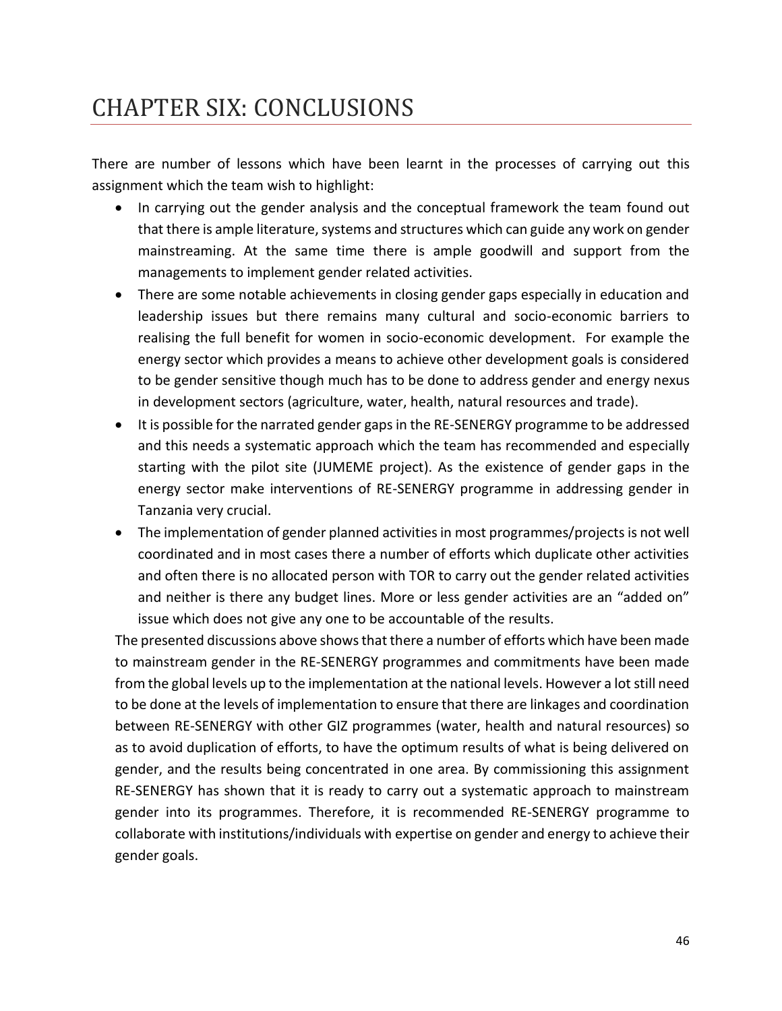# <span id="page-45-0"></span>CHAPTER SIX: CONCLUSIONS

There are number of lessons which have been learnt in the processes of carrying out this assignment which the team wish to highlight:

- In carrying out the gender analysis and the conceptual framework the team found out that there is ample literature, systems and structures which can guide any work on gender mainstreaming. At the same time there is ample goodwill and support from the managements to implement gender related activities.
- There are some notable achievements in closing gender gaps especially in education and leadership issues but there remains many cultural and socio-economic barriers to realising the full benefit for women in socio-economic development. For example the energy sector which provides a means to achieve other development goals is considered to be gender sensitive though much has to be done to address gender and energy nexus in development sectors (agriculture, water, health, natural resources and trade).
- It is possible for the narrated gender gaps in the RE-SENERGY programme to be addressed and this needs a systematic approach which the team has recommended and especially starting with the pilot site (JUMEME project). As the existence of gender gaps in the energy sector make interventions of RE-SENERGY programme in addressing gender in Tanzania very crucial.
- The implementation of gender planned activities in most programmes/projects is not well coordinated and in most cases there a number of efforts which duplicate other activities and often there is no allocated person with TOR to carry out the gender related activities and neither is there any budget lines. More or less gender activities are an "added on" issue which does not give any one to be accountable of the results.

The presented discussions above shows that there a number of efforts which have been made to mainstream gender in the RE-SENERGY programmes and commitments have been made from the global levels up to the implementation at the national levels. However a lot still need to be done at the levels of implementation to ensure that there are linkages and coordination between RE-SENERGY with other GIZ programmes (water, health and natural resources) so as to avoid duplication of efforts, to have the optimum results of what is being delivered on gender, and the results being concentrated in one area. By commissioning this assignment RE-SENERGY has shown that it is ready to carry out a systematic approach to mainstream gender into its programmes. Therefore, it is recommended RE-SENERGY programme to collaborate with institutions/individuals with expertise on gender and energy to achieve their gender goals.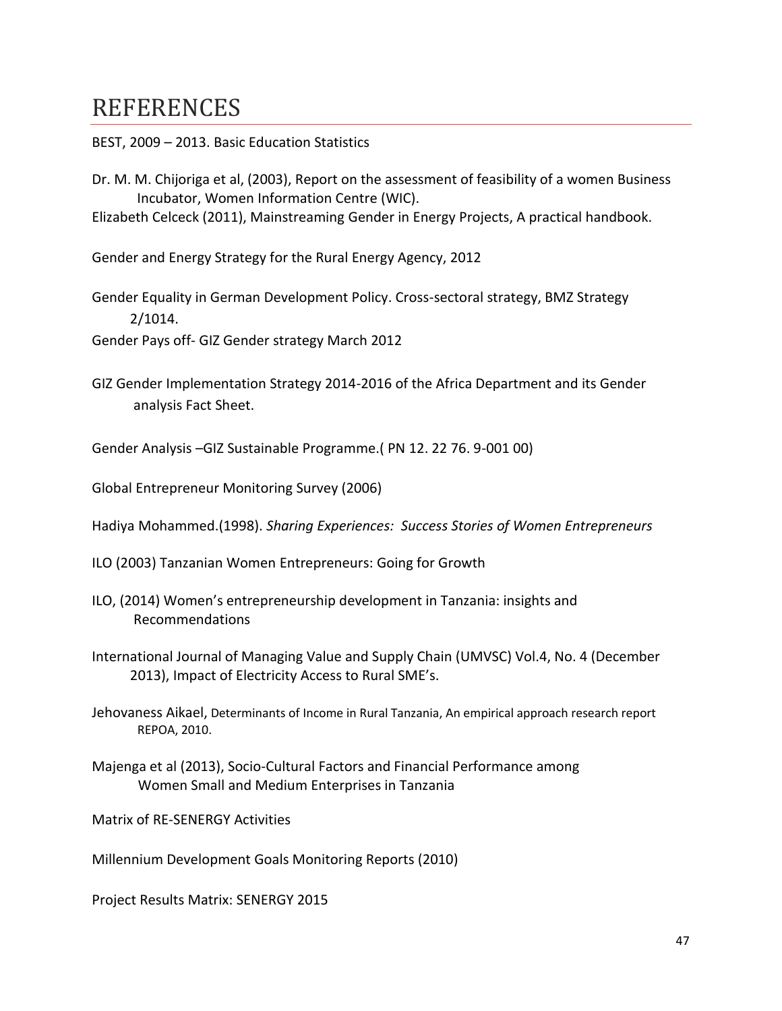## <span id="page-46-0"></span>**REFERENCES**

- BEST, 2009 2013. Basic Education Statistics
- Dr. M. M. Chijoriga et al, (2003), Report on the assessment of feasibility of a women Business Incubator, Women Information Centre (WIC).

Elizabeth Celceck (2011), Mainstreaming Gender in Energy Projects, A practical handbook.

Gender and Energy Strategy for the Rural Energy Agency, 2012

Gender Equality in German Development Policy. Cross-sectoral strategy, BMZ Strategy 2/1014.

Gender Pays off- GIZ Gender strategy March 2012

GIZ Gender Implementation Strategy 2014-2016 of the Africa Department and its Gender analysis Fact Sheet.

Gender Analysis –GIZ Sustainable Programme.( PN 12. 22 76. 9-001 00)

Global Entrepreneur Monitoring Survey (2006)

Hadiya Mohammed.(1998). *Sharing Experiences: Success Stories of Women Entrepreneurs*

- ILO (2003) Tanzanian Women Entrepreneurs: Going for Growth
- ILO, (2014) Women's entrepreneurship development in Tanzania: insights and Recommendations
- International Journal of Managing Value and Supply Chain (UMVSC) Vol.4, No. 4 (December 2013), Impact of Electricity Access to Rural SME's.
- Jehovaness Aikael, Determinants of Income in Rural Tanzania, An empirical approach research report REPOA, 2010.
- Majenga et al (2013), Socio-Cultural Factors and Financial Performance among Women Small and Medium Enterprises in Tanzania

Matrix of RE-SENERGY Activities

Millennium Development Goals Monitoring Reports (2010)

Project Results Matrix: SENERGY 2015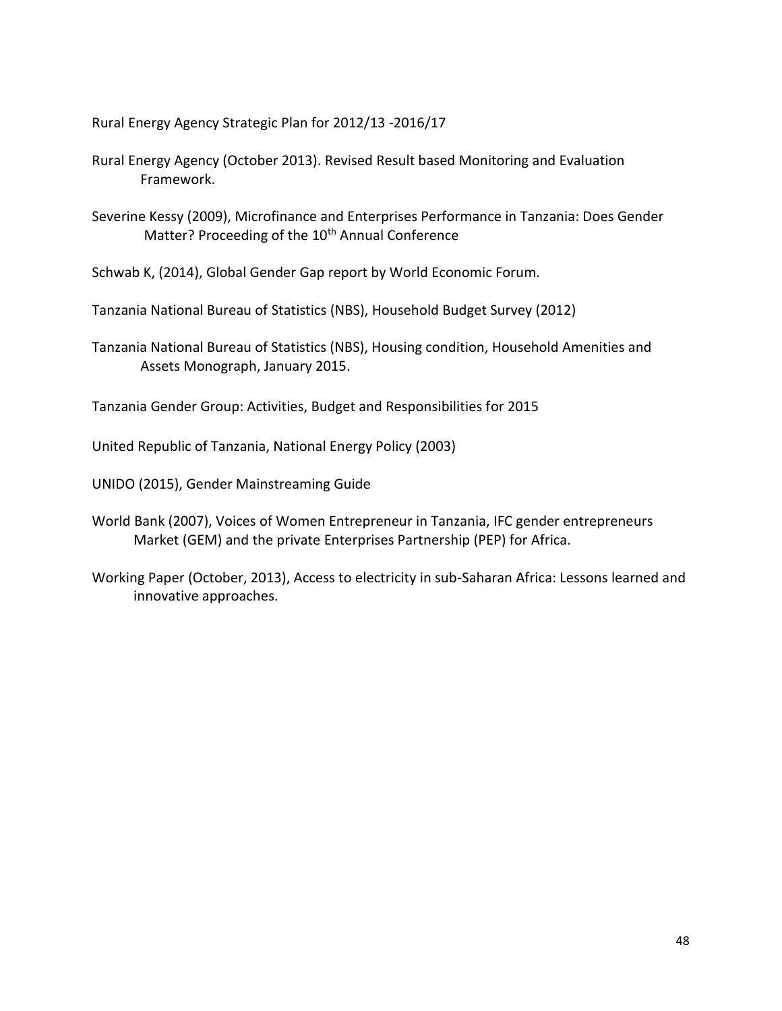Rural Energy Agency Strategic Plan for 2012/13 -2016/17

- Rural Energy Agency (October 2013). Revised Result based Monitoring and Evaluation Framework.
- Severine Kessy (2009), Microfinance and Enterprises Performance in Tanzania: Does Gender Matter? Proceeding of the 10<sup>th</sup> Annual Conference

Schwab K, (2014), Global Gender Gap report by World Economic Forum.

Tanzania National Bureau of Statistics (NBS), Household Budget Survey (2012)

Tanzania National Bureau of Statistics (NBS), Housing condition, Household Amenities and Assets Monograph, January 2015.

Tanzania Gender Group: Activities, Budget and Responsibilities for 2015

United Republic of Tanzania, National Energy Policy (2003)

UNIDO (2015), Gender Mainstreaming Guide

- World Bank (2007), Voices of Women Entrepreneur in Tanzania, IFC gender entrepreneurs Market (GEM) and the private Enterprises Partnership (PEP) for Africa.
- Working Paper (October, 2013), Access to electricity in sub-Saharan Africa: Lessons learned and innovative approaches.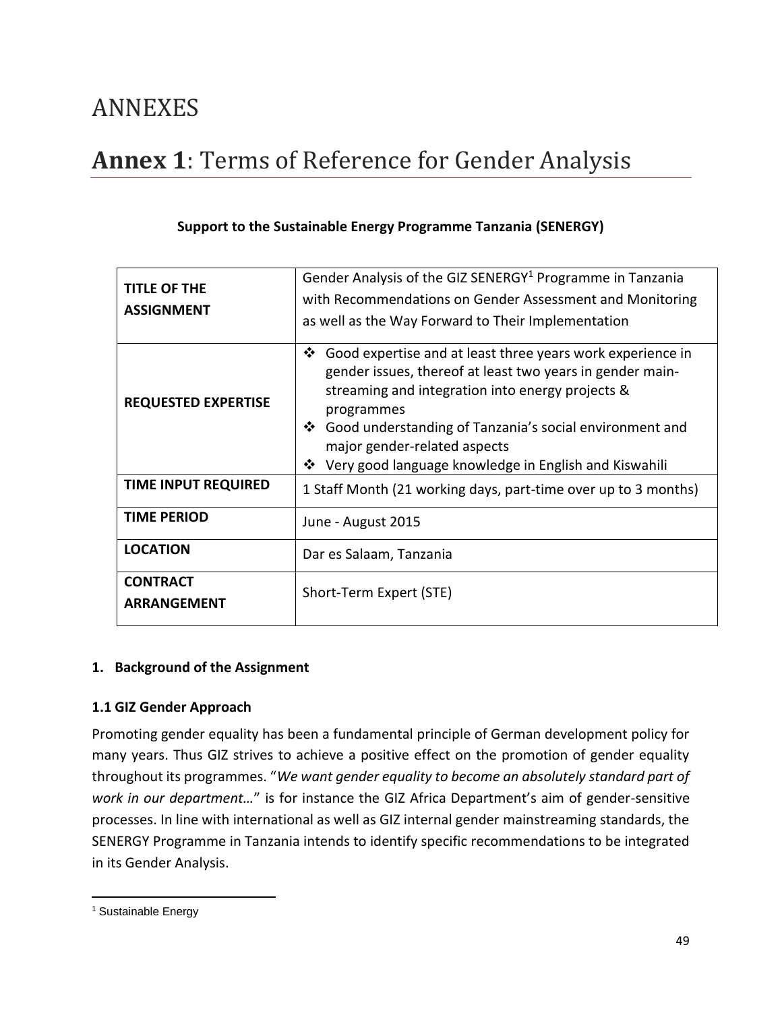## <span id="page-48-0"></span>ANNEXES

# <span id="page-48-1"></span>**Annex 1**: Terms of Reference for Gender Analysis

| <b>TITLE OF THE</b><br><b>ASSIGNMENT</b> | Gender Analysis of the GIZ SENERGY <sup>1</sup> Programme in Tanzania<br>with Recommendations on Gender Assessment and Monitoring<br>as well as the Way Forward to Their Implementation                                                                                                                                                                         |  |
|------------------------------------------|-----------------------------------------------------------------------------------------------------------------------------------------------------------------------------------------------------------------------------------------------------------------------------------------------------------------------------------------------------------------|--|
| <b>REQUESTED EXPERTISE</b>               | ❖<br>Good expertise and at least three years work experience in<br>gender issues, thereof at least two years in gender main-<br>streaming and integration into energy projects &<br>programmes<br>Good understanding of Tanzania's social environment and<br>$\cdot$<br>major gender-related aspects<br>❖ Very good language knowledge in English and Kiswahili |  |
| <b>TIME INPUT REQUIRED</b>               | 1 Staff Month (21 working days, part-time over up to 3 months)                                                                                                                                                                                                                                                                                                  |  |
| <b>TIME PERIOD</b>                       | June - August 2015                                                                                                                                                                                                                                                                                                                                              |  |
| <b>LOCATION</b>                          | Dar es Salaam, Tanzania                                                                                                                                                                                                                                                                                                                                         |  |
| <b>CONTRACT</b><br>ARRANGEMENT           | Short-Term Expert (STE)                                                                                                                                                                                                                                                                                                                                         |  |

### **Support to the Sustainable Energy Programme Tanzania (SENERGY)**

### **1. Background of the Assignment**

#### **1.1 GIZ Gender Approach**

Promoting gender equality has been a fundamental principle of German development policy for many years. Thus GIZ strives to achieve a positive effect on the promotion of gender equality throughout its programmes. "*We want gender equality to become an absolutely standard part of work in our department…*" is for instance the GIZ Africa Department's aim of gender-sensitive processes. In line with international as well as GIZ internal gender mainstreaming standards, the SENERGY Programme in Tanzania intends to identify specific recommendations to be integrated in its Gender Analysis.

<sup>&</sup>lt;sup>1</sup> Sustainable Energy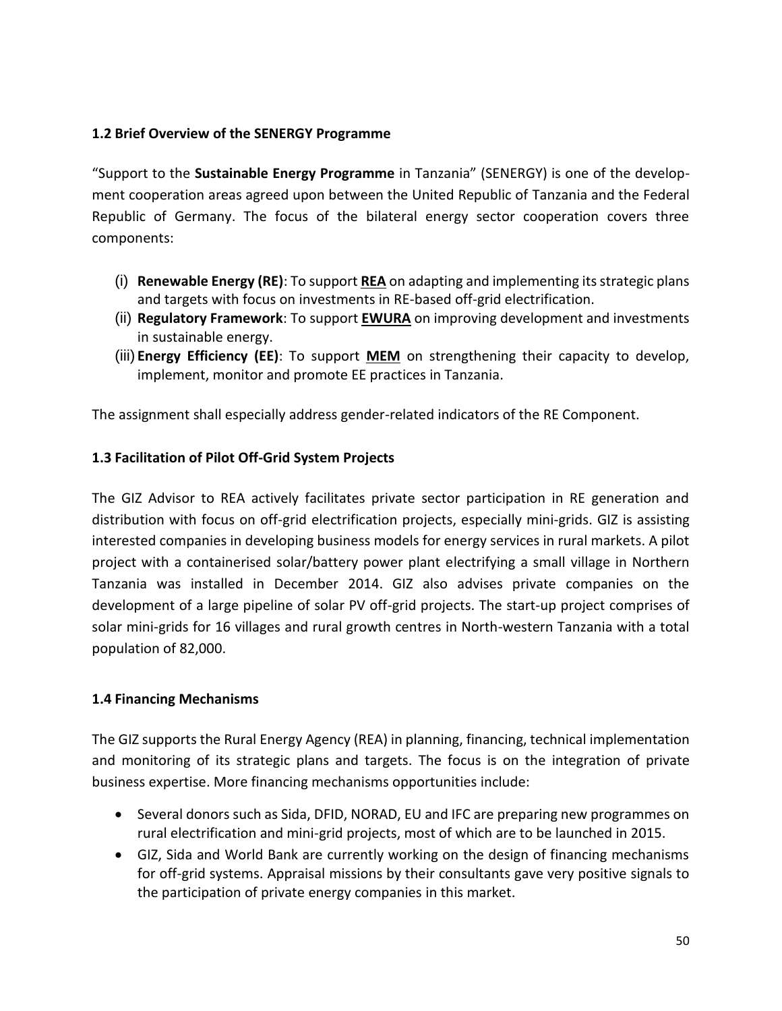### **1.2 Brief Overview of the SENERGY Programme**

"Support to the **Sustainable Energy Programme** in Tanzania" (SENERGY) is one of the development cooperation areas agreed upon between the United Republic of Tanzania and the Federal Republic of Germany. The focus of the bilateral energy sector cooperation covers three components:

- (i) **Renewable Energy (RE)**: To support **REA** on adapting and implementing its strategic plans and targets with focus on investments in RE-based off-grid electrification.
- (ii) **Regulatory Framework**: To support **EWURA** on improving development and investments in sustainable energy.
- (iii) **Energy Efficiency (EE)**: To support **MEM** on strengthening their capacity to develop, implement, monitor and promote EE practices in Tanzania.

The assignment shall especially address gender-related indicators of the RE Component.

### **1.3 Facilitation of Pilot Off-Grid System Projects**

The GIZ Advisor to REA actively facilitates private sector participation in RE generation and distribution with focus on off-grid electrification projects, especially mini-grids. GIZ is assisting interested companies in developing business models for energy services in rural markets. A pilot project with a containerised solar/battery power plant electrifying a small village in Northern Tanzania was installed in December 2014. GIZ also advises private companies on the development of a large pipeline of solar PV off-grid projects. The start-up project comprises of solar mini-grids for 16 villages and rural growth centres in North-western Tanzania with a total population of 82,000.

### **1.4 Financing Mechanisms**

The GIZ supports the Rural Energy Agency (REA) in planning, financing, technical implementation and monitoring of its strategic plans and targets. The focus is on the integration of private business expertise. More financing mechanisms opportunities include:

- Several donors such as Sida, DFID, NORAD, EU and IFC are preparing new programmes on rural electrification and mini-grid projects, most of which are to be launched in 2015.
- GIZ, Sida and World Bank are currently working on the design of financing mechanisms for off-grid systems. Appraisal missions by their consultants gave very positive signals to the participation of private energy companies in this market.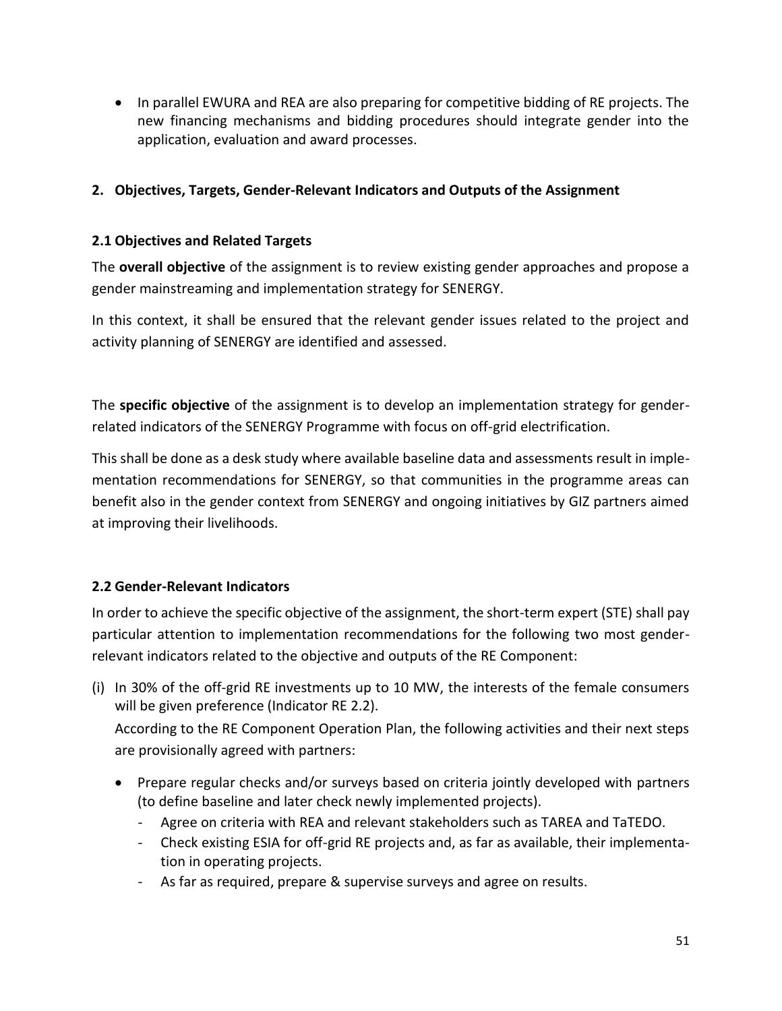• In parallel EWURA and REA are also preparing for competitive bidding of RE projects. The new financing mechanisms and bidding procedures should integrate gender into the application, evaluation and award processes.

### **2. Objectives, Targets, Gender-Relevant Indicators and Outputs of the Assignment**

### **2.1 Objectives and Related Targets**

The **overall objective** of the assignment is to review existing gender approaches and propose a gender mainstreaming and implementation strategy for SENERGY.

In this context, it shall be ensured that the relevant gender issues related to the project and activity planning of SENERGY are identified and assessed.

The **specific objective** of the assignment is to develop an implementation strategy for genderrelated indicators of the SENERGY Programme with focus on off-grid electrification.

This shall be done as a desk study where available baseline data and assessments result in implementation recommendations for SENERGY, so that communities in the programme areas can benefit also in the gender context from SENERGY and ongoing initiatives by GIZ partners aimed at improving their livelihoods.

### **2.2 Gender-Relevant Indicators**

In order to achieve the specific objective of the assignment, the short-term expert (STE) shall pay particular attention to implementation recommendations for the following two most genderrelevant indicators related to the objective and outputs of the RE Component:

(i) In 30% of the off-grid RE investments up to 10 MW, the interests of the female consumers will be given preference (Indicator RE 2.2).

According to the RE Component Operation Plan, the following activities and their next steps are provisionally agreed with partners:

- Prepare regular checks and/or surveys based on criteria jointly developed with partners (to define baseline and later check newly implemented projects).
	- Agree on criteria with REA and relevant stakeholders such as TAREA and TaTEDO.
	- Check existing ESIA for off-grid RE projects and, as far as available, their implementation in operating projects.
	- As far as required, prepare & supervise surveys and agree on results.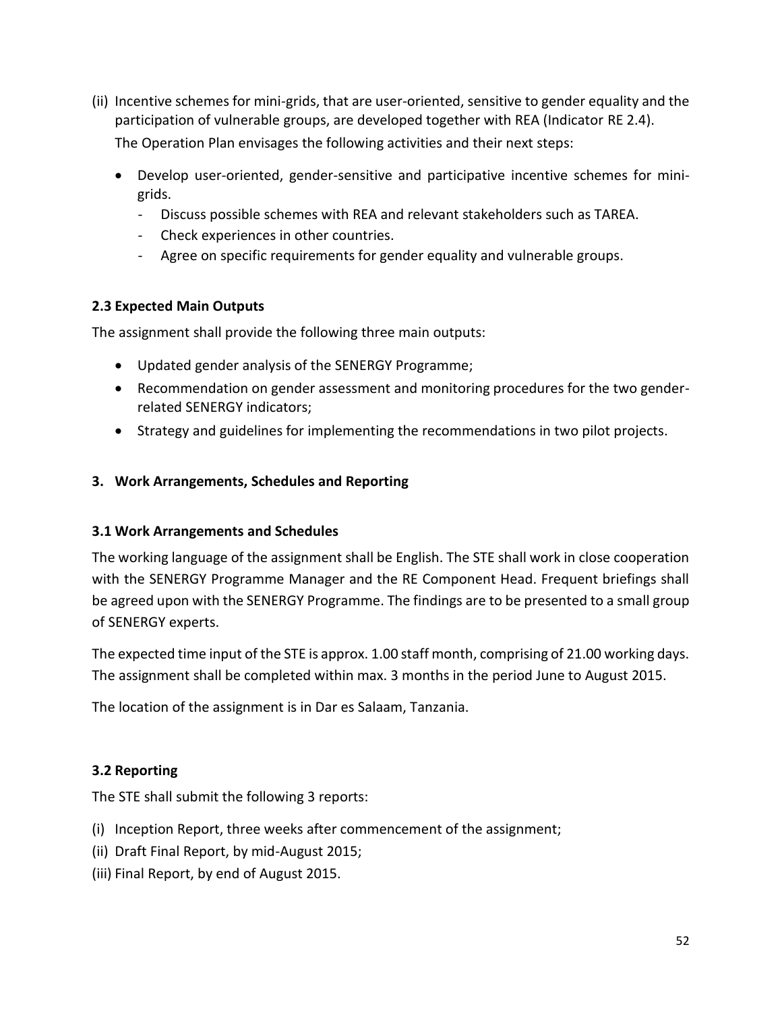- (ii) Incentive schemes for mini-grids, that are user-oriented, sensitive to gender equality and the participation of vulnerable groups, are developed together with REA (Indicator RE 2.4). The Operation Plan envisages the following activities and their next steps:
	- Develop user-oriented, gender-sensitive and participative incentive schemes for minigrids.
		- Discuss possible schemes with REA and relevant stakeholders such as TAREA.
		- Check experiences in other countries.
		- Agree on specific requirements for gender equality and vulnerable groups.

### **2.3 Expected Main Outputs**

The assignment shall provide the following three main outputs:

- Updated gender analysis of the SENERGY Programme;
- Recommendation on gender assessment and monitoring procedures for the two genderrelated SENERGY indicators;
- Strategy and guidelines for implementing the recommendations in two pilot projects.

### **3. Work Arrangements, Schedules and Reporting**

### **3.1 Work Arrangements and Schedules**

The working language of the assignment shall be English. The STE shall work in close cooperation with the SENERGY Programme Manager and the RE Component Head. Frequent briefings shall be agreed upon with the SENERGY Programme. The findings are to be presented to a small group of SENERGY experts.

The expected time input of the STE is approx. 1.00 staff month, comprising of 21.00 working days. The assignment shall be completed within max. 3 months in the period June to August 2015.

The location of the assignment is in Dar es Salaam, Tanzania.

### **3.2 Reporting**

The STE shall submit the following 3 reports:

- (i) Inception Report, three weeks after commencement of the assignment;
- (ii) Draft Final Report, by mid-August 2015;
- (iii) Final Report, by end of August 2015.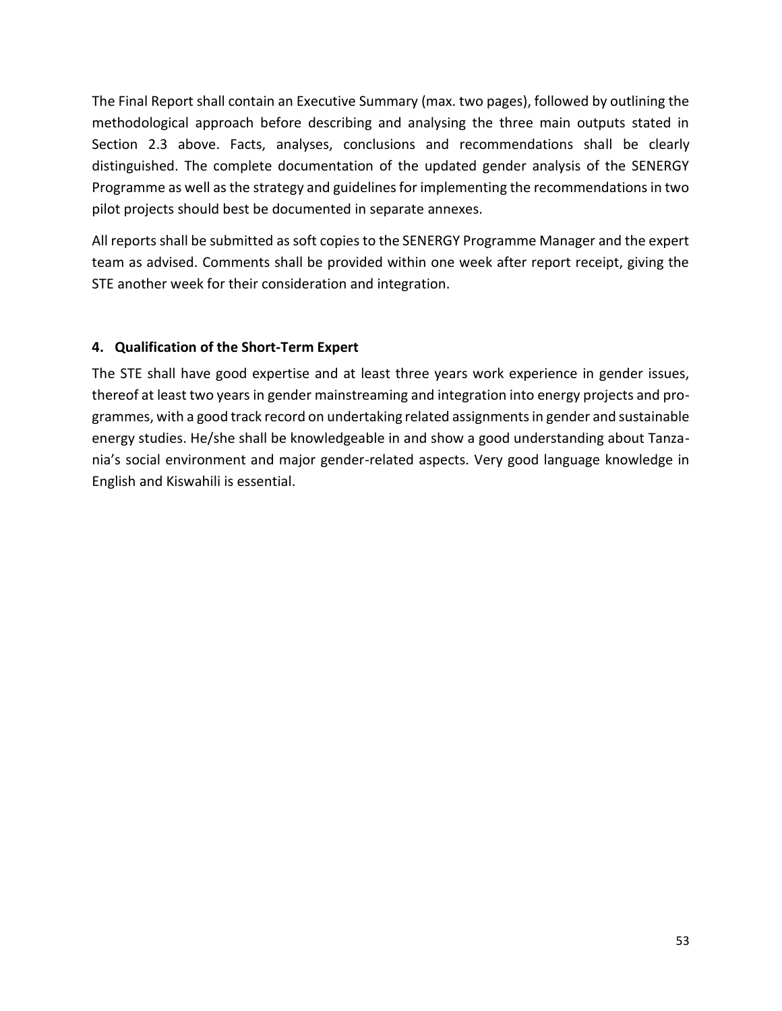The Final Report shall contain an Executive Summary (max. two pages), followed by outlining the methodological approach before describing and analysing the three main outputs stated in Section 2.3 above. Facts, analyses, conclusions and recommendations shall be clearly distinguished. The complete documentation of the updated gender analysis of the SENERGY Programme as well as the strategy and guidelines for implementing the recommendations in two pilot projects should best be documented in separate annexes.

All reports shall be submitted as soft copies to the SENERGY Programme Manager and the expert team as advised. Comments shall be provided within one week after report receipt, giving the STE another week for their consideration and integration.

### **4. Qualification of the Short-Term Expert**

The STE shall have good expertise and at least three years work experience in gender issues, thereof at least two years in gender mainstreaming and integration into energy projects and programmes, with a good track record on undertaking related assignments in gender and sustainable energy studies. He/she shall be knowledgeable in and show a good understanding about Tanzania's social environment and major gender-related aspects. Very good language knowledge in English and Kiswahili is essential.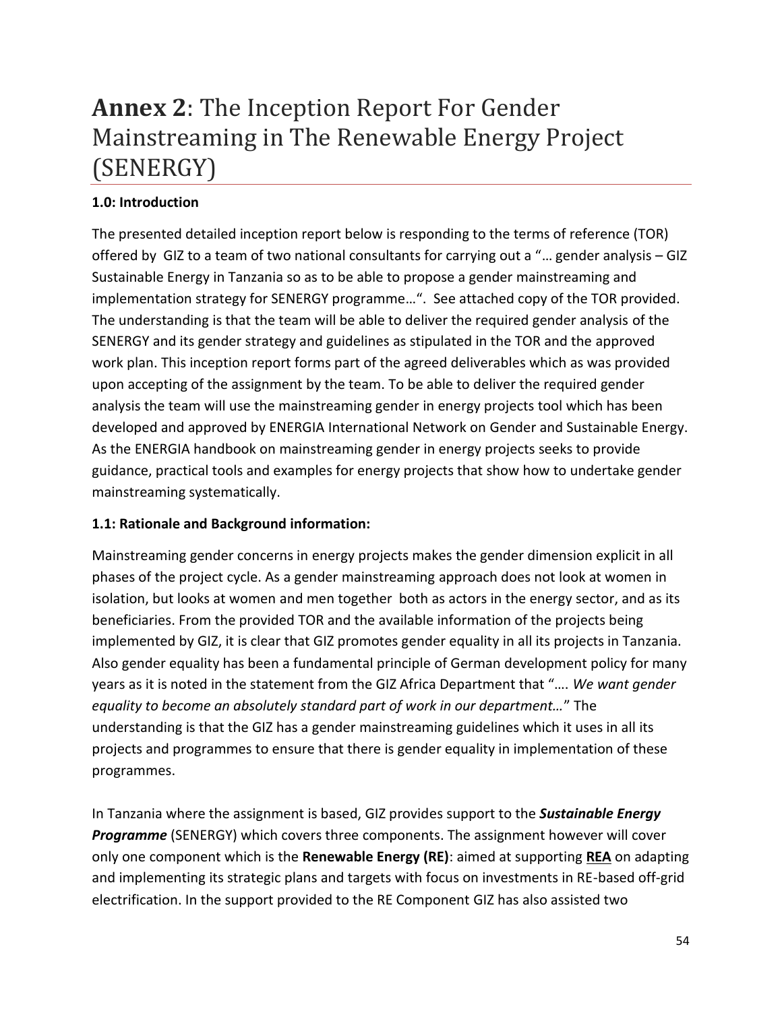# <span id="page-53-0"></span>**Annex 2**: The Inception Report For Gender Mainstreaming in The Renewable Energy Project (SENERGY)

### **1.0: Introduction**

The presented detailed inception report below is responding to the terms of reference (TOR) offered by GIZ to a team of two national consultants for carrying out a "… gender analysis – GIZ Sustainable Energy in Tanzania so as to be able to propose a gender mainstreaming and implementation strategy for SENERGY programme…". See attached copy of the TOR provided. The understanding is that the team will be able to deliver the required gender analysis of the SENERGY and its gender strategy and guidelines as stipulated in the TOR and the approved work plan. This inception report forms part of the agreed deliverables which as was provided upon accepting of the assignment by the team. To be able to deliver the required gender analysis the team will use the mainstreaming gender in energy projects tool which has been developed and approved by ENERGIA International Network on Gender and Sustainable Energy. As the ENERGIA handbook on mainstreaming gender in energy projects seeks to provide guidance, practical tools and examples for energy projects that show how to undertake gender mainstreaming systematically.

### **1.1: Rationale and Background information:**

Mainstreaming gender concerns in energy projects makes the gender dimension explicit in all phases of the project cycle. As a gender mainstreaming approach does not look at women in isolation, but looks at women and men together both as actors in the energy sector, and as its beneficiaries. From the provided TOR and the available information of the projects being implemented by GIZ, it is clear that GIZ promotes gender equality in all its projects in Tanzania. Also gender equality has been a fundamental principle of German development policy for many years as it is noted in the statement from the GIZ Africa Department that "…. *We want gender equality to become an absolutely standard part of work in our department…*" The understanding is that the GIZ has a gender mainstreaming guidelines which it uses in all its projects and programmes to ensure that there is gender equality in implementation of these programmes.

In Tanzania where the assignment is based, GIZ provides support to the *Sustainable Energy Programme* (SENERGY) which covers three components. The assignment however will cover only one component which is the **Renewable Energy (RE)**: aimed at supporting **REA** on adapting and implementing its strategic plans and targets with focus on investments in RE-based off-grid electrification. In the support provided to the RE Component GIZ has also assisted two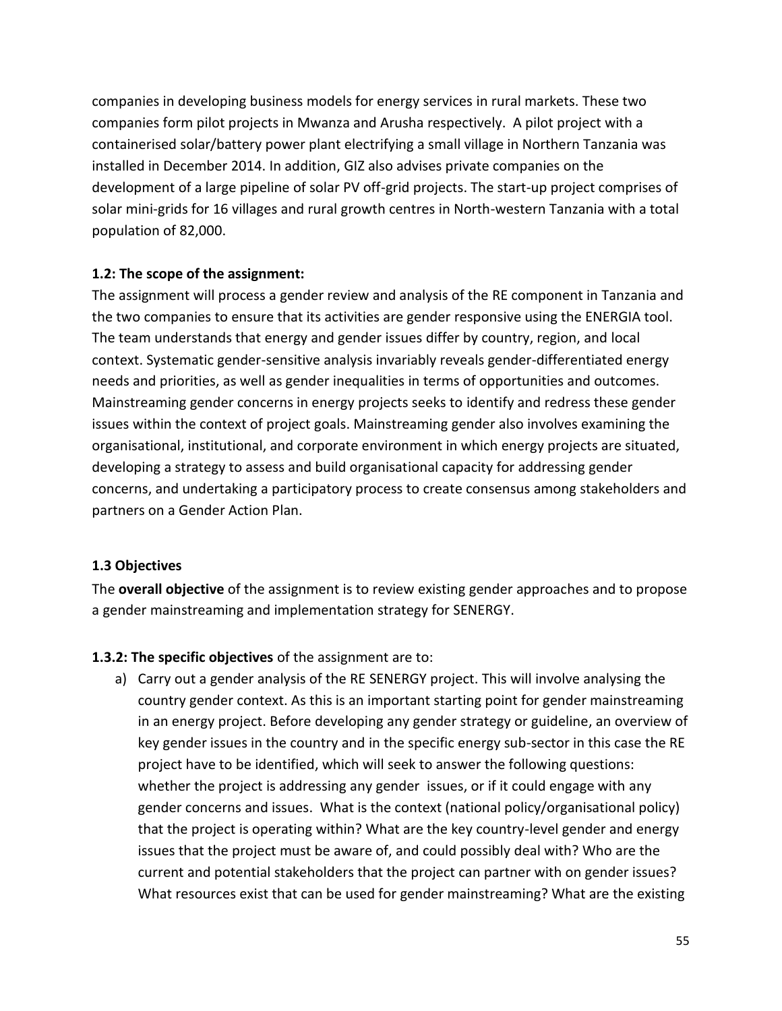companies in developing business models for energy services in rural markets. These two companies form pilot projects in Mwanza and Arusha respectively. A pilot project with a containerised solar/battery power plant electrifying a small village in Northern Tanzania was installed in December 2014. In addition, GIZ also advises private companies on the development of a large pipeline of solar PV off-grid projects. The start-up project comprises of solar mini-grids for 16 villages and rural growth centres in North-western Tanzania with a total population of 82,000.

#### **1.2: The scope of the assignment:**

The assignment will process a gender review and analysis of the RE component in Tanzania and the two companies to ensure that its activities are gender responsive using the ENERGIA tool. The team understands that energy and gender issues differ by country, region, and local context. Systematic gender-sensitive analysis invariably reveals gender-differentiated energy needs and priorities, as well as gender inequalities in terms of opportunities and outcomes. Mainstreaming gender concerns in energy projects seeks to identify and redress these gender issues within the context of project goals. Mainstreaming gender also involves examining the organisational, institutional, and corporate environment in which energy projects are situated, developing a strategy to assess and build organisational capacity for addressing gender concerns, and undertaking a participatory process to create consensus among stakeholders and partners on a Gender Action Plan.

#### **1.3 Objectives**

The **overall objective** of the assignment is to review existing gender approaches and to propose a gender mainstreaming and implementation strategy for SENERGY.

#### **1.3.2: The specific objectives** of the assignment are to:

a) Carry out a gender analysis of the RE SENERGY project. This will involve analysing the country gender context. As this is an important starting point for gender mainstreaming in an energy project. Before developing any gender strategy or guideline, an overview of key gender issues in the country and in the specific energy sub-sector in this case the RE project have to be identified, which will seek to answer the following questions: whether the project is addressing any gender issues, or if it could engage with any gender concerns and issues. What is the context (national policy/organisational policy) that the project is operating within? What are the key country-level gender and energy issues that the project must be aware of, and could possibly deal with? Who are the current and potential stakeholders that the project can partner with on gender issues? What resources exist that can be used for gender mainstreaming? What are the existing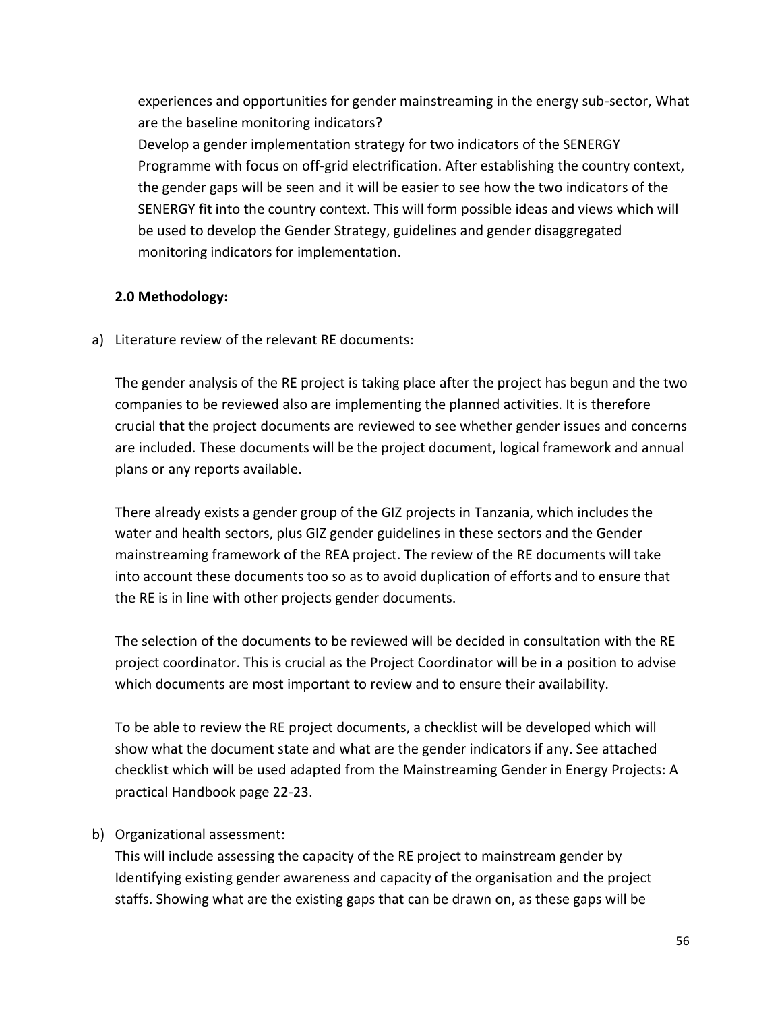experiences and opportunities for gender mainstreaming in the energy sub-sector, What are the baseline monitoring indicators?

Develop a gender implementation strategy for two indicators of the SENERGY Programme with focus on off-grid electrification. After establishing the country context, the gender gaps will be seen and it will be easier to see how the two indicators of the SENERGY fit into the country context. This will form possible ideas and views which will be used to develop the Gender Strategy, guidelines and gender disaggregated monitoring indicators for implementation.

### **2.0 Methodology:**

a) Literature review of the relevant RE documents:

The gender analysis of the RE project is taking place after the project has begun and the two companies to be reviewed also are implementing the planned activities. It is therefore crucial that the project documents are reviewed to see whether gender issues and concerns are included. These documents will be the project document, logical framework and annual plans or any reports available.

There already exists a gender group of the GIZ projects in Tanzania, which includes the water and health sectors, plus GIZ gender guidelines in these sectors and the Gender mainstreaming framework of the REA project. The review of the RE documents will take into account these documents too so as to avoid duplication of efforts and to ensure that the RE is in line with other projects gender documents.

The selection of the documents to be reviewed will be decided in consultation with the RE project coordinator. This is crucial as the Project Coordinator will be in a position to advise which documents are most important to review and to ensure their availability.

To be able to review the RE project documents, a checklist will be developed which will show what the document state and what are the gender indicators if any. See attached checklist which will be used adapted from the Mainstreaming Gender in Energy Projects: A practical Handbook page 22-23.

### b) Organizational assessment:

This will include assessing the capacity of the RE project to mainstream gender by Identifying existing gender awareness and capacity of the organisation and the project staffs. Showing what are the existing gaps that can be drawn on, as these gaps will be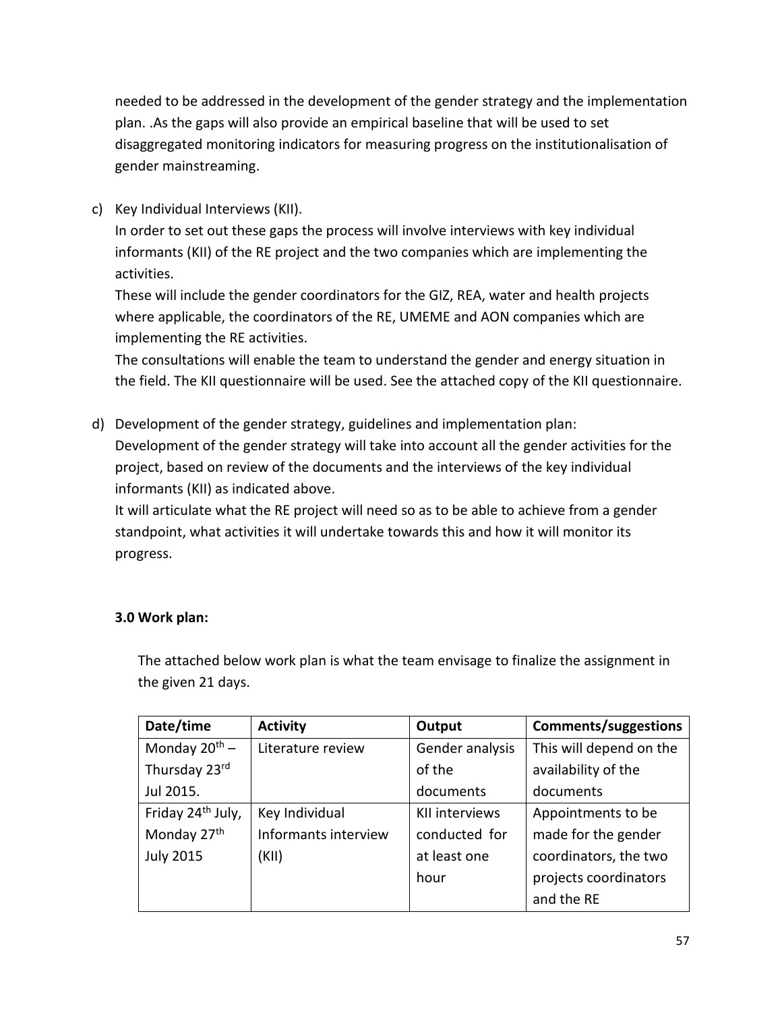needed to be addressed in the development of the gender strategy and the implementation plan. .As the gaps will also provide an empirical baseline that will be used to set disaggregated monitoring indicators for measuring progress on the institutionalisation of gender mainstreaming.

c) Key Individual Interviews (KII).

In order to set out these gaps the process will involve interviews with key individual informants (KII) of the RE project and the two companies which are implementing the activities.

These will include the gender coordinators for the GIZ, REA, water and health projects where applicable, the coordinators of the RE, UMEME and AON companies which are implementing the RE activities.

The consultations will enable the team to understand the gender and energy situation in the field. The KII questionnaire will be used. See the attached copy of the KII questionnaire.

d) Development of the gender strategy, guidelines and implementation plan: Development of the gender strategy will take into account all the gender activities for the project, based on review of the documents and the interviews of the key individual informants (KII) as indicated above.

It will articulate what the RE project will need so as to be able to achieve from a gender standpoint, what activities it will undertake towards this and how it will monitor its progress.

### **3.0 Work plan:**

The attached below work plan is what the team envisage to finalize the assignment in the given 21 days.

| Date/time                     | <b>Activity</b>      | Output          | <b>Comments/suggestions</b> |
|-------------------------------|----------------------|-----------------|-----------------------------|
| Monday $20^{th}$ –            | Literature review    | Gender analysis | This will depend on the     |
| Thursday 23rd                 |                      | of the          | availability of the         |
| Jul 2015.                     |                      | documents       | documents                   |
| Friday 24 <sup>th</sup> July, | Key Individual       | KII interviews  | Appointments to be          |
| Monday 27 <sup>th</sup>       | Informants interview | conducted for   | made for the gender         |
| <b>July 2015</b>              | (KII)                | at least one    | coordinators, the two       |
|                               |                      | hour            | projects coordinators       |
|                               |                      |                 | and the RE                  |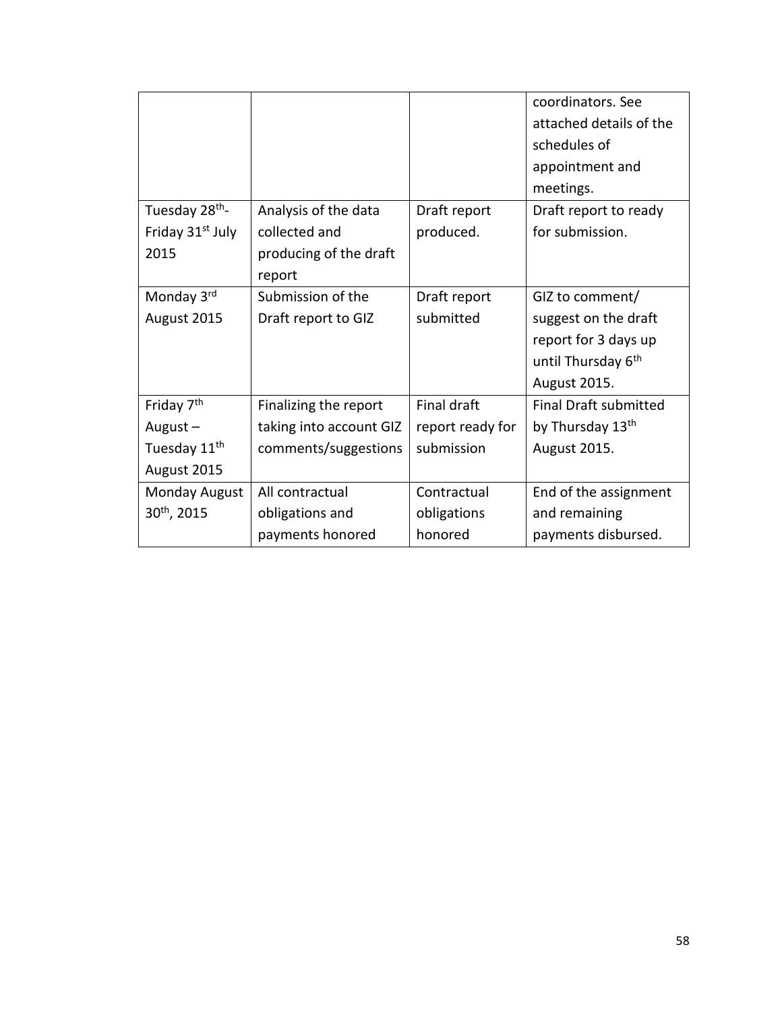|                              |                         |                  | coordinators. See              |
|------------------------------|-------------------------|------------------|--------------------------------|
|                              |                         |                  | attached details of the        |
|                              |                         |                  | schedules of                   |
|                              |                         |                  | appointment and                |
|                              |                         |                  | meetings.                      |
| Tuesday 28 <sup>th</sup> -   | Analysis of the data    | Draft report     | Draft report to ready          |
| Friday 31 <sup>st</sup> July | collected and           | produced.        | for submission.                |
| 2015                         | producing of the draft  |                  |                                |
|                              | report                  |                  |                                |
| Monday 3rd                   | Submission of the       | Draft report     | GIZ to comment/                |
| August 2015                  | Draft report to GIZ     | submitted        | suggest on the draft           |
|                              |                         |                  | report for 3 days up           |
|                              |                         |                  | until Thursday 6 <sup>th</sup> |
|                              |                         |                  | August 2015.                   |
| Friday 7 <sup>th</sup>       | Finalizing the report   | Final draft      | <b>Final Draft submitted</b>   |
| August $-$                   | taking into account GIZ | report ready for | by Thursday 13 <sup>th</sup>   |
| Tuesday 11 <sup>th</sup>     | comments/suggestions    | submission       | August 2015.                   |
| August 2015                  |                         |                  |                                |
| Monday August                | All contractual         | Contractual      | End of the assignment          |
| 30 <sup>th</sup> , 2015      | obligations and         | obligations      | and remaining                  |
|                              | payments honored        | honored          | payments disbursed.            |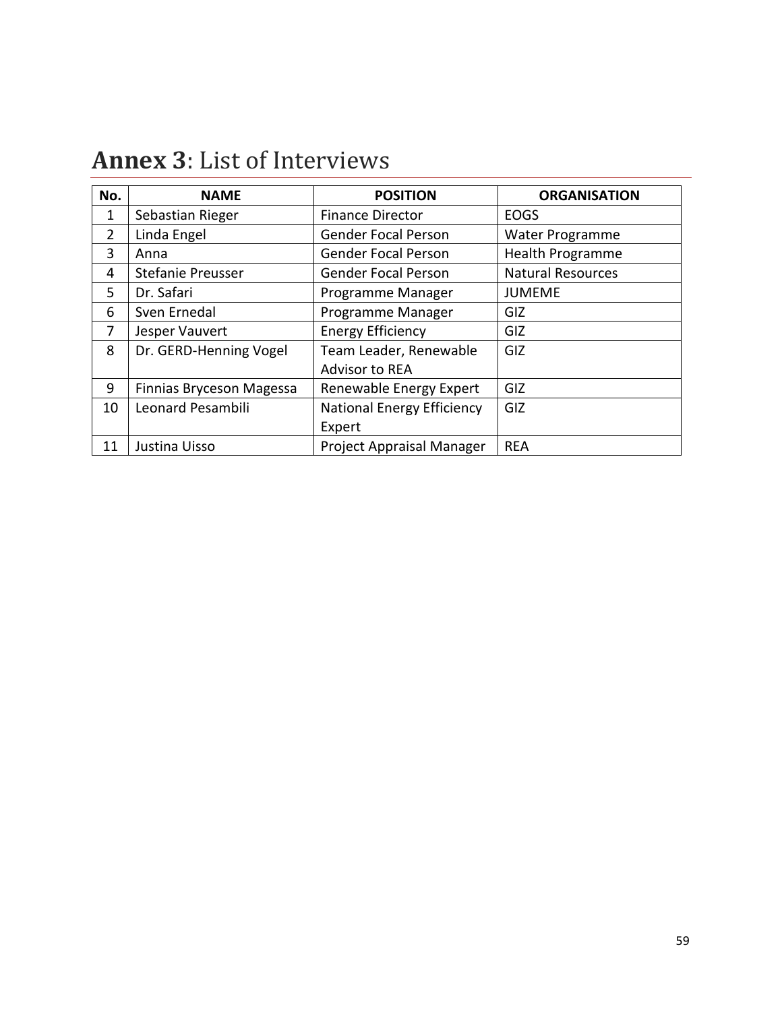| No.            | <b>NAME</b>              | <b>POSITION</b>                   | <b>ORGANISATION</b>      |
|----------------|--------------------------|-----------------------------------|--------------------------|
| 1              | Sebastian Rieger         | <b>Finance Director</b>           | <b>EOGS</b>              |
| $\overline{2}$ | Linda Engel              | <b>Gender Focal Person</b>        | <b>Water Programme</b>   |
| 3              | Anna                     | <b>Gender Focal Person</b>        | <b>Health Programme</b>  |
| 4              | <b>Stefanie Preusser</b> | <b>Gender Focal Person</b>        | <b>Natural Resources</b> |
| 5              | Dr. Safari               | Programme Manager                 | <b>JUMEME</b>            |
| 6              | Sven Ernedal             | Programme Manager                 | GIZ                      |
| 7              | Jesper Vauvert           | <b>Energy Efficiency</b>          | GIZ                      |
| 8              | Dr. GERD-Henning Vogel   | Team Leader, Renewable            | GIZ                      |
|                |                          | <b>Advisor to REA</b>             |                          |
| 9              | Finnias Bryceson Magessa | Renewable Energy Expert           | GIZ                      |
| 10             | Leonard Pesambili        | <b>National Energy Efficiency</b> | GIZ                      |
|                |                          | Expert                            |                          |
| 11             | Justina Uisso            | Project Appraisal Manager         | <b>REA</b>               |

# <span id="page-58-0"></span>**Annex 3**: List of Interviews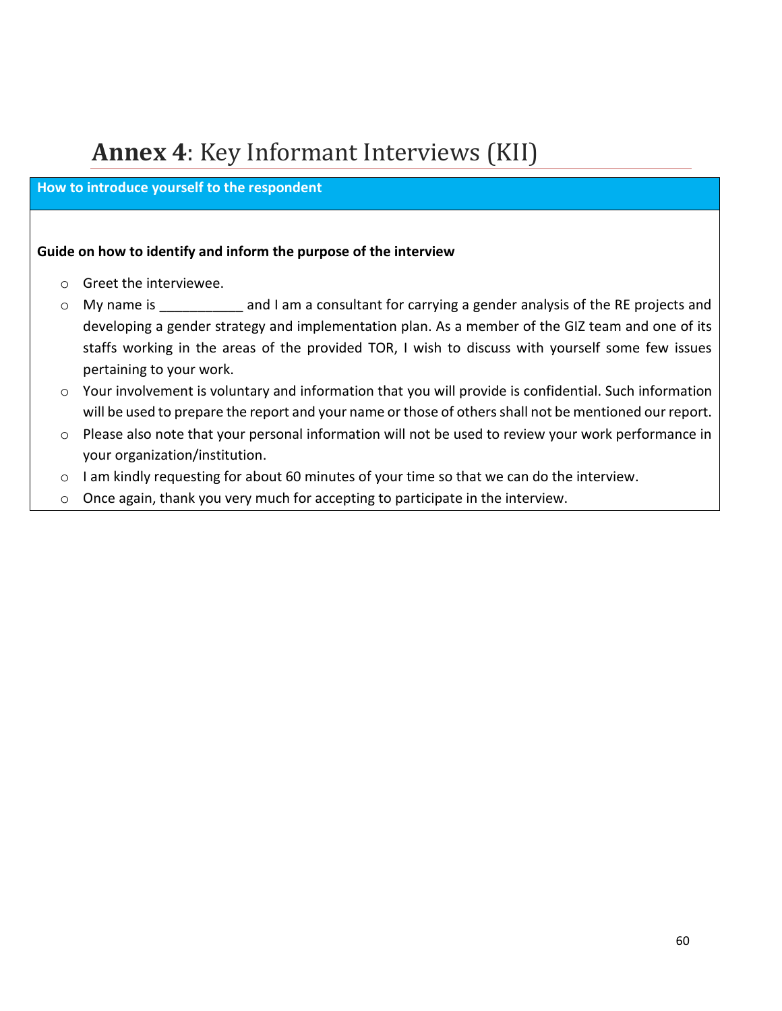# <span id="page-59-0"></span>**Annex 4**: Key Informant Interviews (KII)

#### **How to introduce yourself to the respondent**

#### **Guide on how to identify and inform the purpose of the interview**

- o Greet the interviewee.
- o My name is **and I am a consultant for carrying a gender analysis of the RE projects and** developing a gender strategy and implementation plan. As a member of the GIZ team and one of its staffs working in the areas of the provided TOR, I wish to discuss with yourself some few issues pertaining to your work.
- o Your involvement is voluntary and information that you will provide is confidential. Such information will be used to prepare the report and your name or those of others shall not be mentioned our report.
- o Please also note that your personal information will not be used to review your work performance in your organization/institution.
- o I am kindly requesting for about 60 minutes of your time so that we can do the interview.
- o Once again, thank you very much for accepting to participate in the interview.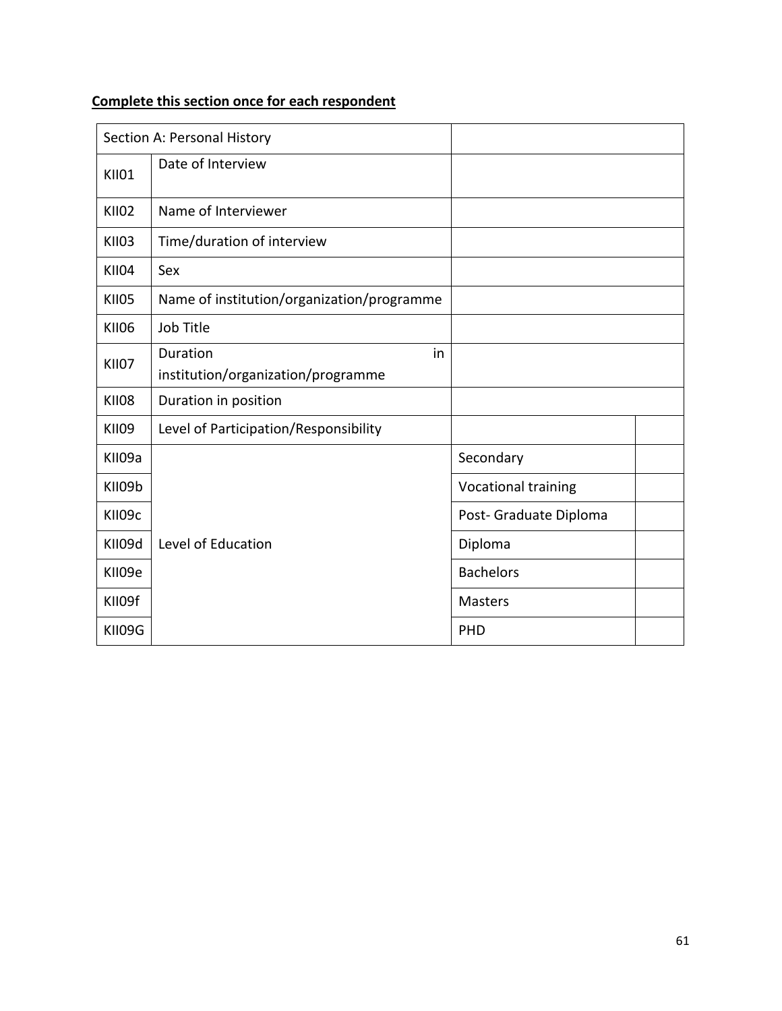### **Complete this section once for each respondent**

|              | Section A: Personal History                          |                        |
|--------------|------------------------------------------------------|------------------------|
| <b>KII01</b> | Date of Interview                                    |                        |
| <b>KII02</b> | Name of Interviewer                                  |                        |
| <b>KII03</b> | Time/duration of interview                           |                        |
| <b>KII04</b> | Sex                                                  |                        |
| <b>KII05</b> | Name of institution/organization/programme           |                        |
| <b>KII06</b> | Job Title                                            |                        |
| <b>KII07</b> | Duration<br>in<br>institution/organization/programme |                        |
| <b>KII08</b> | Duration in position                                 |                        |
| <b>KII09</b> | Level of Participation/Responsibility                |                        |
| KII09a       |                                                      | Secondary              |
| KII09b       |                                                      | Vocational training    |
| KII09c       |                                                      | Post- Graduate Diploma |
| KII09d       | Level of Education                                   | Diploma                |
| KII09e       |                                                      | <b>Bachelors</b>       |
| KII09f       |                                                      | <b>Masters</b>         |
| KII09G       |                                                      | <b>PHD</b>             |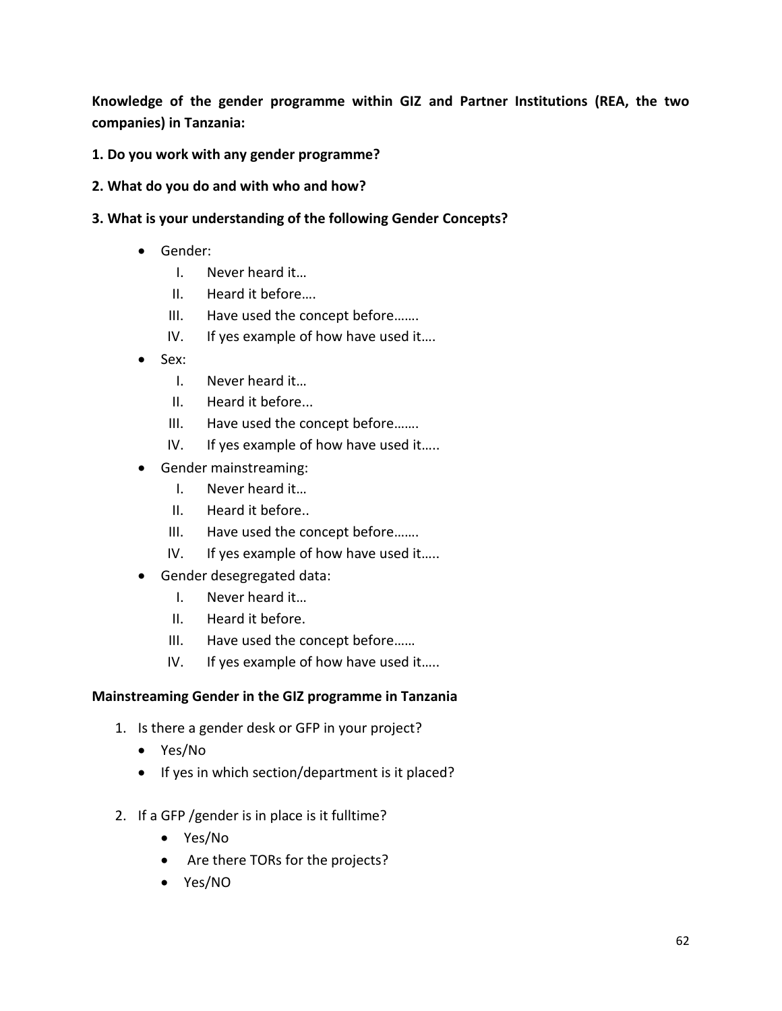**Knowledge of the gender programme within GIZ and Partner Institutions (REA, the two companies) in Tanzania:**

#### **1. Do you work with any gender programme?**

- **2. What do you do and with who and how?**
- **3. What is your understanding of the following Gender Concepts?**
	- Gender:
		- I. Never heard it…
		- II. Heard it before….
		- III. Have used the concept before…….
		- IV. If yes example of how have used it....
	- Sex:
		- I. Never heard it…
		- II. Heard it before...
		- III. Have used the concept before…….
		- IV. If yes example of how have used it…..
	- Gender mainstreaming:
		- I. Never heard it…
		- II. Heard it before..
		- III. Have used the concept before…….
		- IV. If yes example of how have used it…..
	- Gender desegregated data:
		- I. Never heard it…
		- II. Heard it before.
		- III. Have used the concept before……
		- IV. If yes example of how have used it.....

#### **Mainstreaming Gender in the GIZ programme in Tanzania**

- 1. Is there a gender desk or GFP in your project?
	- Yes/No
	- If yes in which section/department is it placed?
- 2. If a GFP /gender is in place is it fulltime?
	- Yes/No
	- Are there TORs for the projects?
	- Yes/NO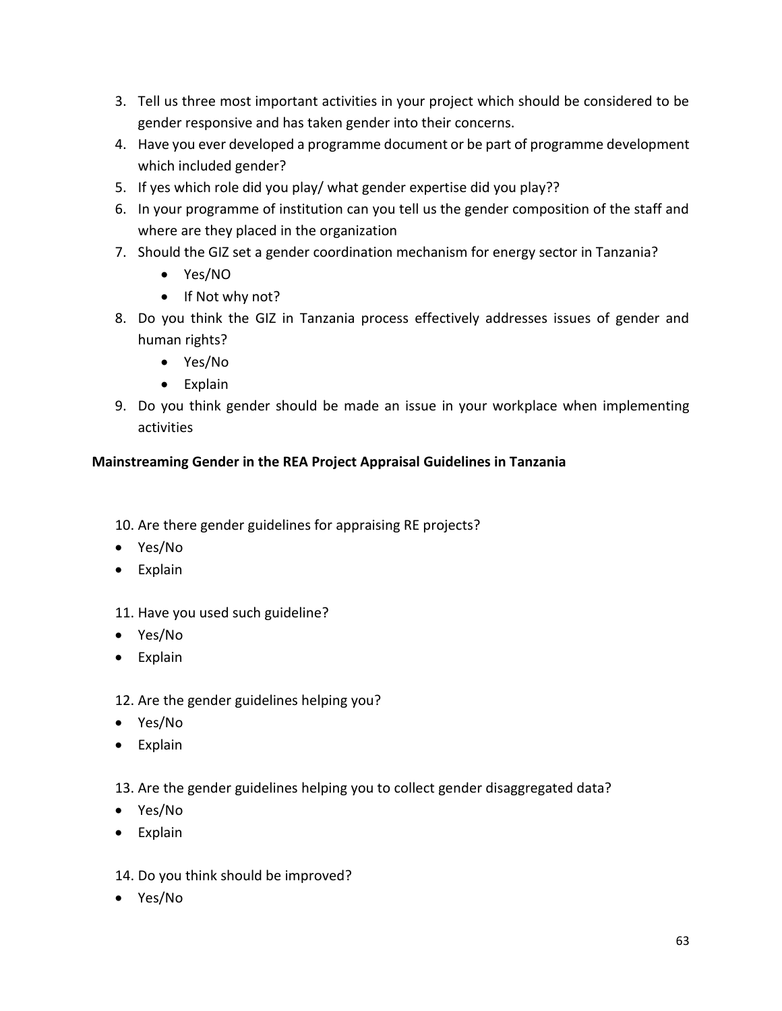- 3. Tell us three most important activities in your project which should be considered to be gender responsive and has taken gender into their concerns.
- 4. Have you ever developed a programme document or be part of programme development which included gender?
- 5. If yes which role did you play/ what gender expertise did you play??
- 6. In your programme of institution can you tell us the gender composition of the staff and where are they placed in the organization
- 7. Should the GIZ set a gender coordination mechanism for energy sector in Tanzania?
	- Yes/NO
	- If Not why not?
- 8. Do you think the GIZ in Tanzania process effectively addresses issues of gender and human rights?
	- Yes/No
	- Explain
- 9. Do you think gender should be made an issue in your workplace when implementing activities

### **Mainstreaming Gender in the REA Project Appraisal Guidelines in Tanzania**

- 10. Are there gender guidelines for appraising RE projects?
- Yes/No
- Explain

11. Have you used such guideline?

- Yes/No
- Explain

### 12. Are the gender guidelines helping you?

- Yes/No
- Explain
- 13. Are the gender guidelines helping you to collect gender disaggregated data?
- Yes/No
- Explain
- 14. Do you think should be improved?
- Yes/No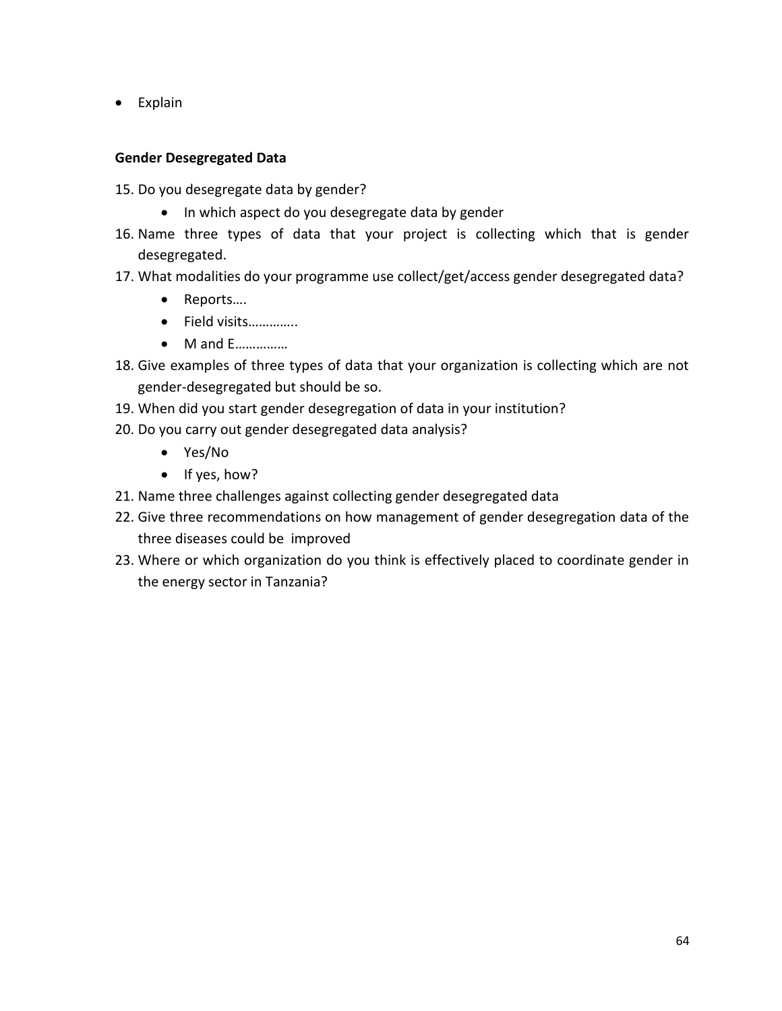• Explain

#### **Gender Desegregated Data**

- 15. Do you desegregate data by gender?
	- In which aspect do you desegregate data by gender
- 16. Name three types of data that your project is collecting which that is gender desegregated.
- 17. What modalities do your programme use collect/get/access gender desegregated data?
	- Reports….
	- Field visits…………..
	- M and E……………
- 18. Give examples of three types of data that your organization is collecting which are not gender-desegregated but should be so.
- 19. When did you start gender desegregation of data in your institution?
- 20. Do you carry out gender desegregated data analysis?
	- Yes/No
	- If yes, how?
- 21. Name three challenges against collecting gender desegregated data
- 22. Give three recommendations on how management of gender desegregation data of the three diseases could be improved
- 23. Where or which organization do you think is effectively placed to coordinate gender in the energy sector in Tanzania?